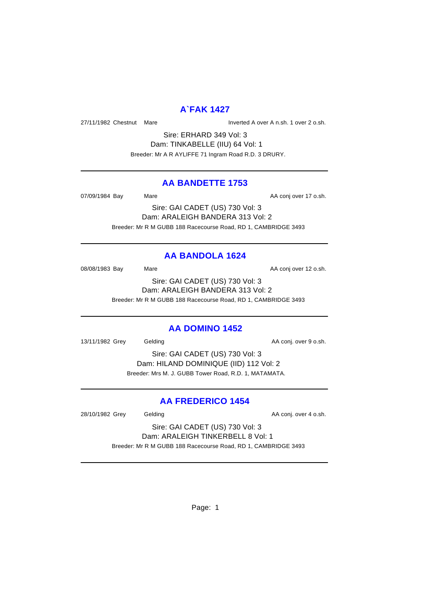# **A`FAK 1427**

27/11/1982 Chestnut Mare Inverted A over A n.sh. 1 over 2 o.sh.

Sire: ERHARD 349 Vol: 3 Dam: TINKABELLE (IIU) 64 Vol: 1 Breeder: Mr A R AYLIFFE 71 Ingram Road R.D. 3 DRURY.

#### **AA BANDETTE 1753**

07/09/1984 Bay Mare Mare AA conj over 17 o.sh.

Sire: GAI CADET (US) 730 Vol: 3 Dam: ARALEIGH BANDERA 313 Vol: 2 Breeder: Mr R M GUBB 188 Racecourse Road, RD 1, CAMBRIDGE 3493

# **AA BANDOLA 1624**

08/08/1983 Bay Mare Mare AA conj over 12 o.sh.

Sire: GAI CADET (US) 730 Vol: 3 Dam: ARALEIGH BANDERA 313 Vol: 2 Breeder: Mr R M GUBB 188 Racecourse Road, RD 1, CAMBRIDGE 3493

# **AA DOMINO 1452**

13/11/1982 Grey Gelding Cash. Conj. over 9 o.sh.

Sire: GAI CADET (US) 730 Vol: 3 Dam: HILAND DOMINIQUE (IID) 112 Vol: 2 Breeder: Mrs M. J. GUBB Tower Road, R.D. 1, MATAMATA.

# **AA FREDERICO 1454**

28/10/1982 Grey Gelding Cash. Conj. over 4 o.sh.

Sire: GAI CADET (US) 730 Vol: 3 Dam: ARALEIGH TINKERBELL 8 Vol: 1 Breeder: Mr R M GUBB 188 Racecourse Road, RD 1, CAMBRIDGE 3493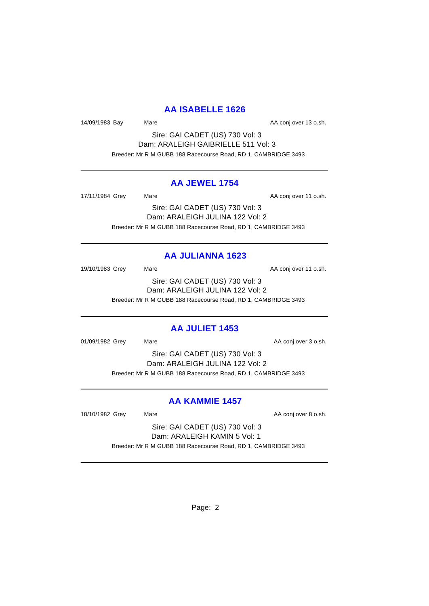## **AA ISABELLE 1626**

14/09/1983 Bay Mare Mare AA conj over 13 o.sh.

Sire: GAI CADET (US) 730 Vol: 3 Dam: ARALEIGH GAIBRIELLE 511 Vol: 3 Breeder: Mr R M GUBB 188 Racecourse Road, RD 1, CAMBRIDGE 3493

### **AA JEWEL 1754**

17/11/1984 Grey Mare Mare AA conj over 11 o.sh.

Sire: GAI CADET (US) 730 Vol: 3 Dam: ARALEIGH JULINA 122 Vol: 2 Breeder: Mr R M GUBB 188 Racecourse Road, RD 1, CAMBRIDGE 3493

# **AA JULIANNA 1623**

19/10/1983 Grey Mare Mare AA conj over 11 o.sh. Sire: GAI CADET (US) 730 Vol: 3 Dam: ARALEIGH JULINA 122 Vol: 2 Breeder: Mr R M GUBB 188 Racecourse Road, RD 1, CAMBRIDGE 3493

# **AA JULIET 1453**

01/09/1982 Grey Mare Mare AA conj over 3 o.sh.

Sire: GAI CADET (US) 730 Vol: 3 Dam: ARALEIGH JULINA 122 Vol: 2 Breeder: Mr R M GUBB 188 Racecourse Road, RD 1, CAMBRIDGE 3493

# **AA KAMMIE 1457**

18/10/1982 Grey Mare Mare AA conj over 8 o.sh.

Sire: GAI CADET (US) 730 Vol: 3 Dam: ARALEIGH KAMIN 5 Vol: 1 Breeder: Mr R M GUBB 188 Racecourse Road, RD 1, CAMBRIDGE 3493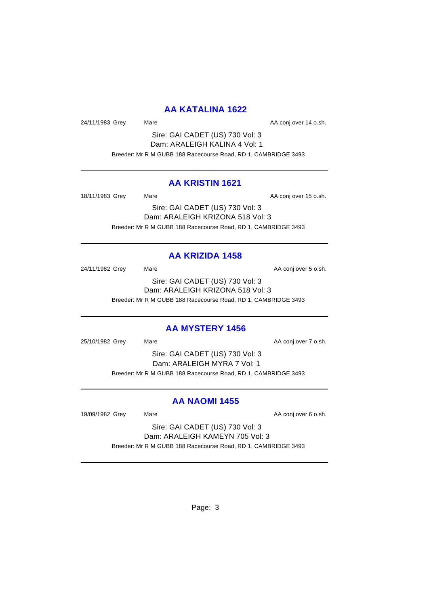# **AA KATALINA 1622**

24/11/1983 Grey Mare Mare AA conj over 14 o.sh.

Sire: GAI CADET (US) 730 Vol: 3 Dam: ARALEIGH KALINA 4 Vol: 1 Breeder: Mr R M GUBB 188 Racecourse Road, RD 1, CAMBRIDGE 3493

### **AA KRISTIN 1621**

18/11/1983 Grey Mare Mare AA conj over 15 o.sh.

Sire: GAI CADET (US) 730 Vol: 3 Dam: ARALEIGH KRIZONA 518 Vol: 3 Breeder: Mr R M GUBB 188 Racecourse Road, RD 1, CAMBRIDGE 3493

# **AA KRIZIDA 1458**

24/11/1982 Grey Mare Mare AA conj over 5 o.sh. Sire: GAI CADET (US) 730 Vol: 3 Dam: ARALEIGH KRIZONA 518 Vol: 3

Breeder: Mr R M GUBB 188 Racecourse Road, RD 1, CAMBRIDGE 3493

#### **AA MYSTERY 1456**

25/10/1982 Grey Mare Mare AA conj over 7 o.sh.

Sire: GAI CADET (US) 730 Vol: 3 Dam: ARALEIGH MYRA 7 Vol: 1 Breeder: Mr R M GUBB 188 Racecourse Road, RD 1, CAMBRIDGE 3493

# **AA NAOMI 1455**

19/09/1982 Grey Mare Mare AA conj over 6 o.sh.

Sire: GAI CADET (US) 730 Vol: 3 Dam: ARALEIGH KAMEYN 705 Vol: 3 Breeder: Mr R M GUBB 188 Racecourse Road, RD 1, CAMBRIDGE 3493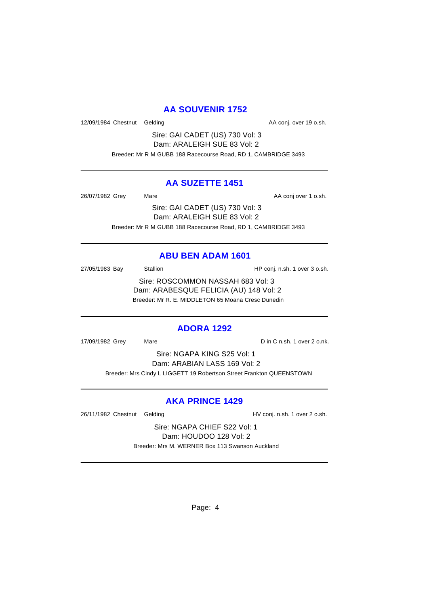# **AA SOUVENIR 1752**

12/09/1984 Chestnut Gelding and and the AA conj. over 19 o.sh.

Sire: GAI CADET (US) 730 Vol: 3 Dam: ARALEIGH SUE 83 Vol: 2 Breeder: Mr R M GUBB 188 Racecourse Road, RD 1, CAMBRIDGE 3493

#### **AA SUZETTE 1451**

26/07/1982 Grey Mare Mare AA conj over 1 o.sh.

Sire: GAI CADET (US) 730 Vol: 3 Dam: ARALEIGH SUE 83 Vol: 2 Breeder: Mr R M GUBB 188 Racecourse Road, RD 1, CAMBRIDGE 3493

#### **ABU BEN ADAM 1601**

27/05/1983 Bay Stallion Stallion HP conj. n.sh. 1 over 3 o.sh.

Sire: ROSCOMMON NASSAH 683 Vol: 3 Dam: ARABESQUE FELICIA (AU) 148 Vol: 2 Breeder: Mr R. E. MIDDLETON 65 Moana Cresc Dunedin

#### **ADORA 1292**

17/09/1982 Grey Mare Mare Din C n.sh. 1 over 2 o.nk.

Sire: NGAPA KING S25 Vol: 1 Dam: ARABIAN LASS 169 Vol: 2 Breeder: Mrs Cindy L LIGGETT 19 Robertson Street Frankton QUEENSTOWN

# **AKA PRINCE 1429**

26/11/1982 Chestnut Gelding The HV conj. n.sh. 1 over 2 o.sh.

Sire: NGAPA CHIEF S22 Vol: 1 Dam: HOUDOO 128 Vol: 2 Breeder: Mrs M. WERNER Box 113 Swanson Auckland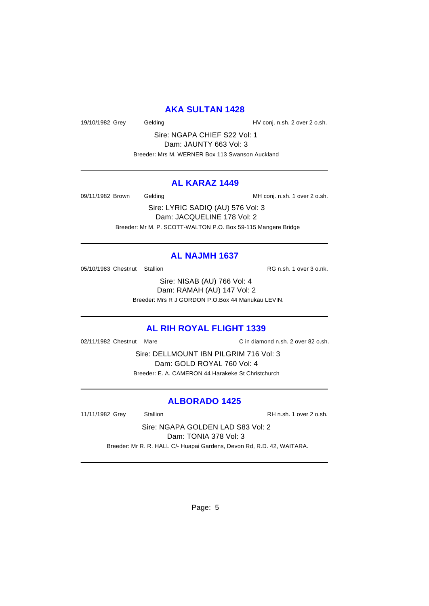## **AKA SULTAN 1428**

19/10/1982 Grey Gelding Gelding HV conj. n.sh. 2 over 2 o.sh.

Sire: NGAPA CHIEF S22 Vol: 1 Dam: JAUNTY 663 Vol: 3 Breeder: Mrs M. WERNER Box 113 Swanson Auckland

#### **AL KARAZ 1449**

09/11/1982 Brown Gelding Constant Conj. n.sh. 1 over 2 o.sh.

Sire: LYRIC SADIQ (AU) 576 Vol: 3 Dam: JACQUELINE 178 Vol: 2 Breeder: Mr M. P. SCOTT-WALTON P.O. Box 59-115 Mangere Bridge

#### **AL NAJMH 1637**

05/10/1983 Chestnut Stallion RG n.sh. 1 over 3 o.nk.

Sire: NISAB (AU) 766 Vol: 4 Dam: RAMAH (AU) 147 Vol: 2 Breeder: Mrs R J GORDON P.O.Box 44 Manukau LEVIN.

#### **AL RIH ROYAL FLIGHT 1339**

02/11/1982 Chestnut Mare C in diamond n.sh. 2 over 82 o.sh.

Sire: DELLMOUNT IBN PILGRIM 716 Vol: 3 Dam: GOLD ROYAL 760 Vol: 4 Breeder: E. A. CAMERON 44 Harakeke St Christchurch

#### **ALBORADO 1425**

11/11/1982 Grey Stallion Stallion State RH n.sh. 1 over 2 o.sh.

Sire: NGAPA GOLDEN LAD S83 Vol: 2 Dam: TONIA 378 Vol: 3

Breeder: Mr R. R. HALL C/- Huapai Gardens, Devon Rd, R.D. 42, WAITARA.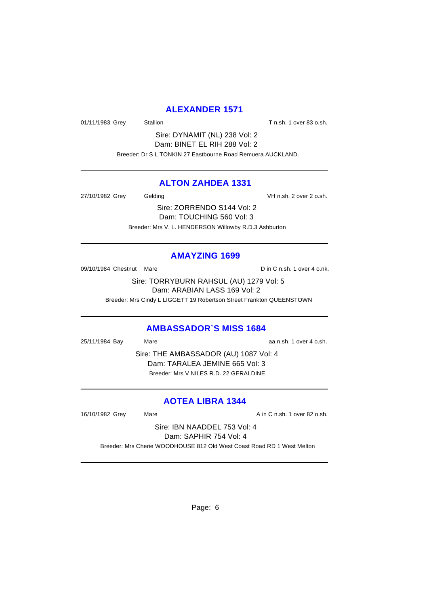## **ALEXANDER 1571**

01/11/1983 Grey Stallion States of Trush. 1 over 83 o.sh.

Sire: DYNAMIT (NL) 238 Vol: 2 Dam: BINET EL RIH 288 Vol: 2 Breeder: Dr S L TONKIN 27 Eastbourne Road Remuera AUCKLAND.

### **ALTON ZAHDEA 1331**

27/10/1982 Grey Gelding Gelding Cash. 2 over 2 o.sh.

Sire: ZORRENDO S144 Vol: 2 Dam: TOUCHING 560 Vol: 3 Breeder: Mrs V. L. HENDERSON Willowby R.D.3 Ashburton

# **AMAYZING 1699**

09/10/1984 Chestnut Mare D in C n.sh. 1 over 4 o.nk.

Sire: TORRYBURN RAHSUL (AU) 1279 Vol: 5 Dam: ARABIAN LASS 169 Vol: 2

Breeder: Mrs Cindy L LIGGETT 19 Robertson Street Frankton QUEENSTOWN

#### **AMBASSADOR`S MISS 1684**

25/11/1984 Bay Mare and Solution and Solution and Solution and The American control and number 4 o.sh.

Sire: THE AMBASSADOR (AU) 1087 Vol: 4 Dam: TARALEA JEMINE 665 Vol: 3 Breeder: Mrs V NILES R.D. 22 GERALDINE.

# **AOTEA LIBRA 1344**

16/10/1982 Grey Mare Mare A in C n.sh. 1 over 82 o.sh.

Sire: IBN NAADDEL 753 Vol: 4 Dam: SAPHIR 754 Vol: 4

Breeder: Mrs Cherie WOODHOUSE 812 Old West Coast Road RD 1 West Melton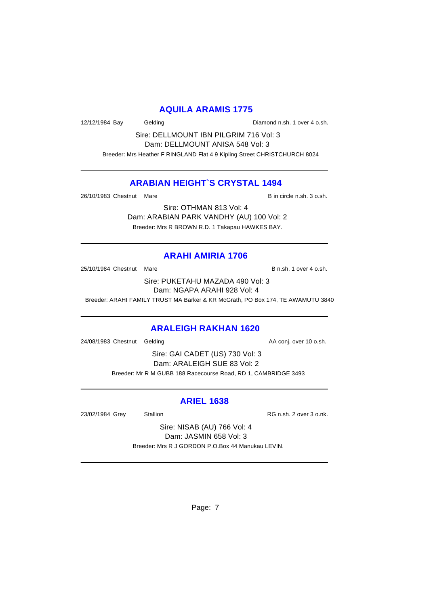### **AQUILA ARAMIS 1775**

12/12/1984 Bay Gelding Diamond n.sh. 1 over 4 o.sh.

Sire: DELLMOUNT IBN PILGRIM 716 Vol: 3 Dam: DELLMOUNT ANISA 548 Vol: 3 Breeder: Mrs Heather F RINGLAND Flat 4 9 Kipling Street CHRISTCHURCH 8024

# **ARABIAN HEIGHT`S CRYSTAL 1494**

26/10/1983 Chestnut Mare **B** in circle n.sh. 3 o.sh.

Sire: OTHMAN 813 Vol: 4 Dam: ARABIAN PARK VANDHY (AU) 100 Vol: 2 Breeder: Mrs R BROWN R.D. 1 Takapau HAWKES BAY.

# **ARAHI AMIRIA 1706**

25/10/1984 Chestnut Mare **B n.sh. 1** over 4 o.sh.

Sire: PUKETAHU MAZADA 490 Vol: 3 Dam: NGAPA ARAHI 928 Vol: 4

Breeder: ARAHI FAMILY TRUST MA Barker & KR McGrath, PO Box 174, TE AWAMUTU 3840

# **ARALEIGH RAKHAN 1620**

24/08/1983 Chestnut Gelding and AA conj. over 10 o.sh.

Sire: GAI CADET (US) 730 Vol: 3 Dam: ARALEIGH SUE 83 Vol: 2 Breeder: Mr R M GUBB 188 Racecourse Road, RD 1, CAMBRIDGE 3493

# **ARIEL 1638**

23/02/1984 Grey Stallion RG n.sh. 2 over 3 o.nk.

Sire: NISAB (AU) 766 Vol: 4 Dam: JASMIN 658 Vol: 3 Breeder: Mrs R J GORDON P.O.Box 44 Manukau LEVIN.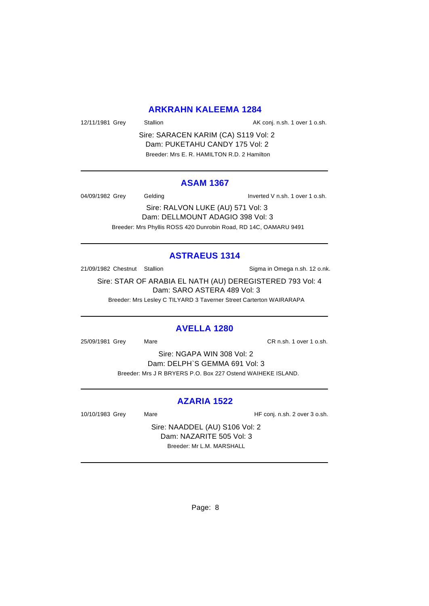#### **ARKRAHN KALEEMA 1284**

12/11/1981 Grey Stallion Stallion AK conj. n.sh. 1 over 1 o.sh.

Sire: SARACEN KARIM (CA) S119 Vol: 2 Dam: PUKETAHU CANDY 175 Vol: 2 Breeder: Mrs E. R. HAMILTON R.D. 2 Hamilton

#### **ASAM 1367**

04/09/1982 Grey Gelding Inverted V n.sh. 1 over 1 o.sh.

Sire: RALVON LUKE (AU) 571 Vol: 3 Dam: DELLMOUNT ADAGIO 398 Vol: 3 Breeder: Mrs Phyllis ROSS 420 Dunrobin Road, RD 14C, OAMARU 9491

### **ASTRAEUS 1314**

21/09/1982 Chestnut Stallion Sigma in Omega n.sh. 12 o.nk.

Sire: STAR OF ARABIA EL NATH (AU) DEREGISTERED 793 Vol: 4 Dam: SARO ASTERA 489 Vol: 3

Breeder: Mrs Lesley C TILYARD 3 Taverner Street Carterton WAIRARAPA

### **AVELLA 1280**

25/09/1981 Grey Mare CR n.sh. 1 over 1 o.sh.

Sire: NGAPA WIN 308 Vol: 2 Dam: DELPH`S GEMMA 691 Vol: 3 Breeder: Mrs J R BRYERS P.O. Box 227 Ostend WAIHEKE ISLAND.

#### **AZARIA 1522**

10/10/1983 Grey Mare Mare HF conj. n.sh. 2 over 3 o.sh.

Sire: NAADDEL (AU) S106 Vol: 2 Dam: NAZARITE 505 Vol: 3 Breeder: Mr L.M. MARSHALL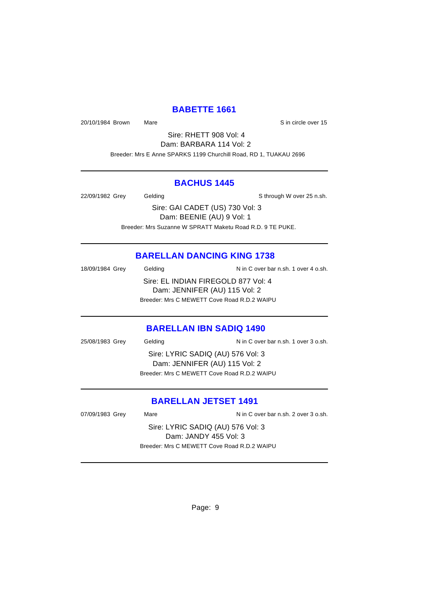## **BABETTE 1661**

20/10/1984 Brown Mare Sincircle over 15

Sire: RHETT 908 Vol: 4 Dam: BARBARA 114 Vol: 2

Breeder: Mrs E Anne SPARKS 1199 Churchill Road, RD 1, TUAKAU 2696

### **BACHUS 1445**

22/09/1982 Grey Gelding Sthrough W over 25 n.sh.

Sire: GAI CADET (US) 730 Vol: 3 Dam: BEENIE (AU) 9 Vol: 1 Breeder: Mrs Suzanne W SPRATT Maketu Road R.D. 9 TE PUKE.

# **BARELLAN DANCING KING 1738**

| 18/09/1984 Grey | Gelding                                     | N in C over bar n.sh. 1 over 4 o.sh. |
|-----------------|---------------------------------------------|--------------------------------------|
|                 | Sire: EL INDIAN FIREGOLD 877 Vol. 4         |                                      |
|                 | Dam: JENNIFER (AU) 115 Vol: 2               |                                      |
|                 | Breeder: Mrs C MEWETT Cove Road R.D.2 WAIPU |                                      |

### **BARELLAN IBN SADIQ 1490**

| 25/08/1983 Grey | Gelding                                     | N in C over bar n.sh. 1 over 3 o.sh. |
|-----------------|---------------------------------------------|--------------------------------------|
|                 | Sire: LYRIC SADIQ (AU) 576 Vol: 3           |                                      |
|                 | Dam: JENNIFER (AU) 115 Vol: 2               |                                      |
|                 | Breeder: Mrs C MEWETT Cove Road R.D.2 WAIPU |                                      |
|                 |                                             |                                      |

# **BARELLAN JETSET 1491**

07/09/1983 Grey Mare Mare N in C over bar n.sh. 2 over 3 o.sh.

Sire: LYRIC SADIQ (AU) 576 Vol: 3 Dam: JANDY 455 Vol: 3 Breeder: Mrs C MEWETT Cove Road R.D.2 WAIPU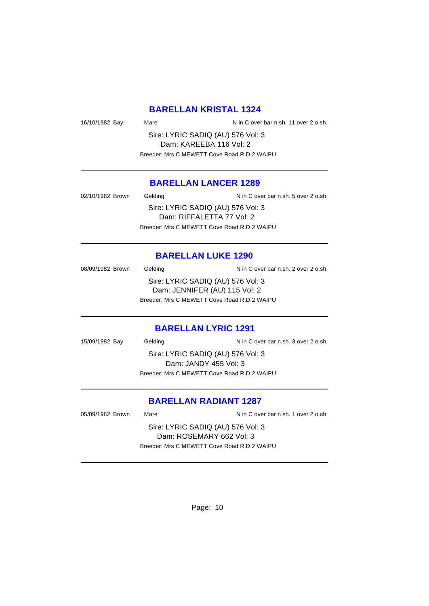#### **BARELLAN KRISTAL 1324**

16/10/1982 Bay Mare Mare N in C over bar n.sh. 11 over 2 o.sh.

Sire: LYRIC SADIQ (AU) 576 Vol: 3 Dam: KAREEBA 116 Vol: 2 Breeder: Mrs C MEWETT Cove Road R.D.2 WAIPU

# **BARELLAN LANCER 1289**

02/10/1982 Brown Gelding N in C over bar n.sh. 5 over 2 o.sh.

Sire: LYRIC SADIQ (AU) 576 Vol: 3 Dam: RIFFALETTA 77 Vol: 2 Breeder: Mrs C MEWETT Cove Road R.D.2 WAIPU

#### **BARELLAN LUKE 1290**

08/09/1982 Brown Gelding Cover bar n.sh. 2 over 2 o.sh. Sire: LYRIC SADIQ (AU) 576 Vol: 3 Dam: JENNIFER (AU) 115 Vol: 2 Breeder: Mrs C MEWETT Cove Road R.D.2 WAIPU

### **BARELLAN LYRIC 1291**

15/09/1982 Bay Gelding Casset Control N in C over bar n.sh. 3 over 2 o.sh.

Sire: LYRIC SADIQ (AU) 576 Vol: 3 Dam: JANDY 455 Vol: 3 Breeder: Mrs C MEWETT Cove Road R.D.2 WAIPU

# **BARELLAN RADIANT 1287**

05/09/1982 Brown Mare N in C over bar n.sh. 1 over 2 o.sh.

Sire: LYRIC SADIQ (AU) 576 Vol: 3 Dam: ROSEMARY 662 Vol: 3 Breeder: Mrs C MEWETT Cove Road R.D.2 WAIPU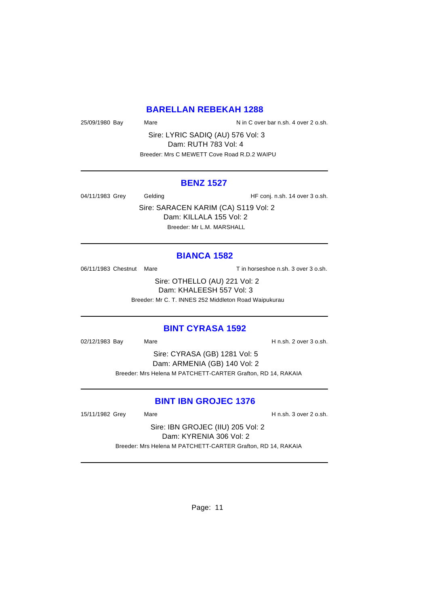### **BARELLAN REBEKAH 1288**

25/09/1980 Bay Mare Mare N in C over bar n.sh. 4 over 2 o.sh.

Sire: LYRIC SADIQ (AU) 576 Vol: 3 Dam: RUTH 783 Vol: 4 Breeder: Mrs C MEWETT Cove Road R.D.2 WAIPU

#### **BENZ 1527**

04/11/1983 Grey Gelding Gelding HF conj. n.sh. 14 over 3 o.sh.

Sire: SARACEN KARIM (CA) S119 Vol: 2 Dam: KILLALA 155 Vol: 2 Breeder: Mr L.M. MARSHALL

### **BIANCA 1582**

06/11/1983 Chestnut Mare Tin horseshoe n.sh. 3 over 3 o.sh.

Sire: OTHELLO (AU) 221 Vol: 2 Dam: KHALEESH 557 Vol: 3 Breeder: Mr C. T. INNES 252 Middleton Road Waipukurau

#### **BINT CYRASA 1592**

02/12/1983 Bay Mare **Mare** Mare H n.sh. 2 over 3 o.sh.

Sire: CYRASA (GB) 1281 Vol: 5 Dam: ARMENIA (GB) 140 Vol: 2 Breeder: Mrs Helena M PATCHETT-CARTER Grafton, RD 14, RAKAIA

# **BINT IBN GROJEC 1376**

15/11/1982 Grey Mare Mare H n.sh. 3 over 2 o.sh.

Sire: IBN GROJEC (IIU) 205 Vol: 2 Dam: KYRENIA 306 Vol: 2 Breeder: Mrs Helena M PATCHETT-CARTER Grafton, RD 14, RAKAIA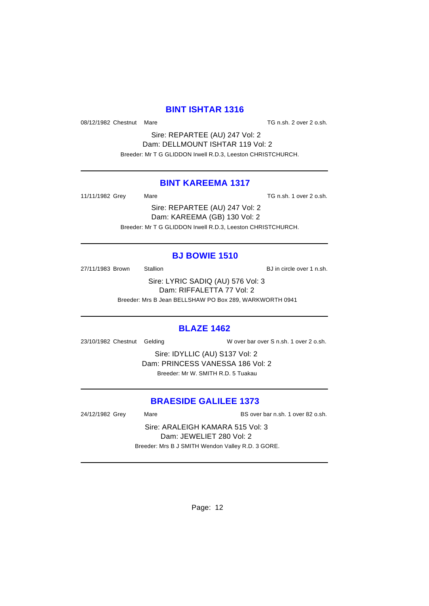### **BINT ISHTAR 1316**

08/12/1982 Chestnut Mare TG n.sh. 2 over 2 o.sh.

Sire: REPARTEE (AU) 247 Vol: 2 Dam: DELLMOUNT ISHTAR 119 Vol: 2 Breeder: Mr T G GLIDDON Irwell R.D.3, Leeston CHRISTCHURCH.

## **BINT KAREEMA 1317**

11/11/1982 Grey Mare Mare TG n.sh. 1 over 2 o.sh.

Sire: REPARTEE (AU) 247 Vol: 2 Dam: KAREEMA (GB) 130 Vol: 2 Breeder: Mr T G GLIDDON Irwell R.D.3, Leeston CHRISTCHURCH.

#### **BJ BOWIE 1510**

27/11/1983 Brown Stallion Stallion BJ in circle over 1 n.sh.

Sire: LYRIC SADIQ (AU) 576 Vol: 3 Dam: RIFFALETTA 77 Vol: 2 Breeder: Mrs B Jean BELLSHAW PO Box 289, WARKWORTH 0941

# **BLAZE 1462**

23/10/1982 Chestnut Gelding W over bar over S n.sh. 1 over 2 o.sh.

Sire: IDYLLIC (AU) S137 Vol: 2 Dam: PRINCESS VANESSA 186 Vol: 2 Breeder: Mr W. SMITH R.D. 5 Tuakau

### **BRAESIDE GALILEE 1373**

24/12/1982 Grey Mare Mare BS over bar n.sh. 1 over 82 o.sh.

Sire: ARALEIGH KAMARA 515 Vol: 3 Dam: JEWELIET 280 Vol: 2 Breeder: Mrs B J SMITH Wendon Valley R.D. 3 GORE.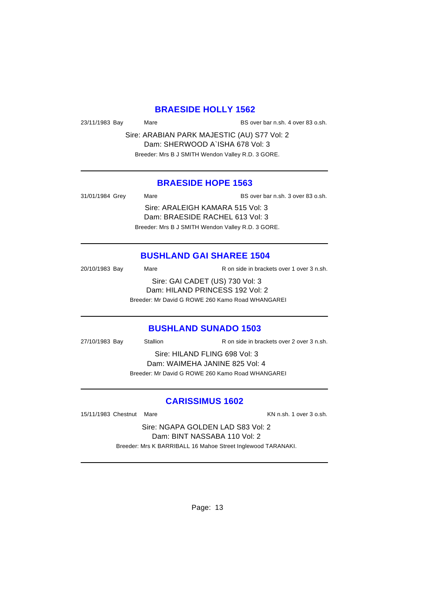#### **BRAESIDE HOLLY 1562**

23/11/1983 Bay Mare Mare BS over bar n.sh. 4 over 83 o.sh.

Sire: ARABIAN PARK MAJESTIC (AU) S77 Vol: 2 Dam: SHERWOOD A`ISHA 678 Vol: 3 Breeder: Mrs B J SMITH Wendon Valley R.D. 3 GORE.

#### **BRAESIDE HOPE 1563**

| 31/01/1984 Grey | Mare                                              | BS over bar n.sh. 3 over 83 o.sh. |
|-----------------|---------------------------------------------------|-----------------------------------|
|                 | Sire: ARALEIGH KAMARA 515 Vol: 3                  |                                   |
|                 | Dam: BRAESIDE RACHEL 613 Vol: 3                   |                                   |
|                 | Breeder: Mrs B J SMITH Wendon Valley R.D. 3 GORE. |                                   |

# **BUSHLAND GAI SHAREE 1504**

| 20/10/1983 Bay | Mare                            | R on side in brackets over 1 over 3 n.sh.        |
|----------------|---------------------------------|--------------------------------------------------|
|                |                                 | Sire: GAI CADET (US) 730 Vol: 3                  |
|                | Dam: HILAND PRINCESS 192 Vol: 2 |                                                  |
|                |                                 | Breeder: Mr David G ROWE 260 Kamo Road WHANGAREI |
|                |                                 |                                                  |

#### **BUSHLAND SUNADO 1503**

| 27/10/1983 Bay                 | <b>Stallion</b> | R on side in brackets over 2 over 3 n.sh. |
|--------------------------------|-----------------|-------------------------------------------|
| Sire: HILAND FLING 698 Vol: 3  |                 |                                           |
| Dam: WAIMEHA JANINE 825 Vol: 4 |                 |                                           |

Breeder: Mr David G ROWE 260 Kamo Road WHANGAREI

# **CARISSIMUS 1602**

15/11/1983 Chestnut Mare **KN** n.sh. 1 over 3 o.sh.

Sire: NGAPA GOLDEN LAD S83 Vol: 2 Dam: BINT NASSABA 110 Vol: 2 Breeder: Mrs K BARRIBALL 16 Mahoe Street Inglewood TARANAKI.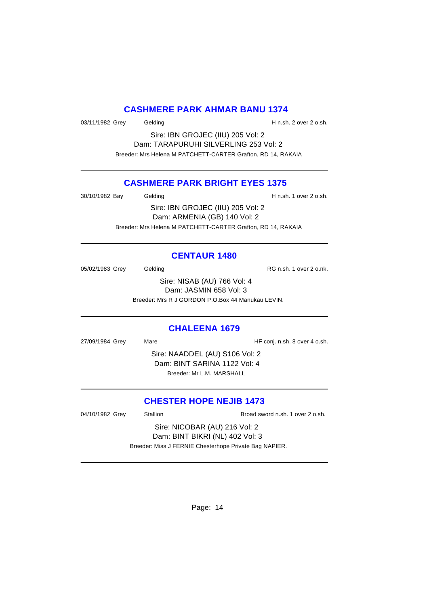### **CASHMERE PARK AHMAR BANU 1374**

03/11/1982 Grey Gelding Gelding H n.sh. 2 over 2 o.sh.

Sire: IBN GROJEC (IIU) 205 Vol: 2 Dam: TARAPURUHI SILVERLING 253 Vol: 2 Breeder: Mrs Helena M PATCHETT-CARTER Grafton, RD 14, RAKAIA

# **CASHMERE PARK BRIGHT EYES 1375**

30/10/1982 Bay Gelding Gelding H n.sh. 1 over 2 o.sh.

Sire: IBN GROJEC (IIU) 205 Vol: 2 Dam: ARMENIA (GB) 140 Vol: 2 Breeder: Mrs Helena M PATCHETT-CARTER Grafton, RD 14, RAKAIA

# **CENTAUR 1480**

05/02/1983 Grey Gelding Contract Control Contract Contract Contract Contract Contract Contract Contract Contract Contract Contract Contract Contract Contract Contract Contract Contract Contract Contract Contract Contract C

Sire: NISAB (AU) 766 Vol: 4 Dam: JASMIN 658 Vol: 3 Breeder: Mrs R J GORDON P.O.Box 44 Manukau LEVIN.

# **CHALEENA 1679**

27/09/1984 Grey Mare Mare Heroni, n.sh. 8 over 4 o.sh.

Sire: NAADDEL (AU) S106 Vol: 2 Dam: BINT SARINA 1122 Vol: 4 Breeder: Mr L.M. MARSHALL

# **CHESTER HOPE NEJIB 1473**

04/10/1982 Grey Stallion Broad sword n.sh. 1 over 2 o.sh.

Sire: NICOBAR (AU) 216 Vol: 2 Dam: BINT BIKRI (NL) 402 Vol: 3 Breeder: Miss J FERNIE Chesterhope Private Bag NAPIER.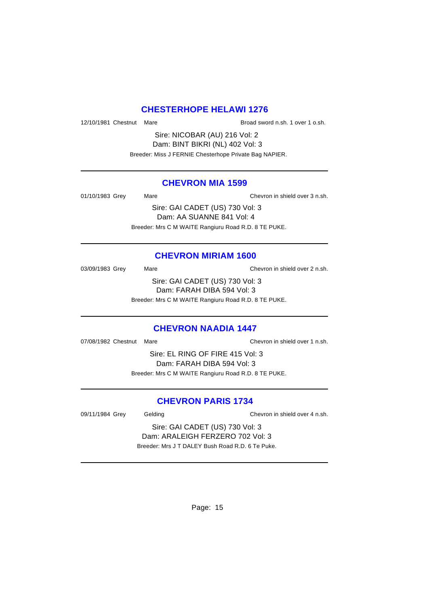## **CHESTERHOPE HELAWI 1276**

12/10/1981 Chestnut Mare Broad sword n.sh. 1 over 1 o.sh.

Sire: NICOBAR (AU) 216 Vol: 2 Dam: BINT BIKRI (NL) 402 Vol: 3 Breeder: Miss J FERNIE Chesterhope Private Bag NAPIER.

#### **CHEVRON MIA 1599**

01/10/1983 Grey Mare Chevron in shield over 3 n.sh. Sire: GAI CADET (US) 730 Vol: 3

Dam: AA SUANNE 841 Vol: 4 Breeder: Mrs C M WAITE Rangiuru Road R.D. 8 TE PUKE.

#### **CHEVRON MIRIAM 1600**

03/09/1983 Grey Mare Mare Chevron in shield over 2 n.sh. Sire: GAI CADET (US) 730 Vol: 3 Dam: FARAH DIBA 594 Vol: 3 Breeder: Mrs C M WAITE Rangiuru Road R.D. 8 TE PUKE.

#### **CHEVRON NAADIA 1447**

07/08/1982 Chestnut Mare Chevron in shield over 1 n.sh.

Sire: EL RING OF FIRE 415 Vol: 3 Dam: FARAH DIBA 594 Vol: 3 Breeder: Mrs C M WAITE Rangiuru Road R.D. 8 TE PUKE.

### **CHEVRON PARIS 1734**

09/11/1984 Grey Gelding Chevron in shield over 4 n.sh.

Sire: GAI CADET (US) 730 Vol: 3 Dam: ARALEIGH FERZERO 702 Vol: 3 Breeder: Mrs J T DALEY Bush Road R.D. 6 Te Puke.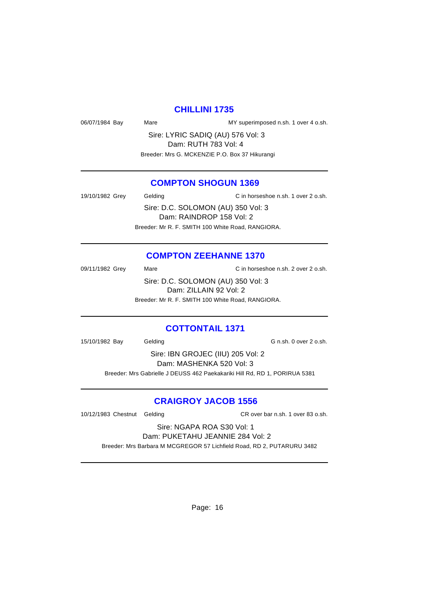#### **CHILLINI 1735**

06/07/1984 Bay Mare Mare MY superimposed n.sh. 1 over 4 o.sh.

Sire: LYRIC SADIQ (AU) 576 Vol: 3 Dam: RUTH 783 Vol: 4 Breeder: Mrs G. MCKENZIE P.O. Box 37 Hikurangi

### **COMPTON SHOGUN 1369**

19/10/1982 Grey Gelding C in horseshoe n.sh. 1 over 2 o.sh. Sire: D.C. SOLOMON (AU) 350 Vol: 3 Dam: RAINDROP 158 Vol: 2 Breeder: Mr R. F. SMITH 100 White Road, RANGIORA.

#### **COMPTON ZEEHANNE 1370**

09/11/1982 Grey Mare Mare C in horseshoe n.sh. 2 over 2 o.sh. Sire: D.C. SOLOMON (AU) 350 Vol: 3 Dam: ZILLAIN 92 Vol: 2 Breeder: Mr R. F. SMITH 100 White Road, RANGIORA.

#### **COTTONTAIL 1371**

15/10/1982 Bay Gelding Gelding G n.sh. 0 over 2 o.sh.

Sire: IBN GROJEC (IIU) 205 Vol: 2 Dam: MASHENKA 520 Vol: 3 Breeder: Mrs Gabrielle J DEUSS 462 Paekakariki Hill Rd, RD 1, PORIRUA 5381

# **CRAIGROY JACOB 1556**

10/12/1983 Chestnut Gelding CR over bar n.sh. 1 over 83 o.sh.

Sire: NGAPA ROA S30 Vol: 1 Dam: PUKETAHU JEANNIE 284 Vol: 2

Breeder: Mrs Barbara M MCGREGOR 57 Lichfield Road, RD 2, PUTARURU 3482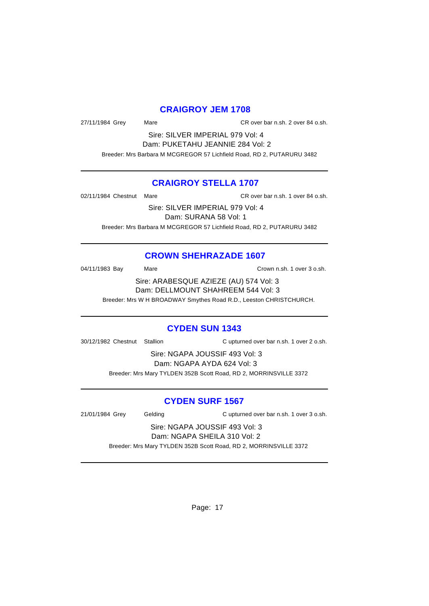#### **CRAIGROY JEM 1708**

27/11/1984 Grey Mare CR over bar n.sh. 2 over 84 o.sh.

Sire: SILVER IMPERIAL 979 Vol: 4 Dam: PUKETAHU JEANNIE 284 Vol: 2

Breeder: Mrs Barbara M MCGREGOR 57 Lichfield Road, RD 2, PUTARURU 3482

### **CRAIGROY STELLA 1707**

02/11/1984 Chestnut Mare CR over bar n.sh. 1 over 84 o.sh.

Sire: SILVER IMPERIAL 979 Vol: 4 Dam: SURANA 58 Vol: 1 Breeder: Mrs Barbara M MCGREGOR 57 Lichfield Road, RD 2, PUTARURU 3482

# **CROWN SHEHRAZADE 1607**

04/11/1983 Bay Mare Mare Crown n.sh. 1 over 3 o.sh.

Sire: ARABESQUE AZIEZE (AU) 574 Vol: 3 Dam: DELLMOUNT SHAHREEM 544 Vol: 3

Breeder: Mrs W H BROADWAY Smythes Road R.D., Leeston CHRISTCHURCH.

# **CYDEN SUN 1343**

30/12/1982 Chestnut Stallion C upturned over bar n.sh. 1 over 2 o.sh.

Sire: NGAPA JOUSSIF 493 Vol: 3 Dam: NGAPA AYDA 624 Vol: 3 Breeder: Mrs Mary TYLDEN 352B Scott Road, RD 2, MORRINSVILLE 3372

# **CYDEN SURF 1567**

21/01/1984 Grey Gelding C upturned over bar n.sh. 1 over 3 o.sh.

Sire: NGAPA JOUSSIF 493 Vol: 3 Dam: NGAPA SHEILA 310 Vol: 2

Breeder: Mrs Mary TYLDEN 352B Scott Road, RD 2, MORRINSVILLE 3372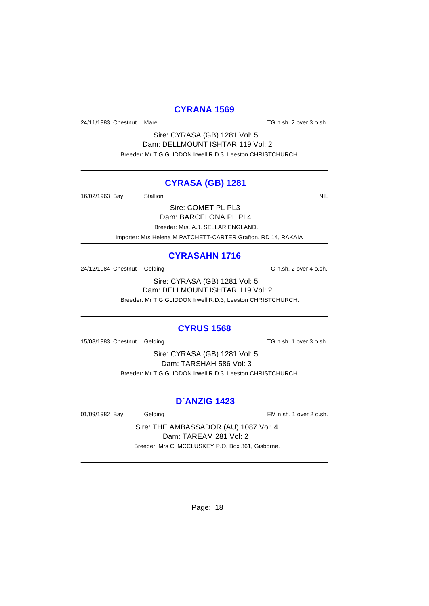#### **CYRANA 1569**

24/11/1983 Chestnut Mare TG n.sh. 2 over 3 o.sh.

Sire: CYRASA (GB) 1281 Vol: 5 Dam: DELLMOUNT ISHTAR 119 Vol: 2 Breeder: Mr T G GLIDDON Irwell R.D.3, Leeston CHRISTCHURCH.

#### **CYRASA (GB) 1281**

16/02/1963 Bay Stallion Stallion State of the NIL State of the NIL State of the NIL State of the NIL State of the NIL

Sire: COMET PL PL3 Dam: BARCELONA PL PL4

Breeder: Mrs. A.J. SELLAR ENGLAND.

Importer: Mrs Helena M PATCHETT-CARTER Grafton, RD 14, RAKAIA

# **CYRASAHN 1716**

24/12/1984 Chestnut Gelding TG n.sh. 2 over 4 o.sh.

Sire: CYRASA (GB) 1281 Vol: 5 Dam: DELLMOUNT ISHTAR 119 Vol: 2 Breeder: Mr T G GLIDDON Irwell R.D.3, Leeston CHRISTCHURCH.

#### **CYRUS 1568**

15/08/1983 Chestnut Gelding TG n.sh. 1 over 3 o.sh.

Sire: CYRASA (GB) 1281 Vol: 5 Dam: TARSHAH 586 Vol: 3 Breeder: Mr T G GLIDDON Irwell R.D.3, Leeston CHRISTCHURCH.

# **D`ANZIG 1423**

01/09/1982 Bay Gelding Gelding EM n.sh. 1 over 2 o.sh.

Sire: THE AMBASSADOR (AU) 1087 Vol: 4 Dam: TAREAM 281 Vol: 2 Breeder: Mrs C. MCCLUSKEY P.O. Box 361, Gisborne.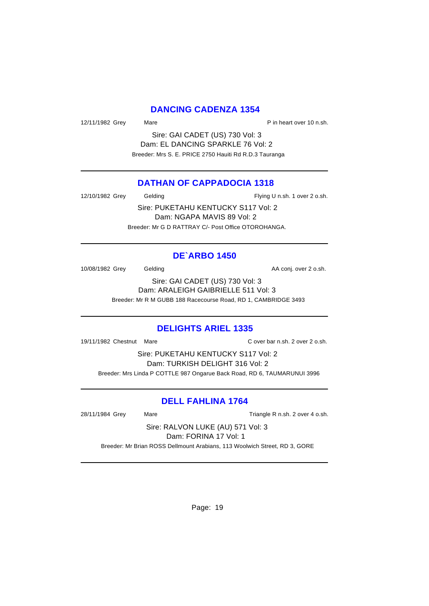#### **DANCING CADENZA 1354**

12/11/1982 Grey Mare Mare P in heart over 10 n.sh.

Sire: GAI CADET (US) 730 Vol: 3 Dam: EL DANCING SPARKLE 76 Vol: 2 Breeder: Mrs S. E. PRICE 2750 Hauiti Rd R.D.3 Tauranga

# **DATHAN OF CAPPADOCIA 1318**

12/10/1982 Grey Gelding Gelding Flying U n.sh. 1 over 2 o.sh.

Sire: PUKETAHU KENTUCKY S117 Vol: 2 Dam: NGAPA MAVIS 89 Vol: 2 Breeder: Mr G D RATTRAY C/- Post Office OTOROHANGA.

# **DE`ARBO 1450**

10/08/1982 Grey Gelding Gelding AA conj. over 2 o.sh.

Sire: GAI CADET (US) 730 Vol: 3 Dam: ARALEIGH GAIBRIELLE 511 Vol: 3 Breeder: Mr R M GUBB 188 Racecourse Road, RD 1, CAMBRIDGE 3493

# **DELIGHTS ARIEL 1335**

19/11/1982 Chestnut Mare C over bar n.sh. 2 over 2 o.sh.

Sire: PUKETAHU KENTUCKY S117 Vol: 2 Dam: TURKISH DELIGHT 316 Vol: 2 Breeder: Mrs Linda P COTTLE 987 Ongarue Back Road, RD 6, TAUMARUNUI 3996

# **DELL FAHLINA 1764**

28/11/1984 Grey Mare Mare Triangle R n.sh. 2 over 4 o.sh.

Sire: RALVON LUKE (AU) 571 Vol: 3 Dam: FORINA 17 Vol: 1

Breeder: Mr Brian ROSS Dellmount Arabians, 113 Woolwich Street, RD 3, GORE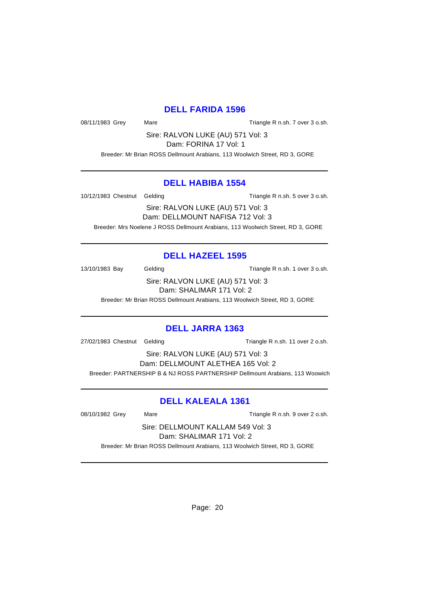#### **DELL FARIDA 1596**

08/11/1983 Grey Mare Mare Triangle R n.sh. 7 over 3 o.sh.

Sire: RALVON LUKE (AU) 571 Vol: 3

Dam: FORINA 17 Vol: 1

Breeder: Mr Brian ROSS Dellmount Arabians, 113 Woolwich Street, RD 3, GORE

#### **DELL HABIBA 1554**

10/12/1983 Chestnut Gelding Triangle R n.sh. 5 over 3 o.sh.

Sire: RALVON LUKE (AU) 571 Vol: 3 Dam: DELLMOUNT NAFISA 712 Vol: 3

Breeder: Mrs Noelene J ROSS Dellmount Arabians, 113 Woolwich Street, RD 3, GORE

# **DELL HAZEEL 1595**

13/10/1983 Bay Gelding Gelding Triangle R n.sh. 1 over 3 o.sh.

Sire: RALVON LUKE (AU) 571 Vol: 3 Dam: SHALIMAR 171 Vol: 2

Breeder: Mr Brian ROSS Dellmount Arabians, 113 Woolwich Street, RD 3, GORE

# **DELL JARRA 1363**

27/02/1983 Chestnut Gelding Triangle R n.sh. 11 over 2 o.sh.

Sire: RALVON LUKE (AU) 571 Vol: 3 Dam: DELLMOUNT ALETHEA 165 Vol: 2 Breeder: PARTNERSHIP B & NJ ROSS PARTNERSHIP Dellmount Arabians, 113 Woowich

# **DELL KALEALA 1361**

08/10/1982 Grey Mare Mare Triangle R n.sh. 9 over 2 o.sh.

Sire: DELLMOUNT KALLAM 549 Vol: 3 Dam: SHALIMAR 171 Vol: 2

Breeder: Mr Brian ROSS Dellmount Arabians, 113 Woolwich Street, RD 3, GORE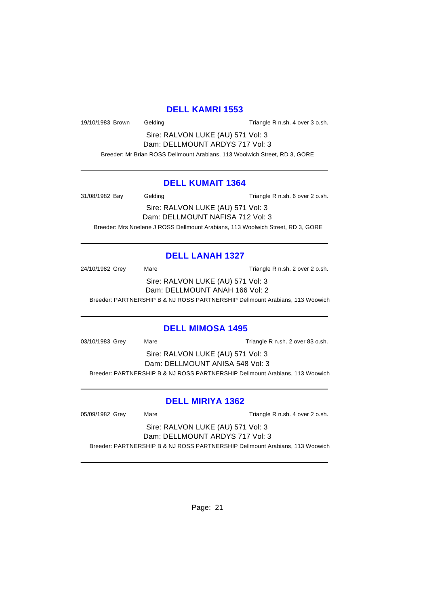#### **DELL KAMRI 1553**

19/10/1983 Brown Gelding Triangle R n.sh. 4 over 3 o.sh.

Sire: RALVON LUKE (AU) 571 Vol: 3 Dam: DELLMOUNT ARDYS 717 Vol: 3

Breeder: Mr Brian ROSS Dellmount Arabians, 113 Woolwich Street, RD 3, GORE

### **DELL KUMAIT 1364**

31/08/1982 Bay Gelding Gelding Triangle R n.sh. 6 over 2 o.sh.

Sire: RALVON LUKE (AU) 571 Vol: 3 Dam: DELLMOUNT NAFISA 712 Vol: 3

Breeder: Mrs Noelene J ROSS Dellmount Arabians, 113 Woolwich Street, RD 3, GORE

# **DELL LANAH 1327**

24/10/1982 Grey Mare Mare Triangle R n.sh. 2 over 2 o.sh. Sire: RALVON LUKE (AU) 571 Vol: 3 Dam: DELLMOUNT ANAH 166 Vol: 2

Breeder: PARTNERSHIP B & NJ ROSS PARTNERSHIP Dellmount Arabians, 113 Woowich

#### **DELL MIMOSA 1495**

03/10/1983 Grey Mare Mare Triangle R n.sh. 2 over 83 o.sh. Sire: RALVON LUKE (AU) 571 Vol: 3 Dam: DELLMOUNT ANISA 548 Vol: 3 Breeder: PARTNERSHIP B & NJ ROSS PARTNERSHIP Dellmount Arabians, 113 Woowich

# **DELL MIRIYA 1362**

05/09/1982 Grey Mare Mare Triangle R n.sh. 4 over 2 o.sh.

Sire: RALVON LUKE (AU) 571 Vol: 3 Dam: DELLMOUNT ARDYS 717 Vol: 3

Breeder: PARTNERSHIP B & NJ ROSS PARTNERSHIP Dellmount Arabians, 113 Woowich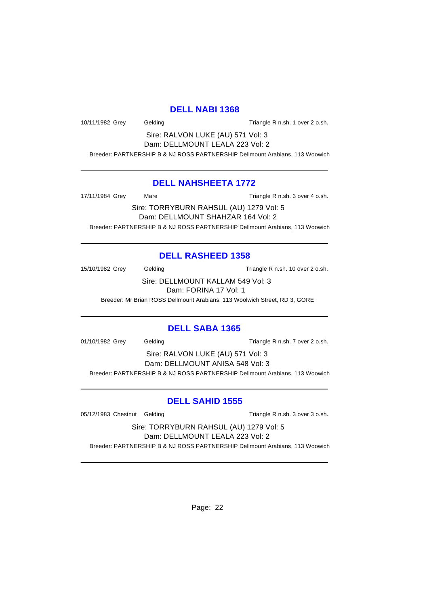#### **DELL NABI 1368**

10/11/1982 Grey Gelding Triangle R n.sh. 1 over 2 o.sh.

Sire: RALVON LUKE (AU) 571 Vol: 3 Dam: DELLMOUNT LEALA 223 Vol: 2

Breeder: PARTNERSHIP B & NJ ROSS PARTNERSHIP Dellmount Arabians, 113 Woowich

#### **DELL NAHSHEETA 1772**

17/11/1984 Grey Mare Mare Triangle R n.sh. 3 over 4 o.sh.

Sire: TORRYBURN RAHSUL (AU) 1279 Vol: 5 Dam: DELLMOUNT SHAHZAR 164 Vol: 2 Breeder: PARTNERSHIP B & NJ ROSS PARTNERSHIP Dellmount Arabians, 113 Woowich

# **DELL RASHEED 1358**

15/10/1982 Grey Gelding Triangle R n.sh. 10 over 2 o.sh.

Sire: DELLMOUNT KALLAM 549 Vol: 3 Dam: FORINA 17 Vol: 1

Breeder: Mr Brian ROSS Dellmount Arabians, 113 Woolwich Street, RD 3, GORE

# **DELL SABA 1365**

01/10/1982 Grey Gelding Triangle R n.sh. 7 over 2 o.sh.

Sire: RALVON LUKE (AU) 571 Vol: 3 Dam: DELLMOUNT ANISA 548 Vol: 3 Breeder: PARTNERSHIP B & NJ ROSS PARTNERSHIP Dellmount Arabians, 113 Woowich

# **DELL SAHID 1555**

05/12/1983 Chestnut Gelding Triangle R n.sh. 3 over 3 o.sh.

Sire: TORRYBURN RAHSUL (AU) 1279 Vol: 5 Dam: DELLMOUNT LEALA 223 Vol: 2 Breeder: PARTNERSHIP B & NJ ROSS PARTNERSHIP Dellmount Arabians, 113 Woowich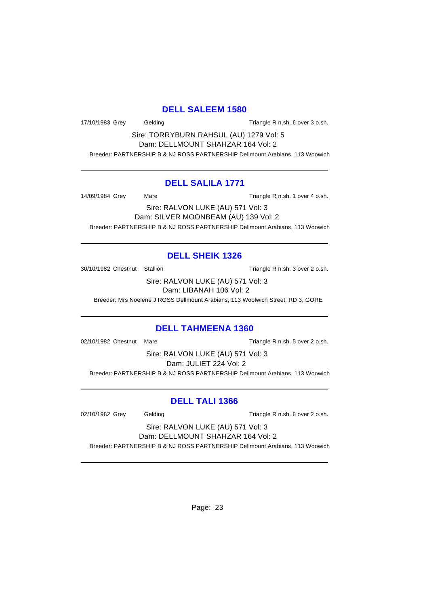### **DELL SALEEM 1580**

17/10/1983 Grey Gelding Gelding Triangle R n.sh. 6 over 3 o.sh.

Sire: TORRYBURN RAHSUL (AU) 1279 Vol: 5 Dam: DELLMOUNT SHAHZAR 164 Vol: 2

Breeder: PARTNERSHIP B & NJ ROSS PARTNERSHIP Dellmount Arabians, 113 Woowich

#### **DELL SALILA 1771**

14/09/1984 Grey Mare Mare Triangle R n.sh. 1 over 4 o.sh.

Sire: RALVON LUKE (AU) 571 Vol: 3 Dam: SILVER MOONBEAM (AU) 139 Vol: 2 Breeder: PARTNERSHIP B & NJ ROSS PARTNERSHIP Dellmount Arabians, 113 Woowich

# **DELL SHEIK 1326**

30/10/1982 Chestnut Stallion Triangle R n.sh. 3 over 2 o.sh.

Sire: RALVON LUKE (AU) 571 Vol: 3 Dam: LIBANAH 106 Vol: 2

Breeder: Mrs Noelene J ROSS Dellmount Arabians, 113 Woolwich Street, RD 3, GORE

#### **DELL TAHMEENA 1360**

02/10/1982 Chestnut Mare Triangle R n.sh. 5 over 2 o.sh.

Sire: RALVON LUKE (AU) 571 Vol: 3 Dam: JULIET 224 Vol: 2

Breeder: PARTNERSHIP B & NJ ROSS PARTNERSHIP Dellmount Arabians, 113 Woowich

# **DELL TALI 1366**

02/10/1982 Grey Gelding Gelding Triangle R n.sh. 8 over 2 o.sh.

Sire: RALVON LUKE (AU) 571 Vol: 3 Dam: DELLMOUNT SHAHZAR 164 Vol: 2

Breeder: PARTNERSHIP B & NJ ROSS PARTNERSHIP Dellmount Arabians, 113 Woowich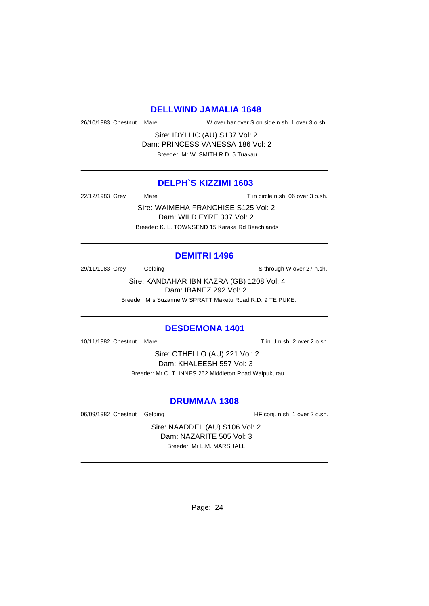#### **DELLWIND JAMALIA 1648**

26/10/1983 Chestnut Mare W over bar over S on side n.sh. 1 over 3 o.sh.

Sire: IDYLLIC (AU) S137 Vol: 2 Dam: PRINCESS VANESSA 186 Vol: 2 Breeder: Mr W. SMITH R.D. 5 Tuakau

#### **DELPH`S KIZZIMI 1603**

22/12/1983 Grey Mare T in circle n.sh. 06 over 3 o.sh.

Sire: WAIMEHA FRANCHISE S125 Vol: 2 Dam: WILD FYRE 337 Vol: 2 Breeder: K. L. TOWNSEND 15 Karaka Rd Beachlands

#### **DEMITRI 1496**

29/11/1983 Grey Gelding School and Sthrough W over 27 n.sh.

Sire: KANDAHAR IBN KAZRA (GB) 1208 Vol: 4 Dam: IBANEZ 292 Vol: 2

Breeder: Mrs Suzanne W SPRATT Maketu Road R.D. 9 TE PUKE.

#### **DESDEMONA 1401**

10/11/1982 Chestnut Mare The Charles Chestnut Mare T in U n.sh. 2 over 2 o.sh.

Sire: OTHELLO (AU) 221 Vol: 2 Dam: KHALEESH 557 Vol: 3 Breeder: Mr C. T. INNES 252 Middleton Road Waipukurau

#### **DRUMMAA 1308**

06/09/1982 Chestnut Gelding The State of HF conj. n.sh. 1 over 2 o.sh.

Sire: NAADDEL (AU) S106 Vol: 2 Dam: NAZARITE 505 Vol: 3 Breeder: Mr L.M. MARSHALL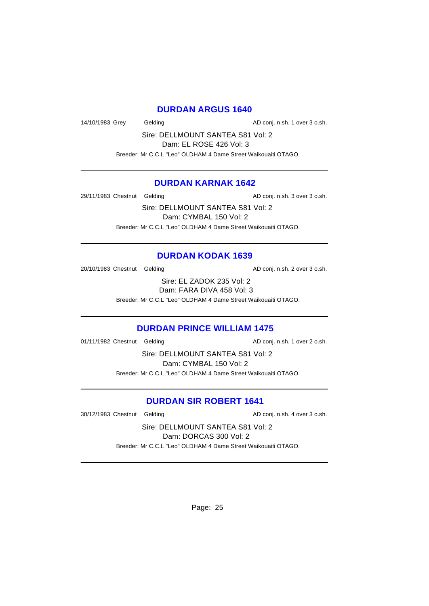#### **DURDAN ARGUS 1640**

14/10/1983 Grey Gelding Conj. n.sh. 1 over 3 o.sh.

Sire: DELLMOUNT SANTEA S81 Vol: 2 Dam: EL ROSE 426 Vol: 3

Breeder: Mr C.C.L "Leo" OLDHAM 4 Dame Street Waikouaiti OTAGO.

## **DURDAN KARNAK 1642**

29/11/1983 Chestnut Gelding and AD conj. n.sh. 3 over 3 o.sh.

Sire: DELLMOUNT SANTEA S81 Vol: 2 Dam: CYMBAL 150 Vol: 2 Breeder: Mr C.C.L "Leo" OLDHAM 4 Dame Street Waikouaiti OTAGO.

#### **DURDAN KODAK 1639**

20/10/1983 Chestnut Gelding and analysis and AD conj. n.sh. 2 over 3 o.sh.

Sire: EL ZADOK 235 Vol: 2 Dam: FARA DIVA 458 Vol: 3

Breeder: Mr C.C.L "Leo" OLDHAM 4 Dame Street Waikouaiti OTAGO.

### **DURDAN PRINCE WILLIAM 1475**

01/11/1982 Chestnut Gelding and AD conj. n.sh. 1 over 2 o.sh.

Sire: DELLMOUNT SANTEA S81 Vol: 2 Dam: CYMBAL 150 Vol: 2 Breeder: Mr C.C.L "Leo" OLDHAM 4 Dame Street Waikouaiti OTAGO.

### **DURDAN SIR ROBERT 1641**

30/12/1983 Chestnut Gelding and AD conj. n.sh. 4 over 3 o.sh.

Sire: DELLMOUNT SANTEA S81 Vol: 2 Dam: DORCAS 300 Vol: 2

Breeder: Mr C.C.L "Leo" OLDHAM 4 Dame Street Waikouaiti OTAGO.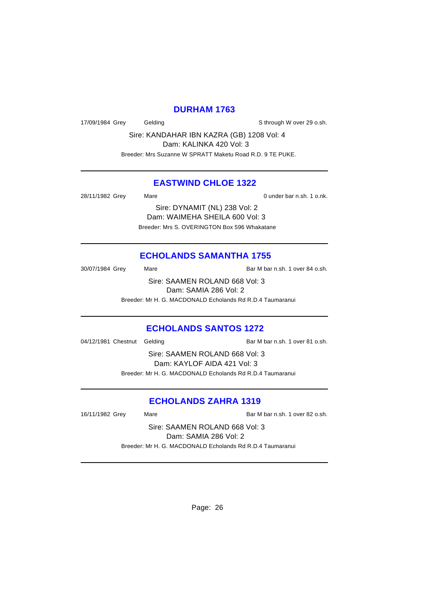#### **DURHAM 1763**

17/09/1984 Grey Gelding Gelding School Sthrough W over 29 o.sh.

Sire: KANDAHAR IBN KAZRA (GB) 1208 Vol: 4 Dam: KALINKA 420 Vol: 3 Breeder: Mrs Suzanne W SPRATT Maketu Road R.D. 9 TE PUKE.

#### **EASTWIND CHLOE 1322**

28/11/1982 Grey Mare 0 under bar n.sh. 1 o.nk. Sire: DYNAMIT (NL) 238 Vol: 2

> Dam: WAIMEHA SHEILA 600 Vol: 3 Breeder: Mrs S. OVERINGTON Box 596 Whakatane

### **ECHOLANDS SAMANTHA 1755**

30/07/1984 Grey Mare Mare Bar M bar n.sh. 1 over 84 o.sh. Sire: SAAMEN ROLAND 668 Vol: 3 Dam: SAMIA 286 Vol: 2

Breeder: Mr H. G. MACDONALD Echolands Rd R.D.4 Taumaranui

#### **ECHOLANDS SANTOS 1272**

04/12/1981 Chestnut Gelding Bar M bar n.sh. 1 over 81 o.sh.

Sire: SAAMEN ROLAND 668 Vol: 3 Dam: KAYLOF AIDA 421 Vol: 3 Breeder: Mr H. G. MACDONALD Echolands Rd R.D.4 Taumaranui

#### **ECHOLANDS ZAHRA 1319**

16/11/1982 Grey Mare Mare Bar M bar n.sh. 1 over 82 o.sh.

Sire: SAAMEN ROLAND 668 Vol: 3 Dam: SAMIA 286 Vol: 2 Breeder: Mr H. G. MACDONALD Echolands Rd R.D.4 Taumaranui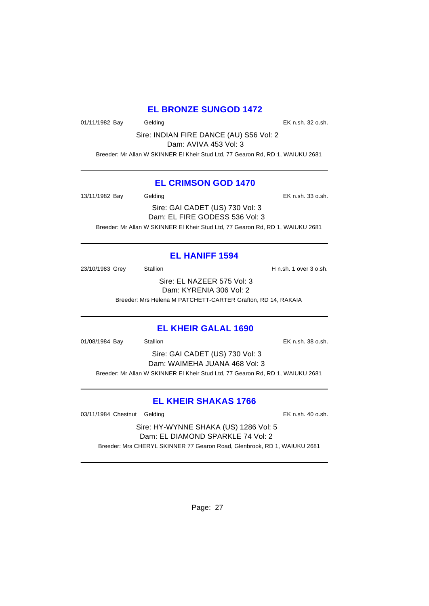# **EL BRONZE SUNGOD 1472**

01/11/1982 Bay Gelding Cash. 32 o.sh.

Sire: INDIAN FIRE DANCE (AU) S56 Vol: 2 Dam: AVIVA 453 Vol: 3

Breeder: Mr Allan W SKINNER El Kheir Stud Ltd, 77 Gearon Rd, RD 1, WAIUKU 2681

# **EL CRIMSON GOD 1470**

13/11/1982 Bay Gelding EK n.sh. 33 o.sh.

Sire: GAI CADET (US) 730 Vol: 3 Dam: EL FIRE GODESS 536 Vol: 3 Breeder: Mr Allan W SKINNER El Kheir Stud Ltd, 77 Gearon Rd, RD 1, WAIUKU 2681

# **EL HANIFF 1594**

23/10/1983 Grey Stallion Stallion State State State State State State State State State State State State State

Sire: EL NAZEER 575 Vol: 3 Dam: KYRENIA 306 Vol: 2 Breeder: Mrs Helena M PATCHETT-CARTER Grafton, RD 14, RAKAIA

# **EL KHEIR GALAL 1690**

01/08/1984 Bay Stallion EK n.sh. 38 o.sh.

Sire: GAI CADET (US) 730 Vol: 3 Dam: WAIMEHA JUANA 468 Vol: 3 Breeder: Mr Allan W SKINNER El Kheir Stud Ltd, 77 Gearon Rd, RD 1, WAIUKU 2681

# **EL KHEIR SHAKAS 1766**

03/11/1984 Chestnut Gelding extending the EK n.sh. 40 o.sh.

Sire: HY-WYNNE SHAKA (US) 1286 Vol: 5 Dam: EL DIAMOND SPARKLE 74 Vol: 2 Breeder: Mrs CHERYL SKINNER 77 Gearon Road, Glenbrook, RD 1, WAIUKU 2681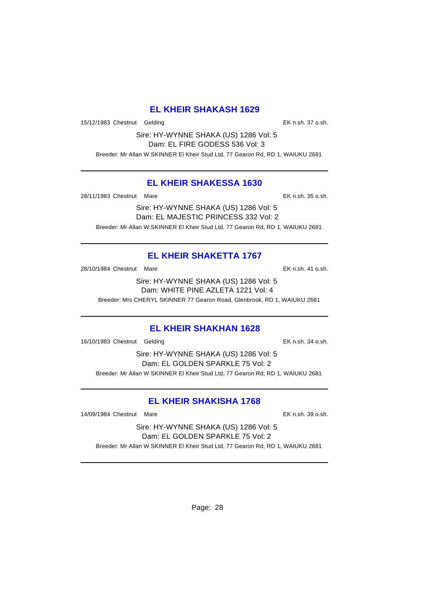# **EL KHEIR SHAKASH 1629**

15/12/1983 Chestnut Gelding EK n.sh. 37 o.sh.

Sire: HY-WYNNE SHAKA (US) 1286 Vol: 5 Dam: EL FIRE GODESS 536 Vol: 3 Breeder: Mr Allan W SKINNER El Kheir Stud Ltd, 77 Gearon Rd, RD 1, WAIUKU 2681

### **EL KHEIR SHAKESSA 1630**

28/11/1983 Chestnut Mare EK n.sh. 35 o.sh.

Sire: HY-WYNNE SHAKA (US) 1286 Vol: 5 Dam: EL MAJESTIC PRINCESS 332 Vol: 2 Breeder: Mr Allan W SKINNER El Kheir Stud Ltd, 77 Gearon Rd, RD 1, WAIUKU 2681

# **EL KHEIR SHAKETTA 1767**

28/10/1984 Chestnut Mare **EX n.sh.** 41 o.sh.

Sire: HY-WYNNE SHAKA (US) 1286 Vol: 5 Dam: WHITE PINE AZLETA 1221 Vol: 4

Breeder: Mrs CHERYL SKINNER 77 Gearon Road, Glenbrook, RD 1, WAIUKU 2681

# **EL KHEIR SHAKHAN 1628**

16/10/1983 Chestnut Gelding EK n.sh. 34 o.sh.

Sire: HY-WYNNE SHAKA (US) 1286 Vol: 5 Dam: EL GOLDEN SPARKLE 75 Vol: 2 Breeder: Mr Allan W SKINNER El Kheir Stud Ltd, 77 Gearon Rd, RD 1, WAIUKU 2681

# **EL KHEIR SHAKISHA 1768**

14/09/1984 Chestnut Mare EK n.sh. 39 o.sh.

Sire: HY-WYNNE SHAKA (US) 1286 Vol: 5 Dam: EL GOLDEN SPARKLE 75 Vol: 2 Breeder: Mr Allan W SKINNER El Kheir Stud Ltd, 77 Gearon Rd, RD 1, WAIUKU 2681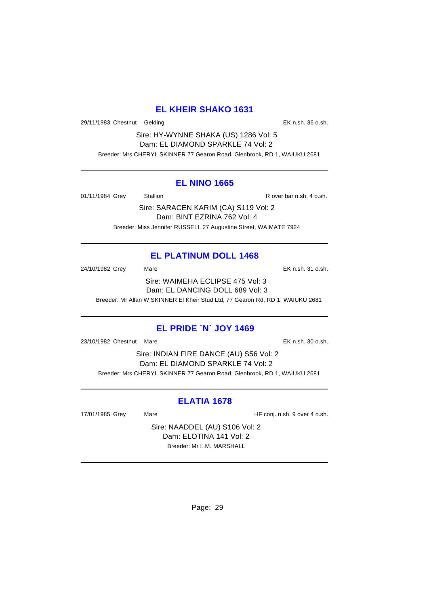# **EL KHEIR SHAKO 1631**

29/11/1983 Chestnut Gelding EK n.sh. 36 o.sh.

Sire: HY-WYNNE SHAKA (US) 1286 Vol: 5 Dam: EL DIAMOND SPARKLE 74 Vol: 2 Breeder: Mrs CHERYL SKINNER 77 Gearon Road, Glenbrook, RD 1, WAIUKU 2681

#### **EL NINO 1665**

01/11/1984 Grey Stallion Stallion State R over bar n.sh. 4 o.sh.

Sire: SARACEN KARIM (CA) S119 Vol: 2 Dam: BINT EZRINA 762 Vol: 4 Breeder: Miss Jennifer RUSSELL 27 Augustine Street, WAIMATE 7924

# **EL PLATINUM DOLL 1468**

24/10/1982 Grey Mare EK n.sh. 31 o.sh. Sire: WAIMEHA ECLIPSE 475 Vol: 3 Dam: EL DANCING DOLL 689 Vol: 3 Breeder: Mr Allan W SKINNER El Kheir Stud Ltd, 77 Gearon Rd, RD 1, WAIUKU 2681

# **EL PRIDE `N` JOY 1469**

23/10/1982 Chestnut Mare EK n.sh. 30 o.sh.

Sire: INDIAN FIRE DANCE (AU) S56 Vol: 2 Dam: EL DIAMOND SPARKLE 74 Vol: 2 Breeder: Mrs CHERYL SKINNER 77 Gearon Road, Glenbrook, RD 1, WAIUKU 2681

# **ELATIA 1678**

17/01/1985 Grey Mare Mare HF conj. n.sh. 9 over 4 o.sh.

Sire: NAADDEL (AU) S106 Vol: 2 Dam: ELOTINA 141 Vol: 2 Breeder: Mr L.M. MARSHALL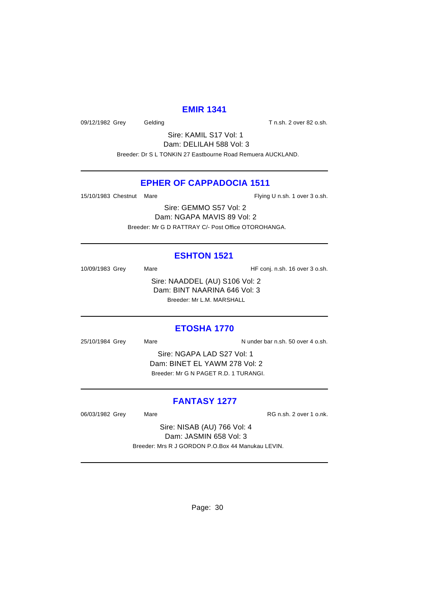#### **EMIR 1341**

09/12/1982 Grey Gelding Contact Contact T n.sh. 2 over 82 o.sh.

Sire: KAMIL S17 Vol: 1 Dam: DELILAH 588 Vol: 3 Breeder: Dr S L TONKIN 27 Eastbourne Road Remuera AUCKLAND.

### **EPHER OF CAPPADOCIA 1511**

15/10/1983 Chestnut Mare **Flying U n.sh.** 1 over 3 o.sh.

Sire: GEMMO S57 Vol: 2 Dam: NGAPA MAVIS 89 Vol: 2 Breeder: Mr G D RATTRAY C/- Post Office OTOROHANGA.

#### **ESHTON 1521**

10/09/1983 Grey Mare Mare HF conj. n.sh. 16 over 3 o.sh. Sire: NAADDEL (AU) S106 Vol: 2 Dam: BINT NAARINA 646 Vol: 3 Breeder: Mr L.M. MARSHALL

### **ETOSHA 1770**

25/10/1984 Grey Mare Nare Number of Number bar n.sh. 50 over 4 o.sh.

Sire: NGAPA LAD S27 Vol: 1 Dam: BINET EL YAWM 278 Vol: 2 Breeder: Mr G N PAGET R.D. 1 TURANGI.

# **FANTASY 1277**

06/03/1982 Grey Mare Mare RG n.sh. 2 over 1 o.nk.

Sire: NISAB (AU) 766 Vol: 4 Dam: JASMIN 658 Vol: 3 Breeder: Mrs R J GORDON P.O.Box 44 Manukau LEVIN.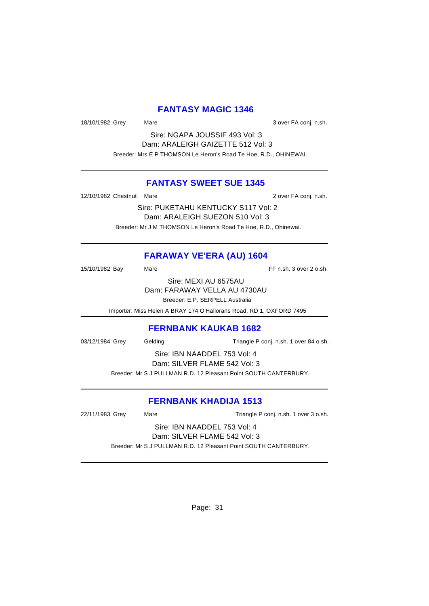## **FANTASY MAGIC 1346**

18/10/1982 Grey Mare Mare 3 over FA conj. n.sh.

Sire: NGAPA JOUSSIF 493 Vol: 3 Dam: ARALEIGH GAIZETTE 512 Vol: 3 Breeder: Mrs E P THOMSON Le Heron's Road Te Hoe, R.D., OHINEWAI.

# **FANTASY SWEET SUE 1345**

12/10/1982 Chestnut Mare 20 over FA conj. n.sh.

Sire: PUKETAHU KENTUCKY S117 Vol: 2 Dam: ARALEIGH SUEZON 510 Vol: 3 Breeder: Mr J M THOMSON Le Heron's Road Te Hoe, R.D., Ohinewai.

# **FARAWAY VE'ERA (AU) 1604**

15/10/1982 Bay Mare Mare Construction of the FF n.sh. 3 over 2 o.sh.

Sire: MEXI AU 6575AU Dam: FARAWAY VELLA AU 4730AU Breeder: E.P. SERPELL Australia

Importer: Miss Helen A BRAY 174 O'Hallorans Road, RD 1, OXFORD 7495

# **FERNBANK KAUKAB 1682**

03/12/1984 Grey Gelding Triangle P conj. n.sh. 1 over 84 o.sh.

Sire: IBN NAADDEL 753 Vol: 4 Dam: SILVER FLAME 542 Vol: 3 Breeder: Mr S J PULLMAN R.D. 12 Pleasant Point SOUTH CANTERBURY.

# **FERNBANK KHADIJA 1513**

22/11/1983 Grey Mare Mare Triangle P conj. n.sh. 1 over 3 o.sh.

Sire: IBN NAADDEL 753 Vol: 4 Dam: SILVER FLAME 542 Vol: 3

Breeder: Mr S J PULLMAN R.D. 12 Pleasant Point SOUTH CANTERBURY.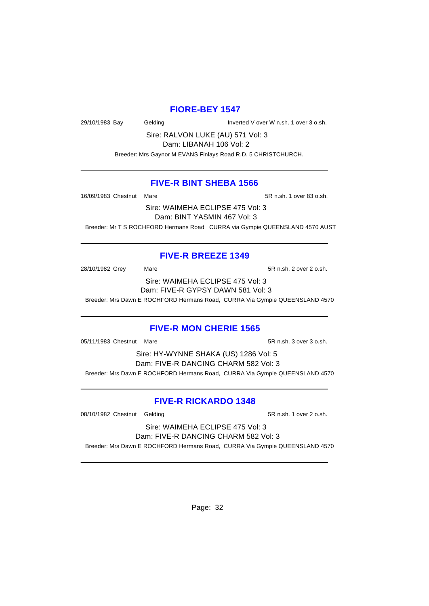#### **FIORE-BEY 1547**

29/10/1983 Bay Gelding Inverted V over W n.sh. 1 over 3 o.sh.

Sire: RALVON LUKE (AU) 571 Vol: 3 Dam: LIBANAH 106 Vol: 2

Breeder: Mrs Gaynor M EVANS Finlays Road R.D. 5 CHRISTCHURCH.

### **FIVE-R BINT SHEBA 1566**

16/09/1983 Chestnut Mare 5R n.sh. 1 over 83 o.sh.

Sire: WAIMEHA ECLIPSE 475 Vol: 3 Dam: BINT YASMIN 467 Vol: 3 Breeder: Mr T S ROCHFORD Hermans Road CURRA via Gympie QUEENSLAND 4570 AUST

# **FIVE-R BREEZE 1349**

28/10/1982 Grey Mare Mare 5R n.sh. 2 over 2 o.sh. Sire: WAIMEHA ECLIPSE 475 Vol: 3 Dam: FIVE-R GYPSY DAWN 581 Vol: 3

Breeder: Mrs Dawn E ROCHFORD Hermans Road, CURRA Via Gympie QUEENSLAND 4570

# **FIVE-R MON CHERIE 1565**

05/11/1983 Chestnut Mare 5R n.sh. 3 over 3 o.sh.

Sire: HY-WYNNE SHAKA (US) 1286 Vol: 5 Dam: FIVE-R DANCING CHARM 582 Vol: 3 Breeder: Mrs Dawn E ROCHFORD Hermans Road, CURRA Via Gympie QUEENSLAND 4570

# **FIVE-R RICKARDO 1348**

08/10/1982 Chestnut Gelding 5R n.sh. 1 over 2 o.sh.

Sire: WAIMEHA ECLIPSE 475 Vol: 3 Dam: FIVE-R DANCING CHARM 582 Vol: 3 Breeder: Mrs Dawn E ROCHFORD Hermans Road, CURRA Via Gympie QUEENSLAND 4570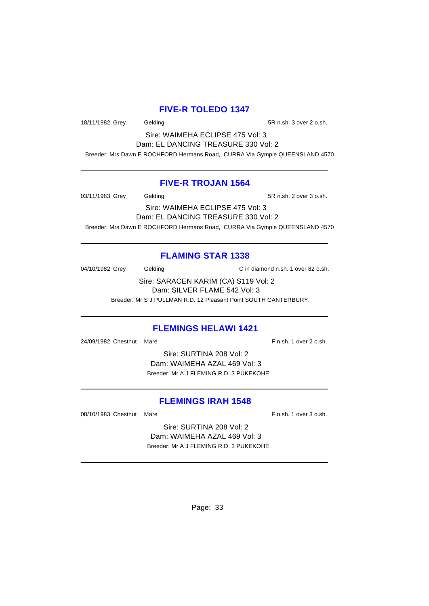## **FIVE-R TOLEDO 1347**

18/11/1982 Grey Gelding 5R n.sh. 3 over 2 o.sh.

Sire: WAIMEHA ECLIPSE 475 Vol: 3 Dam: EL DANCING TREASURE 330 Vol: 2

Breeder: Mrs Dawn E ROCHFORD Hermans Road, CURRA Via Gympie QUEENSLAND 4570

## **FIVE-R TROJAN 1564**

03/11/1983 Grey Gelding 61 Collection 5R n.sh. 2 over 3 o.sh.

Sire: WAIMEHA ECLIPSE 475 Vol: 3 Dam: EL DANCING TREASURE 330 Vol: 2 Breeder: Mrs Dawn E ROCHFORD Hermans Road, CURRA Via Gympie QUEENSLAND 4570

# **FLAMING STAR 1338**

04/10/1982 Grey Gelding C in diamond n.sh. 1 over 82 o.sh.

Sire: SARACEN KARIM (CA) S119 Vol: 2 Dam: SILVER FLAME 542 Vol: 3

Breeder: Mr S J PULLMAN R.D. 12 Pleasant Point SOUTH CANTERBURY.

# **FLEMINGS HELAWI 1421**

24/09/1982 Chestnut Mare F n.sh. 1 over 2 o.sh.

Sire: SURTINA 208 Vol: 2 Dam: WAIMEHA AZAL 469 Vol: 3 Breeder: Mr A J FLEMING R.D. 3 PUKEKOHE.

### **FLEMINGS IRAH 1548**

08/10/1983 Chestnut Mare **F** n.sh. 1 over 3 o.sh.

Sire: SURTINA 208 Vol: 2 Dam: WAIMEHA AZAL 469 Vol: 3 Breeder: Mr A J FLEMING R.D. 3 PUKEKOHE.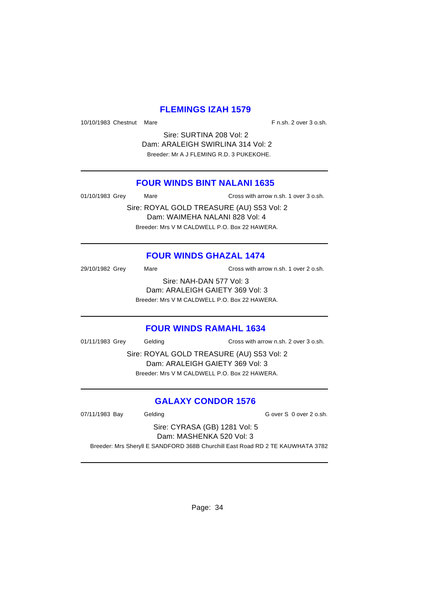#### **FLEMINGS IZAH 1579**

10/10/1983 Chestnut Mare F n.sh. 2 over 3 o.sh.

Sire: SURTINA 208 Vol: 2 Dam: ARALEIGH SWIRLINA 314 Vol: 2 Breeder: Mr A J FLEMING R.D. 3 PUKEKOHE.

### **FOUR WINDS BINT NALANI 1635**

| 01/10/1983 Grey                | Mare                                      | Cross with arrow n.sh. 1 over 3 o.sh. |
|--------------------------------|-------------------------------------------|---------------------------------------|
|                                | Sire: ROYAL GOLD TREASURE (AU) S53 Vol: 2 |                                       |
| Dam: WAIMEHA NALANI 828 Vol: 4 |                                           |                                       |

Breeder: Mrs V M CALDWELL P.O. Box 22 HAWERA.

# **FOUR WINDS GHAZAL 1474**

| 29/10/1982 Grey                 | Mare | Cross with arrow n.sh. 1 over 2 o.sh.         |
|---------------------------------|------|-----------------------------------------------|
|                                 |      | Sire: NAH-DAN 577 Vol: 3                      |
| Dam: ARALEIGH GAIETY 369 Vol: 3 |      |                                               |
|                                 |      | Breeder: Mrs V M CALDWELL P.O. Box 22 HAWERA. |
|                                 |      |                                               |

#### **FOUR WINDS RAMAHL 1634**

01/11/1983 Grey Gelding Cross with arrow n.sh. 2 over 3 o.sh.

Sire: ROYAL GOLD TREASURE (AU) S53 Vol: 2 Dam: ARALEIGH GAIETY 369 Vol: 3 Breeder: Mrs V M CALDWELL P.O. Box 22 HAWERA.

# **GALAXY CONDOR 1576**

07/11/1983 Bay Gelding G over S 0 over 2 o.sh.

Sire: CYRASA (GB) 1281 Vol: 5 Dam: MASHENKA 520 Vol: 3

Breeder: Mrs Sheryll E SANDFORD 368B Churchill East Road RD 2 TE KAUWHATA 3782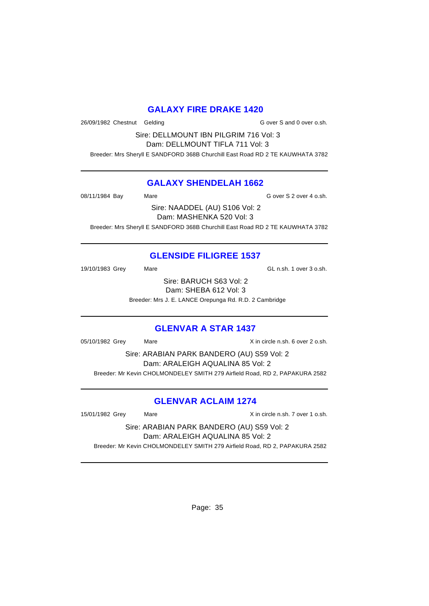# **GALAXY FIRE DRAKE 1420**

26/09/1982 Chestnut Gelding G over S and 0 over o.sh.

Sire: DELLMOUNT IBN PILGRIM 716 Vol: 3 Dam: DELLMOUNT TIFLA 711 Vol: 3

Breeder: Mrs Sheryll E SANDFORD 368B Churchill East Road RD 2 TE KAUWHATA 3782

## **GALAXY SHENDELAH 1662**

08/11/1984 Bay Mare Constanting Mare G over S 2 over 4 o.sh.

Sire: NAADDEL (AU) S106 Vol: 2 Dam: MASHENKA 520 Vol: 3

Breeder: Mrs Sheryll E SANDFORD 368B Churchill East Road RD 2 TE KAUWHATA 3782

# **GLENSIDE FILIGREE 1537**

19/10/1983 Grey Mare Mare GL n.sh. 1 over 3 o.sh.

Sire: BARUCH S63 Vol: 2 Dam: SHEBA 612 Vol: 3

Breeder: Mrs J. E. LANCE Orepunga Rd. R.D. 2 Cambridge

# **GLENVAR A STAR 1437**

05/10/1982 Grey Mare Mare X in circle n.sh. 6 over 2 o.sh.

Sire: ARABIAN PARK BANDERO (AU) S59 Vol: 2 Dam: ARALEIGH AQUALINA 85 Vol: 2 Breeder: Mr Kevin CHOLMONDELEY SMITH 279 Airfield Road, RD 2, PAPAKURA 2582

# **GLENVAR ACLAIM 1274**

15/01/1982 Grey Mare Mare X in circle n.sh. 7 over 1 o.sh. Sire: ARABIAN PARK BANDERO (AU) S59 Vol: 2 Dam: ARALEIGH AQUALINA 85 Vol: 2 Breeder: Mr Kevin CHOLMONDELEY SMITH 279 Airfield Road, RD 2, PAPAKURA 2582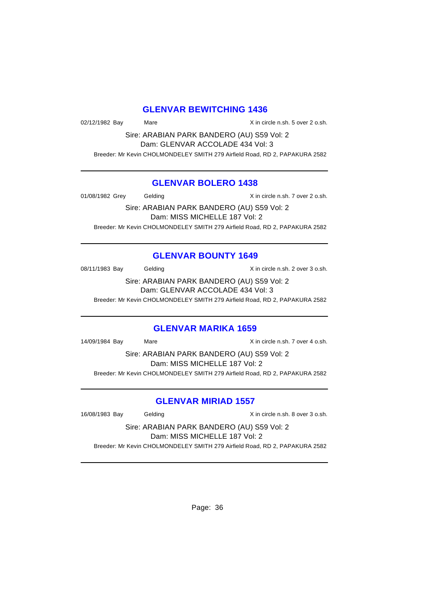#### **GLENVAR BEWITCHING 1436**

02/12/1982 Bay Mare Mare X in circle n.sh. 5 over 2 o.sh.

Sire: ARABIAN PARK BANDERO (AU) S59 Vol: 2 Dam: GLENVAR ACCOLADE 434 Vol: 3 Breeder: Mr Kevin CHOLMONDELEY SMITH 279 Airfield Road, RD 2, PAPAKURA 2582

#### **GLENVAR BOLERO 1438**

01/08/1982 Grey Gelding The State of American State Control of American State of America Control of America of A

Sire: ARABIAN PARK BANDERO (AU) S59 Vol: 2 Dam: MISS MICHELLE 187 Vol: 2 Breeder: Mr Kevin CHOLMONDELEY SMITH 279 Airfield Road, RD 2, PAPAKURA 2582

# **GLENVAR BOUNTY 1649**

08/11/1983 Bay Gelding Casset Contract Contract Contract Contract Contract Contract Contract Contract Contract Contract Contract Contract Contract Contract Contract Contract Contract Contract Contract Contract Contract Con

Sire: ARABIAN PARK BANDERO (AU) S59 Vol: 2 Dam: GLENVAR ACCOLADE 434 Vol: 3

Breeder: Mr Kevin CHOLMONDELEY SMITH 279 Airfield Road, RD 2, PAPAKURA 2582

#### **GLENVAR MARIKA 1659**

14/09/1984 Bay Mare Mare X in circle n.sh. 7 over 4 o.sh.

Sire: ARABIAN PARK BANDERO (AU) S59 Vol: 2 Dam: MISS MICHELLE 187 Vol: 2 Breeder: Mr Kevin CHOLMONDELEY SMITH 279 Airfield Road, RD 2, PAPAKURA 2582

# **GLENVAR MIRIAD 1557**

16/08/1983 Bay Gelding Care and South Ariental Ariental Ariental Ariental Ariental Ariental Ariental Ariental A

Sire: ARABIAN PARK BANDERO (AU) S59 Vol: 2 Dam: MISS MICHELLE 187 Vol: 2 Breeder: Mr Kevin CHOLMONDELEY SMITH 279 Airfield Road, RD 2, PAPAKURA 2582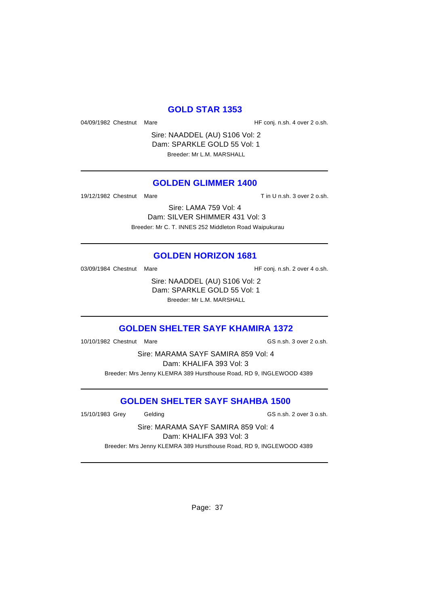### **GOLD STAR 1353**

04/09/1982 Chestnut Mare **Market Accord Market Constructs** HF conj. n.sh. 4 over 2 o.sh.

Sire: NAADDEL (AU) S106 Vol: 2 Dam: SPARKLE GOLD 55 Vol: 1 Breeder: Mr L.M. MARSHALL

### **GOLDEN GLIMMER 1400**

19/12/1982 Chestnut Mare The Chestnut Mare T in U n.sh. 3 over 2 o.sh.

Sire: LAMA 759 Vol: 4 Dam: SILVER SHIMMER 431 Vol: 3 Breeder: Mr C. T. INNES 252 Middleton Road Waipukurau

#### **GOLDEN HORIZON 1681**

03/09/1984 Chestnut Mare **HF** conj. n.sh. 2 over 4 o.sh.

Sire: NAADDEL (AU) S106 Vol: 2 Dam: SPARKLE GOLD 55 Vol: 1 Breeder: Mr L.M. MARSHALL

#### **GOLDEN SHELTER SAYF KHAMIRA 1372**

10/10/1982 Chestnut Mare GS n.sh. 3 over 2 o.sh.

Sire: MARAMA SAYF SAMIRA 859 Vol: 4 Dam: KHALIFA 393 Vol: 3 Breeder: Mrs Jenny KLEMRA 389 Hursthouse Road, RD 9, INGLEWOOD 4389

## **GOLDEN SHELTER SAYF SHAHBA 1500**

15/10/1983 Grey Gelding GS n.sh. 2 over 3 o.sh.

Sire: MARAMA SAYF SAMIRA 859 Vol: 4 Dam: KHALIFA 393 Vol: 3

Breeder: Mrs Jenny KLEMRA 389 Hursthouse Road, RD 9, INGLEWOOD 4389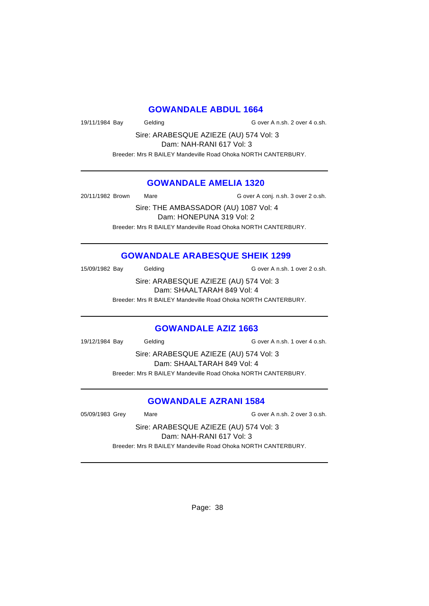#### **GOWANDALE ABDUL 1664**

19/11/1984 Bay Gelding Gelding G over A n.sh. 2 over 4 o.sh.

Sire: ARABESQUE AZIEZE (AU) 574 Vol: 3 Dam: NAH-RANI 617 Vol: 3

Breeder: Mrs R BAILEY Mandeville Road Ohoka NORTH CANTERBURY.

### **GOWANDALE AMELIA 1320**

20/11/1982 Brown Mare Mare G over A conj. n.sh. 3 over 2 o.sh.

Sire: THE AMBASSADOR (AU) 1087 Vol: 4 Dam: HONEPUNA 319 Vol: 2 Breeder: Mrs R BAILEY Mandeville Road Ohoka NORTH CANTERBURY.

# **GOWANDALE ARABESQUE SHEIK 1299**

15/09/1982 Bay Gelding G over A n.sh. 1 over 2 o.sh.

Sire: ARABESQUE AZIEZE (AU) 574 Vol: 3 Dam: SHAALTARAH 849 Vol: 4

Breeder: Mrs R BAILEY Mandeville Road Ohoka NORTH CANTERBURY.

## **GOWANDALE AZIZ 1663**

19/12/1984 Bay Gelding Gelding G over A n.sh. 1 over 4 o.sh.

Sire: ARABESQUE AZIEZE (AU) 574 Vol: 3 Dam: SHAALTARAH 849 Vol: 4 Breeder: Mrs R BAILEY Mandeville Road Ohoka NORTH CANTERBURY.

## **GOWANDALE AZRANI 1584**

05/09/1983 Grey Mare Mare G over A n.sh. 2 over 3 o.sh.

Sire: ARABESQUE AZIEZE (AU) 574 Vol: 3 Dam: NAH-RANI 617 Vol: 3

Breeder: Mrs R BAILEY Mandeville Road Ohoka NORTH CANTERBURY.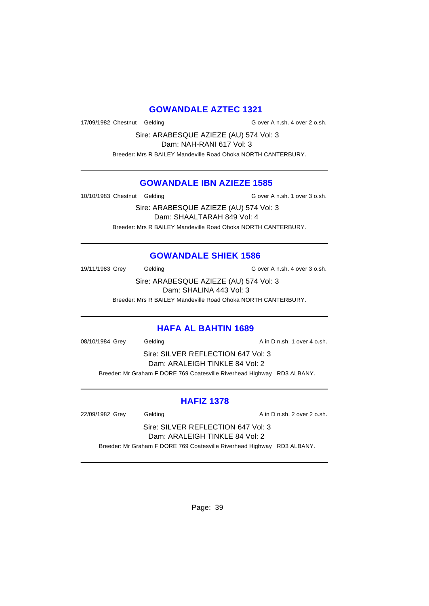## **GOWANDALE AZTEC 1321**

17/09/1982 Chestnut Gelding G over A n.sh. 4 over 2 o.sh.

Sire: ARABESQUE AZIEZE (AU) 574 Vol: 3 Dam: NAH-RANI 617 Vol: 3

Breeder: Mrs R BAILEY Mandeville Road Ohoka NORTH CANTERBURY.

### **GOWANDALE IBN AZIEZE 1585**

10/10/1983 Chestnut Gelding G over A n.sh. 1 over 3 o.sh.

Sire: ARABESQUE AZIEZE (AU) 574 Vol: 3 Dam: SHAALTARAH 849 Vol: 4 Breeder: Mrs R BAILEY Mandeville Road Ohoka NORTH CANTERBURY.

## **GOWANDALE SHIEK 1586**

19/11/1983 Grey Gelding G over A n.sh. 4 over 3 o.sh.

Sire: ARABESQUE AZIEZE (AU) 574 Vol: 3 Dam: SHALINA 443 Vol: 3

Breeder: Mrs R BAILEY Mandeville Road Ohoka NORTH CANTERBURY.

### **HAFA AL BAHTIN 1689**

08/10/1984 Grey Gelding Contact Contact A in D n.sh. 1 over 4 o.sh.

Sire: SILVER REFLECTION 647 Vol: 3 Dam: ARALEIGH TINKLE 84 Vol: 2 Breeder: Mr Graham F DORE 769 Coatesville Riverhead Highway RD3 ALBANY.

## **HAFIZ 1378**

22/09/1982 Grey Gelding Casset Control and A in D n.sh. 2 over 2 o.sh.

Sire: SILVER REFLECTION 647 Vol: 3 Dam: ARALEIGH TINKLE 84 Vol: 2

Breeder: Mr Graham F DORE 769 Coatesville Riverhead Highway RD3 ALBANY.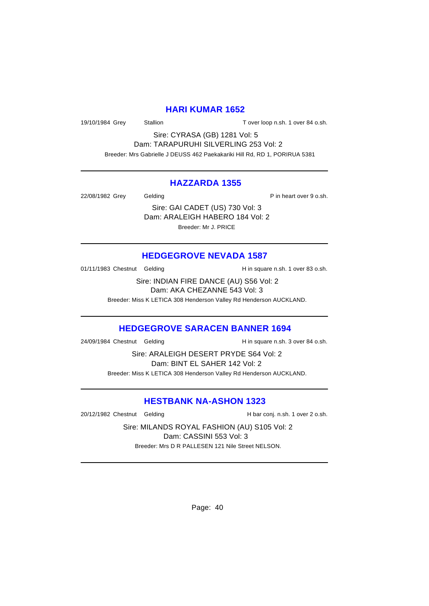#### **HARI KUMAR 1652**

19/10/1984 Grey Stallion Stallion T over loop n.sh. 1 over 84 o.sh.

Sire: CYRASA (GB) 1281 Vol: 5 Dam: TARAPURUHI SILVERLING 253 Vol: 2 Breeder: Mrs Gabrielle J DEUSS 462 Paekakariki Hill Rd, RD 1, PORIRUA 5381

### **HAZZARDA 1355**

22/08/1982 Grey Gelding Contract Contract Contract P in heart over 9 o.sh.

Sire: GAI CADET (US) 730 Vol: 3 Dam: ARALEIGH HABERO 184 Vol: 2 Breeder: Mr J. PRICE

## **HEDGEGROVE NEVADA 1587**

01/11/1983 Chestnut Gelding H in square n.sh. 1 over 83 o.sh.

Sire: INDIAN FIRE DANCE (AU) S56 Vol: 2 Dam: AKA CHEZANNE 543 Vol: 3

Breeder: Miss K LETICA 308 Henderson Valley Rd Henderson AUCKLAND.

## **HEDGEGROVE SARACEN BANNER 1694**

24/09/1984 Chestnut Gelding H in square n.sh. 3 over 84 o.sh.

Sire: ARALEIGH DESERT PRYDE S64 Vol: 2 Dam: BINT EL SAHER 142 Vol: 2 Breeder: Miss K LETICA 308 Henderson Valley Rd Henderson AUCKLAND.

## **HESTBANK NA-ASHON 1323**

20/12/1982 Chestnut Gelding The Barrow H bar conj. n.sh. 1 over 2 o.sh.

Sire: MILANDS ROYAL FASHION (AU) S105 Vol: 2 Dam: CASSINI 553 Vol: 3 Breeder: Mrs D R PALLESEN 121 Nile Street NELSON.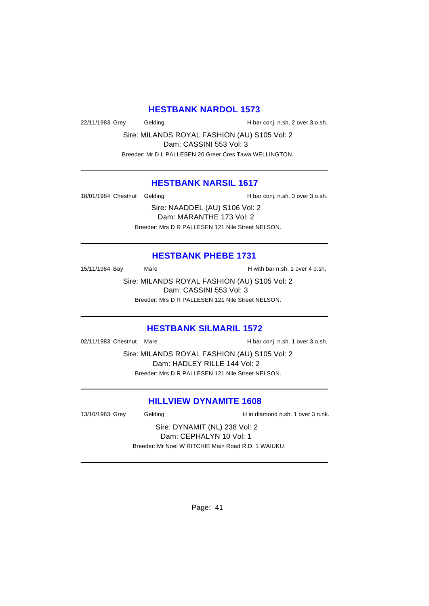### **HESTBANK NARDOL 1573**

22/11/1983 Grey Gelding Gelding H bar conj. n.sh. 2 over 3 o.sh.

Sire: MILANDS ROYAL FASHION (AU) S105 Vol: 2 Dam: CASSINI 553 Vol: 3

Breeder: Mr D L PALLESEN 20 Greer Cres Tawa WELLINGTON.

## **HESTBANK NARSIL 1617**

18/01/1984 Chestnut Gelding The State of H bar conj. n.sh. 3 over 3 o.sh.

Sire: NAADDEL (AU) S106 Vol: 2 Dam: MARANTHE 173 Vol: 2 Breeder: Mrs D R PALLESEN 121 Nile Street NELSON.

## **HESTBANK PHEBE 1731**

15/11/1984 Bay Mare Mare H with bar n.sh. 1 over 4 o.sh.

Sire: MILANDS ROYAL FASHION (AU) S105 Vol: 2 Dam: CASSINI 553 Vol: 3 Breeder: Mrs D R PALLESEN 121 Nile Street NELSON.

### **HESTBANK SILMARIL 1572**

02/11/1983 Chestnut Mare **H** bar conj. n.sh. 1 over 3 o.sh.

Sire: MILANDS ROYAL FASHION (AU) S105 Vol: 2 Dam: HADLEY RILLE 144 Vol: 2 Breeder: Mrs D R PALLESEN 121 Nile Street NELSON.

## **HILLVIEW DYNAMITE 1608**

13/10/1983 Grey Gelding H in diamond n.sh. 1 over 3 n.nk.

Sire: DYNAMIT (NL) 238 Vol: 2 Dam: CEPHALYN 10 Vol: 1 Breeder: Mr Noel W RITCHIE Main Road R.D. 1 WAIUKU.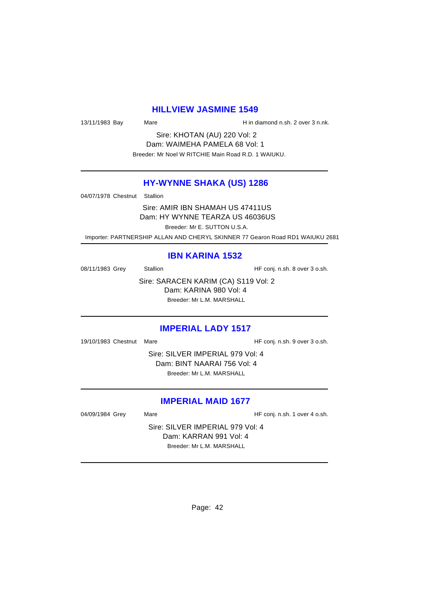### **HILLVIEW JASMINE 1549**

13/11/1983 Bay Mare Mare H in diamond n.sh. 2 over 3 n.nk.

Sire: KHOTAN (AU) 220 Vol: 2 Dam: WAIMEHA PAMELA 68 Vol: 1 Breeder: Mr Noel W RITCHIE Main Road R.D. 1 WAIUKU.

### **HY-WYNNE SHAKA (US) 1286**

04/07/1978 Chestnut Stallion

Sire: AMIR IBN SHAMAH US 47411US Dam: HY WYNNE TEARZA US 46036US Breeder: Mr E. SUTTON U.S.A.

Importer: PARTNERSHIP ALLAN AND CHERYL SKINNER 77 Gearon Road RD1 WAIUKU 2681

### **IBN KARINA 1532**

08/11/1983 Grey Stallion Stallion State State of HF conj. n.sh. 8 over 3 o.sh.

Sire: SARACEN KARIM (CA) S119 Vol: 2 Dam: KARINA 980 Vol: 4 Breeder: Mr L.M. MARSHALL

#### **IMPERIAL LADY 1517**

19/10/1983 Chestnut Mare **HF** conj. n.sh. 9 over 3 o.sh.

Sire: SILVER IMPERIAL 979 Vol: 4 Dam: BINT NAARAI 756 Vol: 4 Breeder: Mr L.M. MARSHALL

## **IMPERIAL MAID 1677**

04/09/1984 Grey Mare Mare HF conj. n.sh. 1 over 4 o.sh.

Sire: SILVER IMPERIAL 979 Vol: 4 Dam: KARRAN 991 Vol: 4 Breeder: Mr L.M. MARSHALL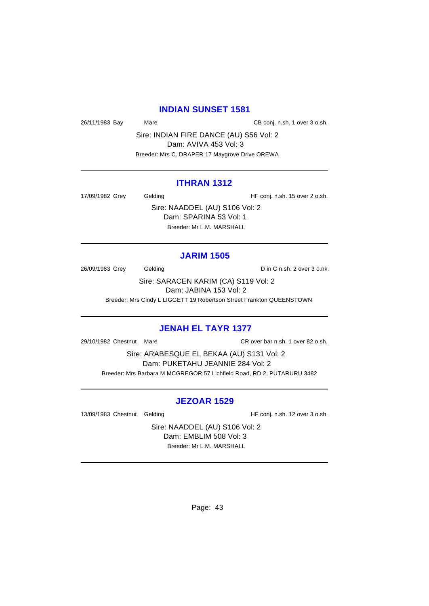### **INDIAN SUNSET 1581**

26/11/1983 Bay Mare Mare CB conj. n.sh. 1 over 3 o.sh.

Sire: INDIAN FIRE DANCE (AU) S56 Vol: 2 Dam: AVIVA 453 Vol: 3 Breeder: Mrs C. DRAPER 17 Maygrove Drive OREWA

### **ITHRAN 1312**

17/09/1982 Grey Gelding Gelding HF conj. n.sh. 15 over 2 o.sh.

Sire: NAADDEL (AU) S106 Vol: 2 Dam: SPARINA 53 Vol: 1 Breeder: Mr L.M. MARSHALL

#### **JARIM 1505**

26/09/1983 Grey Gelding Construction D in C n.sh. 2 over 3 o.nk.

Sire: SARACEN KARIM (CA) S119 Vol: 2 Dam: JABINA 153 Vol: 2

Breeder: Mrs Cindy L LIGGETT 19 Robertson Street Frankton QUEENSTOWN

#### **JENAH EL TAYR 1377**

29/10/1982 Chestnut Mare CR over bar n.sh. 1 over 82 o.sh.

Sire: ARABESQUE EL BEKAA (AU) S131 Vol: 2 Dam: PUKETAHU JEANNIE 284 Vol: 2 Breeder: Mrs Barbara M MCGREGOR 57 Lichfield Road, RD 2, PUTARURU 3482

#### **JEZOAR 1529**

13/09/1983 Chestnut Gelding The State of HF conj. n.sh. 12 over 3 o.sh.

Sire: NAADDEL (AU) S106 Vol: 2 Dam: EMBLIM 508 Vol: 3 Breeder: Mr L.M. MARSHALL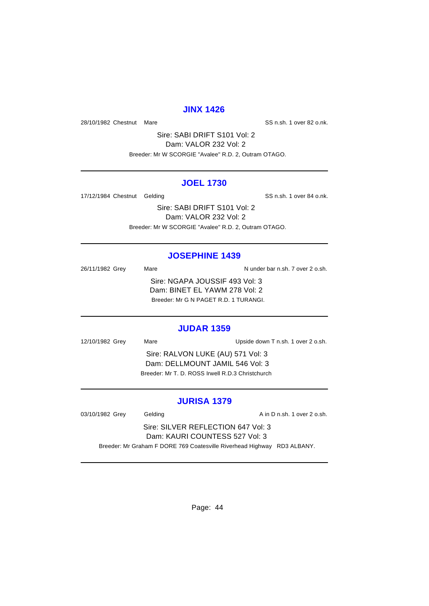### **JINX 1426**

28/10/1982 Chestnut Mare SS n.sh. 1 over 82 o.nk.

Sire: SABI DRIFT S101 Vol: 2 Dam: VALOR 232 Vol: 2 Breeder: Mr W SCORGIE "Avalee" R.D. 2, Outram OTAGO.

# **JOEL 1730**

17/12/1984 Chestnut Gelding Charges and SS n.sh. 1 over 84 o.nk.

Sire: SABI DRIFT S101 Vol: 2 Dam: VALOR 232 Vol: 2 Breeder: Mr W SCORGIE "Avalee" R.D. 2, Outram OTAGO.

### **JOSEPHINE 1439**

26/11/1982 Grey Mare Mare Nunder bar n.sh. 7 over 2 o.sh. Sire: NGAPA JOUSSIF 493 Vol: 3 Dam: BINET EL YAWM 278 Vol: 2 Breeder: Mr G N PAGET R.D. 1 TURANGI.

#### **JUDAR 1359**

12/10/1982 Grey Mare Mare Upside down T n.sh. 1 over 2 o.sh. Sire: RALVON LUKE (AU) 571 Vol: 3 Dam: DELLMOUNT JAMIL 546 Vol: 3 Breeder: Mr T. D. ROSS Irwell R.D.3 Christchurch

### **JURISA 1379**

03/10/1982 Grey Gelding Contact Contact A in D n.sh. 1 over 2 o.sh.

Sire: SILVER REFLECTION 647 Vol: 3 Dam: KAURI COUNTESS 527 Vol: 3

Breeder: Mr Graham F DORE 769 Coatesville Riverhead Highway RD3 ALBANY.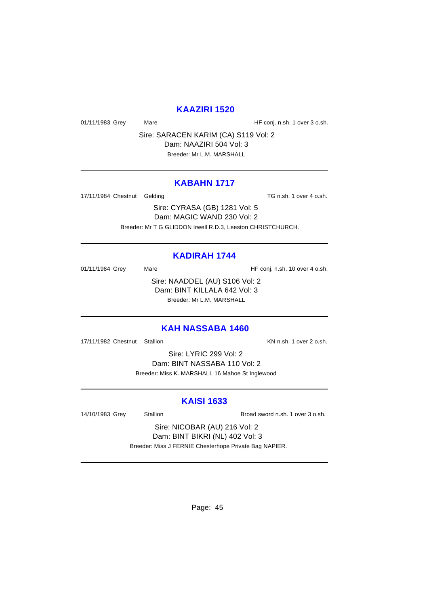## **KAAZIRI 1520**

01/11/1983 Grey Mare Mare HF conj. n.sh. 1 over 3 o.sh.

Sire: SARACEN KARIM (CA) S119 Vol: 2 Dam: NAAZIRI 504 Vol: 3 Breeder: Mr L.M. MARSHALL

#### **KABAHN 1717**

17/11/1984 Chestnut Gelding TG n.sh. 1 over 4 o.sh.

Sire: CYRASA (GB) 1281 Vol: 5 Dam: MAGIC WAND 230 Vol: 2 Breeder: Mr T G GLIDDON Irwell R.D.3, Leeston CHRISTCHURCH.

## **KADIRAH 1744**

01/11/1984 Grey Mare Mare HF conj. n.sh. 10 over 4 o.sh.

Sire: NAADDEL (AU) S106 Vol: 2 Dam: BINT KILLALA 642 Vol: 3 Breeder: Mr L.M. MARSHALL

#### **KAH NASSABA 1460**

17/11/1982 Chestnut Stallion **KN n.sh.** 1 over 2 o.sh.

Sire: LYRIC 299 Vol: 2 Dam: BINT NASSABA 110 Vol: 2 Breeder: Miss K. MARSHALL 16 Mahoe St Inglewood

### **KAISI 1633**

14/10/1983 Grey Stallion Broad sword n.sh. 1 over 3 o.sh.

Sire: NICOBAR (AU) 216 Vol: 2 Dam: BINT BIKRI (NL) 402 Vol: 3 Breeder: Miss J FERNIE Chesterhope Private Bag NAPIER.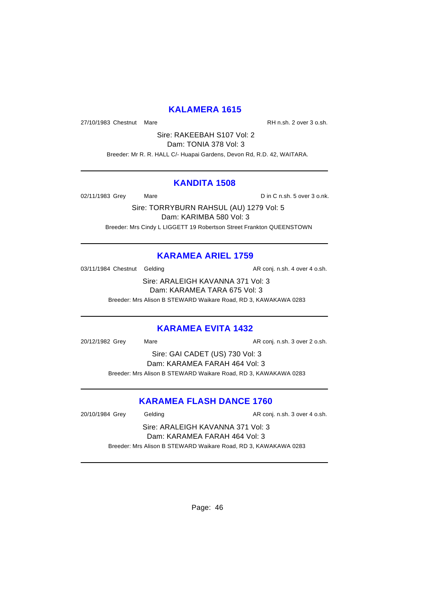## **KALAMERA 1615**

27/10/1983 Chestnut Mare **Reserve Access 27/10/1983** Chestnut Mare

Sire: RAKEEBAH S107 Vol: 2 Dam: TONIA 378 Vol: 3

Breeder: Mr R. R. HALL C/- Huapai Gardens, Devon Rd, R.D. 42, WAITARA.

### **KANDITA 1508**

02/11/1983 Grey Mare Mare Din C n.sh. 5 over 3 o.nk.

Sire: TORRYBURN RAHSUL (AU) 1279 Vol: 5 Dam: KARIMBA 580 Vol: 3 Breeder: Mrs Cindy L LIGGETT 19 Robertson Street Frankton QUEENSTOWN

# **KARAMEA ARIEL 1759**

03/11/1984 Chestnut Gelding and all the AR conj. n.sh. 4 over 4 o.sh.

Sire: ARALEIGH KAVANNA 371 Vol: 3 Dam: KARAMEA TARA 675 Vol: 3

Breeder: Mrs Alison B STEWARD Waikare Road, RD 3, KAWAKAWA 0283

## **KARAMEA EVITA 1432**

20/12/1982 Grey Mare Mare AR conj. n.sh. 3 over 2 o.sh.

Sire: GAI CADET (US) 730 Vol: 3 Dam: KARAMEA FARAH 464 Vol: 3 Breeder: Mrs Alison B STEWARD Waikare Road, RD 3, KAWAKAWA 0283

# **KARAMEA FLASH DANCE 1760**

20/10/1984 Grey Gelding Conj. n.sh. 3 over 4 o.sh.

Sire: ARALEIGH KAVANNA 371 Vol: 3 Dam: KARAMEA FARAH 464 Vol: 3 Breeder: Mrs Alison B STEWARD Waikare Road, RD 3, KAWAKAWA 0283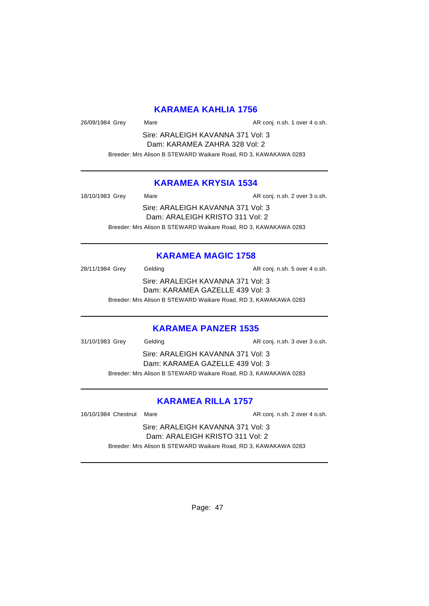## **KARAMEA KAHLIA 1756**

26/09/1984 Grey Mare Mare AR conj. n.sh. 1 over 4 o.sh.

Sire: ARALEIGH KAVANNA 371 Vol: 3 Dam: KARAMEA ZAHRA 328 Vol: 2 Breeder: Mrs Alison B STEWARD Waikare Road, RD 3, KAWAKAWA 0283

## **KARAMEA KRYSIA 1534**

| 18/10/1983 Grey | Mare                                                            | AR conj. n.sh. 2 over 3 o.sh. |
|-----------------|-----------------------------------------------------------------|-------------------------------|
|                 | Sire: ARALEIGH KAVANNA 371 Vol: 3                               |                               |
|                 | Dam: ARALEIGH KRISTO 311 Vol: 2                                 |                               |
|                 | Breeder: Mrs Alison B STEWARD Waikare Road, RD 3, KAWAKAWA 0283 |                               |

# **KARAMEA MAGIC 1758**

28/11/1984 Grey Gelding Casset Conj. n.sh. 5 over 4 o.sh. Sire: ARALEIGH KAVANNA 371 Vol: 3 Dam: KARAMEA GAZELLE 439 Vol: 3 Breeder: Mrs Alison B STEWARD Waikare Road, RD 3, KAWAKAWA 0283

### **KARAMEA PANZER 1535**

| 31/10/1983 Grey | Gelding                                                         | AR conj. n.sh. 3 over 3 o.sh. |
|-----------------|-----------------------------------------------------------------|-------------------------------|
|                 | Sire: ARALEIGH KAVANNA 371 Vol: 3                               |                               |
|                 | Dam: KARAMEA GAZELLE 439 Vol: 3                                 |                               |
|                 | Breeder: Mrs Alison B STEWARD Waikare Road, RD 3, KAWAKAWA 0283 |                               |
|                 |                                                                 |                               |

# **KARAMEA RILLA 1757**

16/10/1984 Chestnut Mare **AR conj. n.sh. 2** over 4 o.sh.

Sire: ARALEIGH KAVANNA 371 Vol: 3 Dam: ARALEIGH KRISTO 311 Vol: 2 Breeder: Mrs Alison B STEWARD Waikare Road, RD 3, KAWAKAWA 0283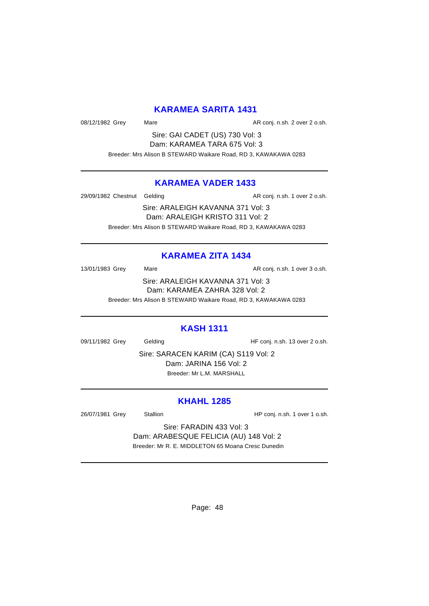## **KARAMEA SARITA 1431**

08/12/1982 Grey Mare Mare AR conj. n.sh. 2 over 2 o.sh.

Sire: GAI CADET (US) 730 Vol: 3 Dam: KARAMEA TARA 675 Vol: 3 Breeder: Mrs Alison B STEWARD Waikare Road, RD 3, KAWAKAWA 0283

## **KARAMEA VADER 1433**

29/09/1982 Chestnut Gelding **AR conj. n.sh. 1 over 2 o.sh.** 

Sire: ARALEIGH KAVANNA 371 Vol: 3 Dam: ARALEIGH KRISTO 311 Vol: 2 Breeder: Mrs Alison B STEWARD Waikare Road, RD 3, KAWAKAWA 0283

## **KARAMEA ZITA 1434**

13/01/1983 Grey Mare Mare AR conj. n.sh. 1 over 3 o.sh. Sire: ARALEIGH KAVANNA 371 Vol: 3 Dam: KARAMEA ZAHRA 328 Vol: 2

Breeder: Mrs Alison B STEWARD Waikare Road, RD 3, KAWAKAWA 0283

## **KASH 1311**

09/11/1982 Grey Gelding Gelding HF conj. n.sh. 13 over 2 o.sh.

Sire: SARACEN KARIM (CA) S119 Vol: 2 Dam: JARINA 156 Vol: 2 Breeder: Mr L.M. MARSHALL

## **KHAHL 1285**

26/07/1981 Grey Stallion Stallion Stallion HP conj. n.sh. 1 over 1 o.sh.

Sire: FARADIN 433 Vol: 3 Dam: ARABESQUE FELICIA (AU) 148 Vol: 2 Breeder: Mr R. E. MIDDLETON 65 Moana Cresc Dunedin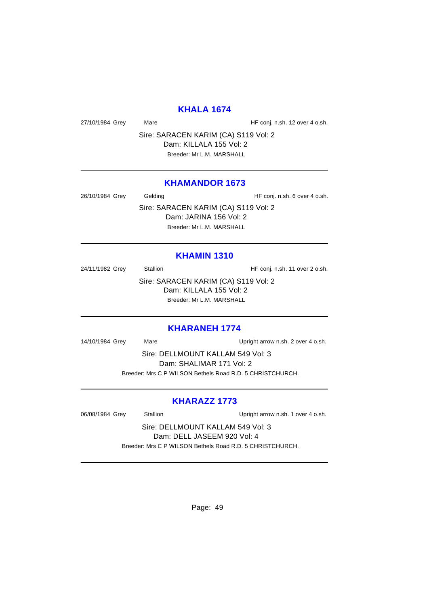### **KHALA 1674**

27/10/1984 Grey Mare Mare HF conj. n.sh. 12 over 4 o.sh.

Sire: SARACEN KARIM (CA) S119 Vol: 2 Dam: KILLALA 155 Vol: 2 Breeder: Mr L.M. MARSHALL

#### **KHAMANDOR 1673**

26/10/1984 Grey Gelding Gelding HF conj. n.sh. 6 over 4 o.sh.

Sire: SARACEN KARIM (CA) S119 Vol: 2 Dam: JARINA 156 Vol: 2 Breeder: Mr L.M. MARSHALL

### **KHAMIN 1310**

24/11/1982 Grey Stallion Stallion HF conj. n.sh. 11 over 2 o.sh.

Sire: SARACEN KARIM (CA) S119 Vol: 2 Dam: KILLALA 155 Vol: 2 Breeder: Mr L.M. MARSHALL

### **KHARANEH 1774**

14/10/1984 Grey Mare Mare Upright arrow n.sh. 2 over 4 o.sh.

Sire: DELLMOUNT KALLAM 549 Vol: 3 Dam: SHALIMAR 171 Vol: 2 Breeder: Mrs C P WILSON Bethels Road R.D. 5 CHRISTCHURCH.

### **KHARAZZ 1773**

06/08/1984 Grey Stallion Stallion Stallion Upright arrow n.sh. 1 over 4 o.sh.

Sire: DELLMOUNT KALLAM 549 Vol: 3 Dam: DELL JASEEM 920 Vol: 4 Breeder: Mrs C P WILSON Bethels Road R.D. 5 CHRISTCHURCH.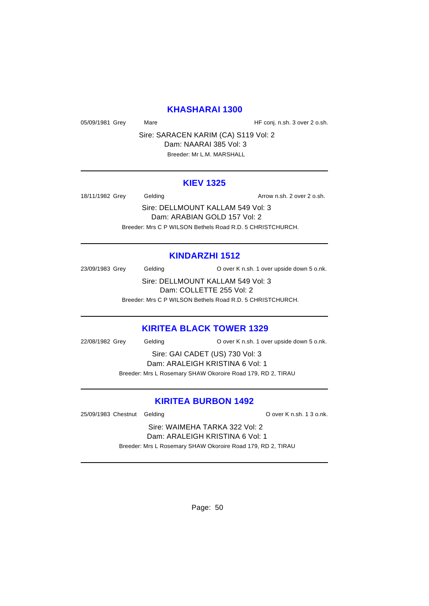### **KHASHARAI 1300**

05/09/1981 Grey Mare Mare HF conj. n.sh. 3 over 2 o.sh.

Sire: SARACEN KARIM (CA) S119 Vol: 2 Dam: NAARAI 385 Vol: 3

Breeder: Mr L.M. MARSHALL

#### **KIEV 1325**

18/11/1982 Grey Gelding Cash Care Arrow n.sh. 2 over 2 o.sh.

Sire: DELLMOUNT KALLAM 549 Vol: 3 Dam: ARABIAN GOLD 157 Vol: 2 Breeder: Mrs C P WILSON Bethels Road R.D. 5 CHRISTCHURCH.

## **KINDARZHI 1512**

23/09/1983 Grey Gelding Cover K n.sh. 1 over upside down 5 o.nk.

Sire: DELLMOUNT KALLAM 549 Vol: 3 Dam: COLLETTE 255 Vol: 2

Breeder: Mrs C P WILSON Bethels Road R.D. 5 CHRISTCHURCH.

### **KIRITEA BLACK TOWER 1329**

22/08/1982 Grey Gelding Cover K n.sh. 1 over upside down 5 o.nk.

Sire: GAI CADET (US) 730 Vol: 3 Dam: ARALEIGH KRISTINA 6 Vol: 1

Breeder: Mrs L Rosemary SHAW Okoroire Road 179, RD 2, TIRAU

### **KIRITEA BURBON 1492**

25/09/1983 Chestnut Gelding O over K n.sh. 1 3 o.nk.

Sire: WAIMEHA TARKA 322 Vol: 2 Dam: ARALEIGH KRISTINA 6 Vol: 1 Breeder: Mrs L Rosemary SHAW Okoroire Road 179, RD 2, TIRAU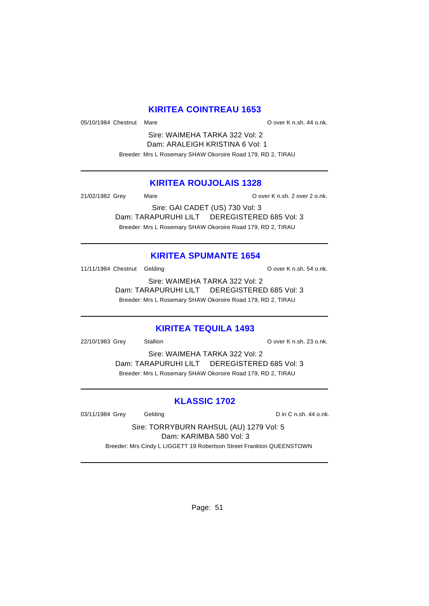### **KIRITEA COINTREAU 1653**

05/10/1984 Chestnut Mare **O over Kn.sh. 44 o.nk.** 

Sire: WAIMEHA TARKA 322 Vol: 2 Dam: ARALEIGH KRISTINA 6 Vol: 1 Breeder: Mrs L Rosemary SHAW Okoroire Road 179, RD 2, TIRAU

## **KIRITEA ROUJOLAIS 1328**

21/02/1982 Grey Mare O over K n.sh. 2 over 2 o.nk.

Sire: GAI CADET (US) 730 Vol: 3 Dam: TARAPURUHI LILT DEREGISTERED 685 Vol: 3 Breeder: Mrs L Rosemary SHAW Okoroire Road 179, RD 2, TIRAU

# **KIRITEA SPUMANTE 1654**

11/11/1984 Chestnut Gelding Contract Contract Contract O over K n.sh. 54 o.nk.

Sire: WAIMEHA TARKA 322 Vol: 2 Dam: TARAPURUHI LILT DEREGISTERED 685 Vol: 3 Breeder: Mrs L Rosemary SHAW Okoroire Road 179, RD 2, TIRAU

## **KIRITEA TEQUILA 1493**

22/10/1983 Grey Stallion O over K n.sh. 23 o.nk.

Sire: WAIMEHA TARKA 322 Vol: 2 Dam: TARAPURUHI LILT DEREGISTERED 685 Vol: 3 Breeder: Mrs L Rosemary SHAW Okoroire Road 179, RD 2, TIRAU

## **KLASSIC 1702**

03/11/1984 Grey Gelding Construction D in C n.sh. 44 o.nk.

Sire: TORRYBURN RAHSUL (AU) 1279 Vol: 5 Dam: KARIMBA 580 Vol: 3 Breeder: Mrs Cindy L LIGGETT 19 Robertson Street Frankton QUEENSTOWN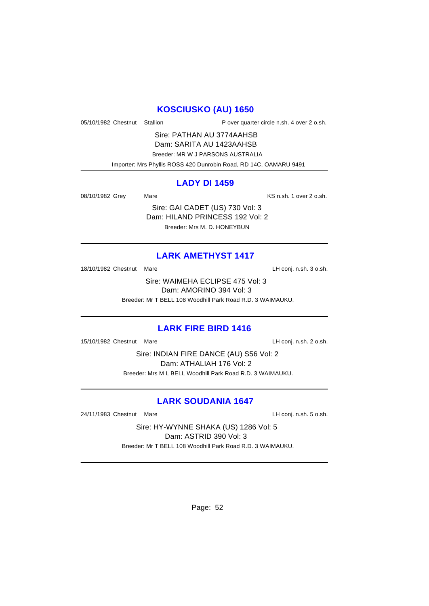# **KOSCIUSKO (AU) 1650**

05/10/1982 Chestnut Stallion P over quarter circle n.sh. 4 over 2 o.sh.

Sire: PATHAN AU 3774AAHSB Dam: SARITA AU 1423AAHSB Breeder: MR W J PARSONS AUSTRALIA Importer: Mrs Phyllis ROSS 420 Dunrobin Road, RD 14C, OAMARU 9491

### **LADY DI 1459**

08/10/1982 Grey Mare Mare KS n.sh. 1 over 2 o.sh.

Sire: GAI CADET (US) 730 Vol: 3 Dam: HILAND PRINCESS 192 Vol: 2

Breeder: Mrs M. D. HONEYBUN

# **LARK AMETHYST 1417**

18/10/1982 Chestnut Mare **LH** conj. n.sh. 3 o.sh.

Sire: WAIMEHA ECLIPSE 475 Vol: 3 Dam: AMORINO 394 Vol: 3 Breeder: Mr T BELL 108 Woodhill Park Road R.D. 3 WAIMAUKU.

## **LARK FIRE BIRD 1416**

15/10/1982 Chestnut Mare LH conj. n.sh. 2 o.sh.

Sire: INDIAN FIRE DANCE (AU) S56 Vol: 2 Dam: ATHALIAH 176 Vol: 2 Breeder: Mrs M L BELL Woodhill Park Road R.D. 3 WAIMAUKU.

# **LARK SOUDANIA 1647**

24/11/1983 Chestnut Mare 24/11/1983 Chestnut Mare

Sire: HY-WYNNE SHAKA (US) 1286 Vol: 5 Dam: ASTRID 390 Vol: 3 Breeder: Mr T BELL 108 Woodhill Park Road R.D. 3 WAIMAUKU.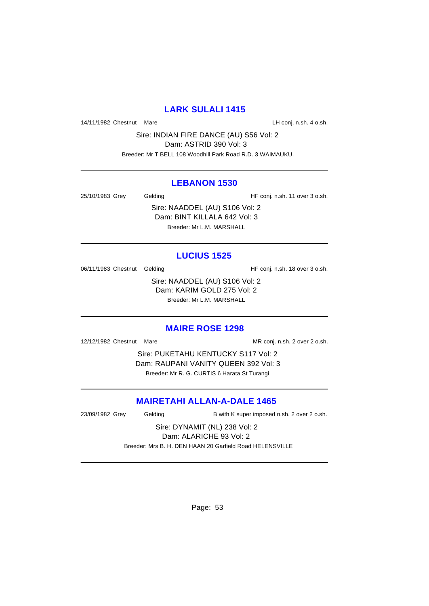## **LARK SULALI 1415**

14/11/1982 Chestnut Mare **LH** conj. n.sh. 4 o.sh.

Sire: INDIAN FIRE DANCE (AU) S56 Vol: 2 Dam: ASTRID 390 Vol: 3

Breeder: Mr T BELL 108 Woodhill Park Road R.D. 3 WAIMAUKU.

#### **LEBANON 1530**

25/10/1983 Grey Gelding Gelding HF conj. n.sh. 11 over 3 o.sh.

Sire: NAADDEL (AU) S106 Vol: 2 Dam: BINT KILLALA 642 Vol: 3 Breeder: Mr L.M. MARSHALL

# **LUCIUS 1525**

06/11/1983 Chestnut Gelding The State of HF conj. n.sh. 18 over 3 o.sh.

Sire: NAADDEL (AU) S106 Vol: 2 Dam: KARIM GOLD 275 Vol: 2 Breeder: Mr L.M. MARSHALL

### **MAIRE ROSE 1298**

12/12/1982 Chestnut Mare Mare MR conj. n.sh. 2 over 2 o.sh.

Sire: PUKETAHU KENTUCKY S117 Vol: 2 Dam: RAUPANI VANITY QUEEN 392 Vol: 3 Breeder: Mr R. G. CURTIS 6 Harata St Turangi

## **MAIRETAHI ALLAN-A-DALE 1465**

23/09/1982 Grey Gelding B with K super imposed n.sh. 2 over 2 o.sh.

Sire: DYNAMIT (NL) 238 Vol: 2 Dam: ALARICHE 93 Vol: 2 Breeder: Mrs B. H. DEN HAAN 20 Garfield Road HELENSVILLE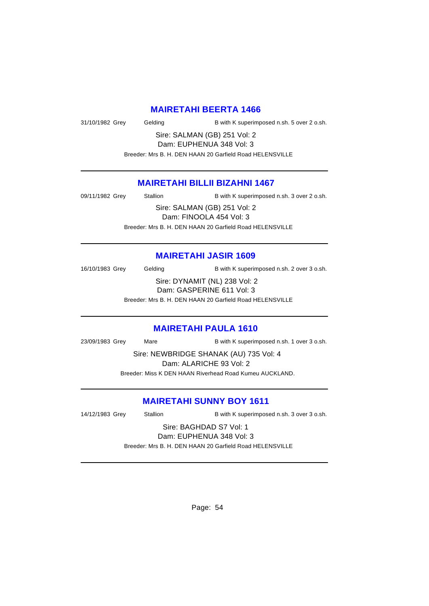### **MAIRETAHI BEERTA 1466**

31/10/1982 Grey Gelding B with K superimposed n.sh. 5 over 2 o.sh.

Sire: SALMAN (GB) 251 Vol: 2 Dam: EUPHENUA 348 Vol: 3

Breeder: Mrs B. H. DEN HAAN 20 Garfield Road HELENSVILLE

## **MAIRETAHI BILLII BIZAHNI 1467**

09/11/1982 Grey Stallion B with K superimposed n.sh. 3 over 2 o.sh.

Sire: SALMAN (GB) 251 Vol: 2 Dam: FINOOLA 454 Vol: 3 Breeder: Mrs B. H. DEN HAAN 20 Garfield Road HELENSVILLE

# **MAIRETAHI JASIR 1609**

16/10/1983 Grey Gelding B with K superimposed n.sh. 2 over 3 o.sh.

Sire: DYNAMIT (NL) 238 Vol: 2 Dam: GASPERINE 611 Vol: 3

Breeder: Mrs B. H. DEN HAAN 20 Garfield Road HELENSVILLE

### **MAIRETAHI PAULA 1610**

23/09/1983 Grey Mare Mare B with K superimposed n.sh. 1 over 3 o.sh.

Sire: NEWBRIDGE SHANAK (AU) 735 Vol: 4 Dam: ALARICHE 93 Vol: 2

Breeder: Miss K DEN HAAN Riverhead Road Kumeu AUCKLAND.

# **MAIRETAHI SUNNY BOY 1611**

14/12/1983 Grey Stallion B with K superimposed n.sh. 3 over 3 o.sh.

## Sire: BAGHDAD S7 Vol: 1 Dam: EUPHENUA 348 Vol: 3

Breeder: Mrs B. H. DEN HAAN 20 Garfield Road HELENSVILLE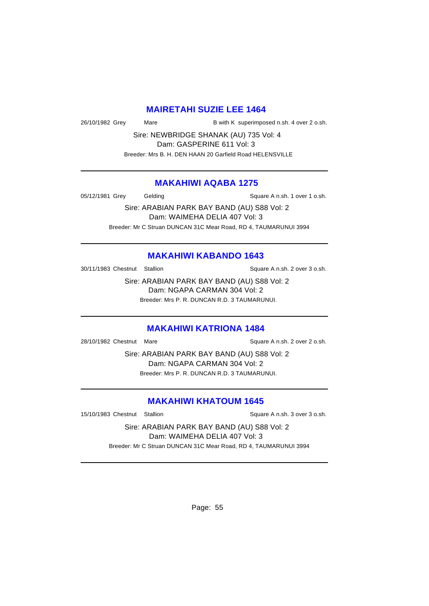#### **MAIRETAHI SUZIE LEE 1464**

26/10/1982 Grey Mare Mare B with K superimposed n.sh. 4 over 2 o.sh.

Sire: NEWBRIDGE SHANAK (AU) 735 Vol: 4 Dam: GASPERINE 611 Vol: 3

Breeder: Mrs B. H. DEN HAAN 20 Garfield Road HELENSVILLE

## **MAKAHIWI AQABA 1275**

05/12/1981 Grey Gelding Communication of Square A n.sh. 1 over 1 o.sh.

Sire: ARABIAN PARK BAY BAND (AU) S88 Vol: 2 Dam: WAIMEHA DELIA 407 Vol: 3 Breeder: Mr C Struan DUNCAN 31C Mear Road, RD 4, TAUMARUNUI 3994

## **MAKAHIWI KABANDO 1643**

30/11/1983 Chestnut Stallion Supervisor Square A n.sh. 2 over 3 o.sh.

Sire: ARABIAN PARK BAY BAND (AU) S88 Vol: 2 Dam: NGAPA CARMAN 304 Vol: 2 Breeder: Mrs P. R. DUNCAN R.D. 3 TAUMARUNUI.

### **MAKAHIWI KATRIONA 1484**

28/10/1982 Chestnut Mare Square A n.sh. 2 over 2 o.sh.

Sire: ARABIAN PARK BAY BAND (AU) S88 Vol: 2 Dam: NGAPA CARMAN 304 Vol: 2 Breeder: Mrs P. R. DUNCAN R.D. 3 TAUMARUNUI.

## **MAKAHIWI KHATOUM 1645**

15/10/1983 Chestnut Stallion Square A n.sh. 3 over 3 o.sh.

Sire: ARABIAN PARK BAY BAND (AU) S88 Vol: 2 Dam: WAIMEHA DELIA 407 Vol: 3 Breeder: Mr C Struan DUNCAN 31C Mear Road, RD 4, TAUMARUNUI 3994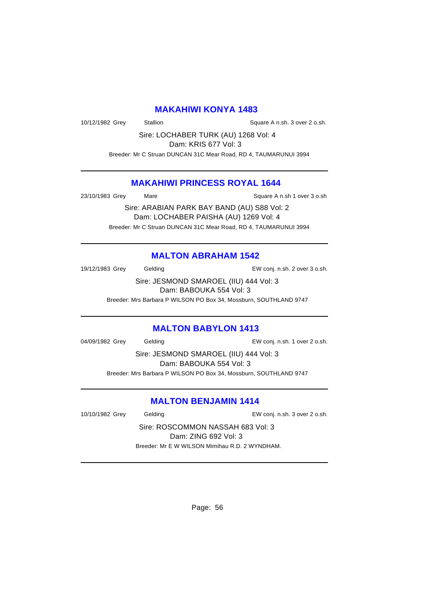#### **MAKAHIWI KONYA 1483**

10/12/1982 Grey Stallion Stallion Square A n.sh. 3 over 2 o.sh.

Sire: LOCHABER TURK (AU) 1268 Vol: 4 Dam: KRIS 677 Vol: 3

Breeder: Mr C Struan DUNCAN 31C Mear Road, RD 4, TAUMARUNUI 3994

#### **MAKAHIWI PRINCESS ROYAL 1644**

23/10/1983 Grey Mare State A n.sh 1 over 3 o.sh

Sire: ARABIAN PARK BAY BAND (AU) S88 Vol: 2 Dam: LOCHABER PAISHA (AU) 1269 Vol: 4 Breeder: Mr C Struan DUNCAN 31C Mear Road, RD 4, TAUMARUNUI 3994

## **MALTON ABRAHAM 1542**

19/12/1983 Grey Gelding EW conj. n.sh. 2 over 3 o.sh.

Sire: JESMOND SMAROEL (IIU) 444 Vol: 3 Dam: BABOUKA 554 Vol: 3

Breeder: Mrs Barbara P WILSON PO Box 34, Mossburn, SOUTHLAND 9747

## **MALTON BABYLON 1413**

04/09/1982 Grey Gelding EW conj. n.sh. 1 over 2 o.sh.

Sire: JESMOND SMAROEL (IIU) 444 Vol: 3 Dam: BABOUKA 554 Vol: 3 Breeder: Mrs Barbara P WILSON PO Box 34, Mossburn, SOUTHLAND 9747

## **MALTON BENJAMIN 1414**

10/10/1982 Grey Gelding EW conj. n.sh. 3 over 2 o.sh.

Sire: ROSCOMMON NASSAH 683 Vol: 3 Dam: ZING 692 Vol: 3 Breeder: Mr E W WILSON Mimihau R.D. 2 WYNDHAM.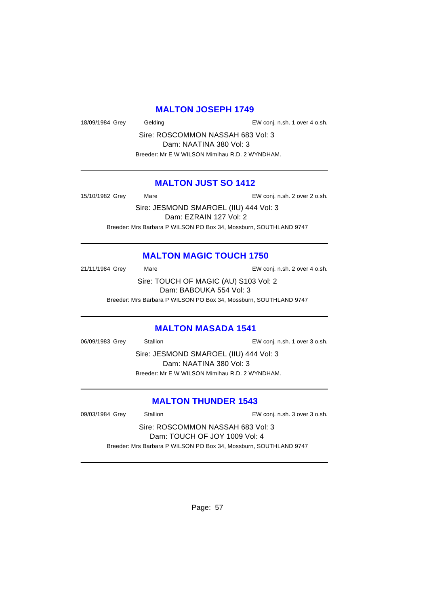### **MALTON JOSEPH 1749**

18/09/1984 Grey Gelding EW conj. n.sh. 1 over 4 o.sh.

Sire: ROSCOMMON NASSAH 683 Vol: 3 Dam: NAATINA 380 Vol: 3 Breeder: Mr E W WILSON Mimihau R.D. 2 WYNDHAM.

## **MALTON JUST SO 1412**

15/10/1982 Grey Mare EW conj. n.sh. 2 over 2 o.sh.

Sire: JESMOND SMAROEL (IIU) 444 Vol: 3 Dam: EZRAIN 127 Vol: 2 Breeder: Mrs Barbara P WILSON PO Box 34, Mossburn, SOUTHLAND 9747

## **MALTON MAGIC TOUCH 1750**

21/11/1984 Grey Mare EW conj. n.sh. 2 over 4 o.sh. Sire: TOUCH OF MAGIC (AU) S103 Vol: 2

Dam: BABOUKA 554 Vol: 3

Breeder: Mrs Barbara P WILSON PO Box 34, Mossburn, SOUTHLAND 9747

### **MALTON MASADA 1541**

06/09/1983 Grey Stallion EW conj. n.sh. 1 over 3 o.sh.

Sire: JESMOND SMAROEL (IIU) 444 Vol: 3 Dam: NAATINA 380 Vol: 3 Breeder: Mr E W WILSON Mimihau R.D. 2 WYNDHAM.

## **MALTON THUNDER 1543**

09/03/1984 Grey Stallion EW conj. n.sh. 3 over 3 o.sh.

Sire: ROSCOMMON NASSAH 683 Vol: 3 Dam: TOUCH OF JOY 1009 Vol: 4 Breeder: Mrs Barbara P WILSON PO Box 34, Mossburn, SOUTHLAND 9747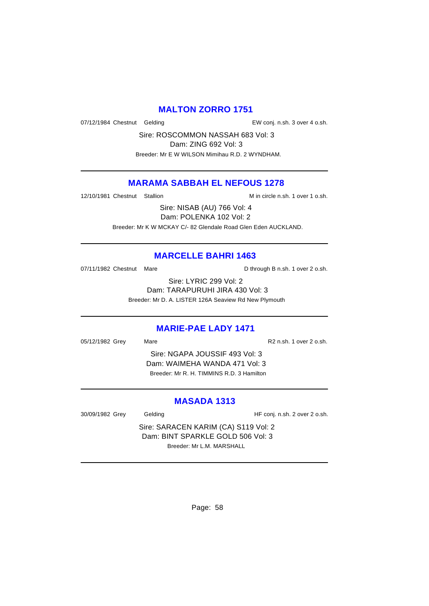## **MALTON ZORRO 1751**

07/12/1984 Chestnut Gelding The State of EW conj. n.sh. 3 over 4 o.sh.

Sire: ROSCOMMON NASSAH 683 Vol: 3 Dam: ZING 692 Vol: 3 Breeder: Mr E W WILSON Mimihau R.D. 2 WYNDHAM.

## **MARAMA SABBAH EL NEFOUS 1278**

12/10/1981 Chestnut Stallion Microsoft Min circle n.sh. 1 over 1 o.sh.

Sire: NISAB (AU) 766 Vol: 4 Dam: POLENKA 102 Vol: 2 Breeder: Mr K W MCKAY C/- 82 Glendale Road Glen Eden AUCKLAND.

## **MARCELLE BAHRI 1463**

07/11/1982 Chestnut Mare D through B n.sh. 1 over 2 o.sh.

Sire: LYRIC 299 Vol: 2 Dam: TARAPURUHI JIRA 430 Vol: 3 Breeder: Mr D. A. LISTER 126A Seaview Rd New Plymouth

### **MARIE-PAE LADY 1471**

05/12/1982 Grey Mare Mare R2 n.sh. 1 over 2 o.sh.

Sire: NGAPA JOUSSIF 493 Vol: 3 Dam: WAIMEHA WANDA 471 Vol: 3 Breeder: Mr R. H. TIMMINS R.D. 3 Hamilton

## **MASADA 1313**

30/09/1982 Grey Gelding Gelding HF conj. n.sh. 2 over 2 o.sh.

Sire: SARACEN KARIM (CA) S119 Vol: 2 Dam: BINT SPARKLE GOLD 506 Vol: 3 Breeder: Mr L.M. MARSHALL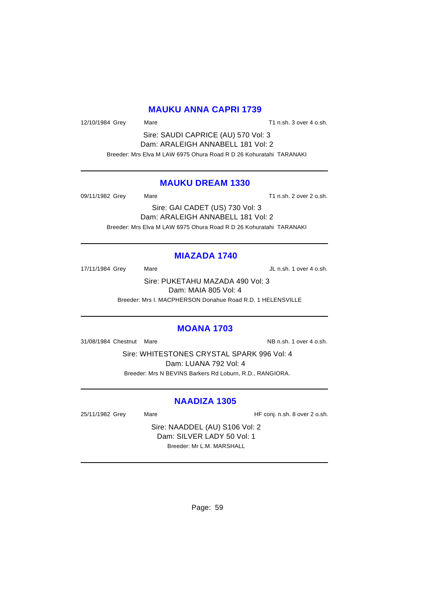#### **MAUKU ANNA CAPRI 1739**

12/10/1984 Grey Mare Mare T1 n.sh. 3 over 4 o.sh.

Sire: SAUDI CAPRICE (AU) 570 Vol: 3 Dam: ARALEIGH ANNABELL 181 Vol: 2 Breeder: Mrs Elva M LAW 6975 Ohura Road R D 26 Kohuratahi TARANAKI

### **MAUKU DREAM 1330**

09/11/1982 Grey Mare Mare T1 n.sh. 2 over 2 o.sh.

Sire: GAI CADET (US) 730 Vol: 3 Dam: ARALEIGH ANNABELL 181 Vol: 2 Breeder: Mrs Elva M LAW 6975 Ohura Road R D 26 Kohuratahi TARANAKI

## **MIAZADA 1740**

17/11/1984 Grey Mare Mare JL n.sh. 1 over 4 o.sh.

Sire: PUKETAHU MAZADA 490 Vol: 3 Dam: MAIA 805 Vol: 4 Breeder: Mrs I. MACPHERSON Donahue Road R.D. 1 HELENSVILLE

### **MOANA 1703**

31/08/1984 Chestnut Mare National Communication of the NB n.sh. 1 over 4 o.sh.

Sire: WHITESTONES CRYSTAL SPARK 996 Vol: 4 Dam: LUANA 792 Vol: 4 Breeder: Mrs N BEVINS Barkers Rd Loburn, R.D., RANGIORA.

## **NAADIZA 1305**

25/11/1982 Grey Mare Mare HF conj. n.sh. 8 over 2 o.sh.

Sire: NAADDEL (AU) S106 Vol: 2 Dam: SILVER LADY 50 Vol: 1 Breeder: Mr L.M. MARSHALL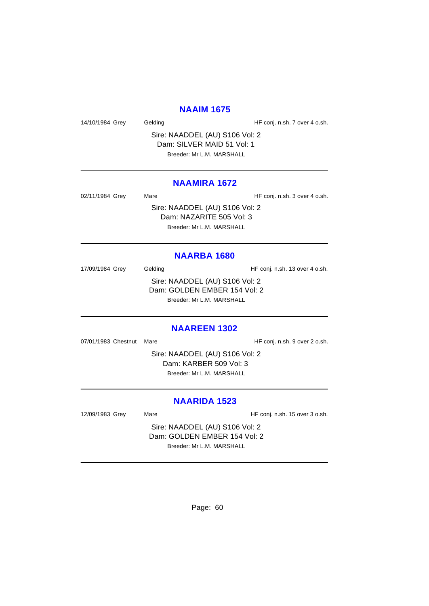### **NAAIM 1675**

14/10/1984 Grey Gelding Gelding HF conj. n.sh. 7 over 4 o.sh.

Sire: NAADDEL (AU) S106 Vol: 2 Dam: SILVER MAID 51 Vol: 1 Breeder: Mr L.M. MARSHALL

### **NAAMIRA 1672**

02/11/1984 Grey Mare Mare HF conj. n.sh. 3 over 4 o.sh. Sire: NAADDEL (AU) S106 Vol: 2 Dam: NAZARITE 505 Vol: 3 Breeder: Mr L.M. MARSHALL

#### **NAARBA 1680**

17/09/1984 Grey Gelding Gelding HF conj. n.sh. 13 over 4 o.sh. Sire: NAADDEL (AU) S106 Vol: 2 Dam: GOLDEN EMBER 154 Vol: 2 Breeder: Mr L.M. MARSHALL

### **NAAREEN 1302**

07/01/1983 Chestnut Mare **HF** conj. n.sh. 9 over 2 o.sh.

Sire: NAADDEL (AU) S106 Vol: 2 Dam: KARBER 509 Vol: 3 Breeder: Mr L.M. MARSHALL

### **NAARIDA 1523**

12/09/1983 Grey Mare Mare HF conj. n.sh. 15 over 3 o.sh.

Sire: NAADDEL (AU) S106 Vol: 2 Dam: GOLDEN EMBER 154 Vol: 2 Breeder: Mr L.M. MARSHALL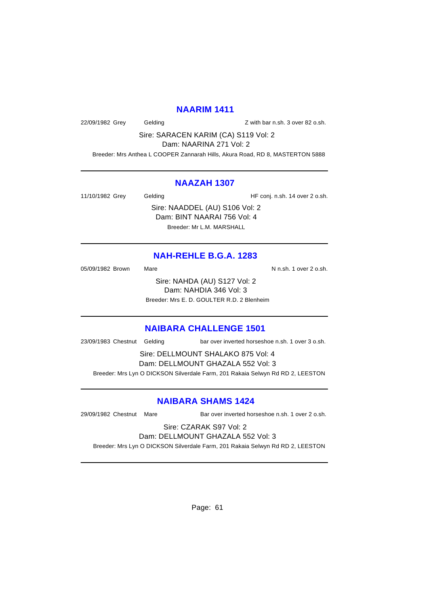#### **NAARIM 1411**

22/09/1982 Grey Gelding Casset Controller and Muslim Casset Controller and Muslim Controller and Muslim Controller and Muslim Controller and Muslim Controller and Muslim Controller and Muslim Controller and Muslim Controll

Sire: SARACEN KARIM (CA) S119 Vol: 2 Dam: NAARINA 271 Vol: 2

Breeder: Mrs Anthea L COOPER Zannarah Hills, Akura Road, RD 8, MASTERTON 5888

### **NAAZAH 1307**

11/10/1982 Grey Gelding Gelding HF conj. n.sh. 14 over 2 o.sh.

Sire: NAADDEL (AU) S106 Vol: 2 Dam: BINT NAARAI 756 Vol: 4 Breeder: Mr L.M. MARSHALL

## **NAH-REHLE B.G.A. 1283**

05/09/1982 Brown Mare Mare N n.sh. 1 over 2 o.sh. Sire: NAHDA (AU) S127 Vol: 2 Dam: NAHDIA 346 Vol: 3 Breeder: Mrs E. D. GOULTER R.D. 2 Blenheim

### **NAIBARA CHALLENGE 1501**

23/09/1983 Chestnut Gelding bar over inverted horseshoe n.sh. 1 over 3 o.sh.

Sire: DELLMOUNT SHALAKO 875 Vol: 4 Dam: DELLMOUNT GHAZALA 552 Vol: 3 Breeder: Mrs Lyn O DICKSON Silverdale Farm, 201 Rakaia Selwyn Rd RD 2, LEESTON

### **NAIBARA SHAMS 1424**

29/09/1982 Chestnut Mare Bar over inverted horseshoe n.sh. 1 over 2 o.sh.

#### Sire: CZARAK S97 Vol: 2 Dam: DELLMOUNT GHAZALA 552 Vol: 3

Breeder: Mrs Lyn O DICKSON Silverdale Farm, 201 Rakaia Selwyn Rd RD 2, LEESTON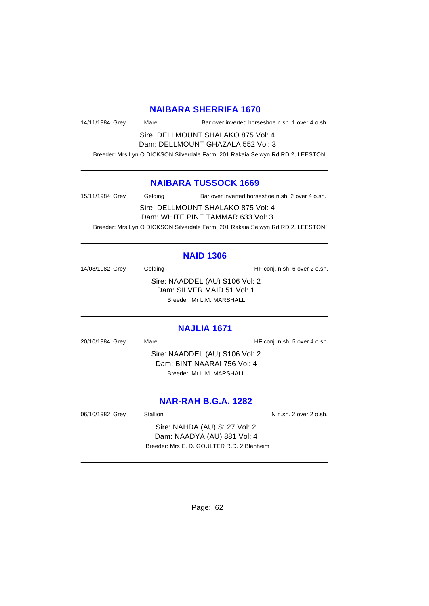### **NAIBARA SHERRIFA 1670**

| 14/11/1984 Grey<br>Bar over inverted horseshoe n.sh. 1 over 4 o.sh<br>Mare |  |
|----------------------------------------------------------------------------|--|
|----------------------------------------------------------------------------|--|

Sire: DELLMOUNT SHALAKO 875 Vol: 4 Dam: DELLMOUNT GHAZALA 552 Vol: 3

Breeder: Mrs Lyn O DICKSON Silverdale Farm, 201 Rakaia Selwyn Rd RD 2, LEESTON

### **NAIBARA TUSSOCK 1669**

15/11/1984 Grey Gelding Bar over inverted horseshoe n.sh. 2 over 4 o.sh.

Sire: DELLMOUNT SHALAKO 875 Vol: 4 Dam: WHITE PINE TAMMAR 633 Vol: 3 Breeder: Mrs Lyn O DICKSON Silverdale Farm, 201 Rakaia Selwyn Rd RD 2, LEESTON

## **NAID 1306**

14/08/1982 Grey Gelding Gelding HF conj. n.sh. 6 over 2 o.sh. Sire: NAADDEL (AU) S106 Vol: 2 Dam: SILVER MAID 51 Vol: 1 Breeder: Mr L.M. MARSHALL

### **NAJLIA 1671**

20/10/1984 Grey Mare Mare HF conj. n.sh. 5 over 4 o.sh.

Sire: NAADDEL (AU) S106 Vol: 2 Dam: BINT NAARAI 756 Vol: 4 Breeder: Mr L.M. MARSHALL

## **NAR-RAH B.G.A. 1282**

06/10/1982 Grey Stallion Stallion State N n.sh. 2 over 2 o.sh.

Sire: NAHDA (AU) S127 Vol: 2 Dam: NAADYA (AU) 881 Vol: 4 Breeder: Mrs E. D. GOULTER R.D. 2 Blenheim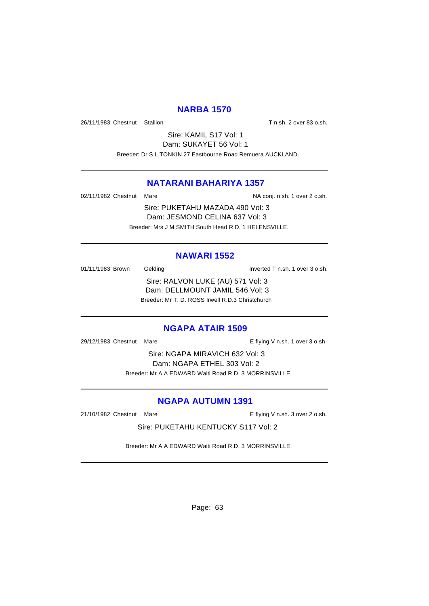## **NARBA 1570**

26/11/1983 Chestnut Stallion T n.sh. 2 over 83 o.sh.

Sire: KAMIL S17 Vol: 1 Dam: SUKAYET 56 Vol: 1 Breeder: Dr S L TONKIN 27 Eastbourne Road Remuera AUCKLAND.

## **NATARANI BAHARIYA 1357**

02/11/1982 Chestnut Mare NA conj. n.sh. 1 over 2 o.sh.

Sire: PUKETAHU MAZADA 490 Vol: 3 Dam: JESMOND CELINA 637 Vol: 3 Breeder: Mrs J M SMITH South Head R.D. 1 HELENSVILLE.

## **NAWARI 1552**

01/11/1983 Brown Gelding Contact Contact Contact Contact Contact Contact Contact Contact Contact Contact Contact Contact Contact Contact Contact Contact Contact Contact Contact Contact Contact Contact Contact Contact Conta

Sire: RALVON LUKE (AU) 571 Vol: 3 Dam: DELLMOUNT JAMIL 546 Vol: 3 Breeder: Mr T. D. ROSS Irwell R.D.3 Christchurch

### **NGAPA ATAIR 1509**

29/12/1983 Chestnut Mare **E** flying V n.sh. 1 over 3 o.sh.

Sire: NGAPA MIRAVICH 632 Vol: 3 Dam: NGAPA ETHEL 303 Vol: 2 Breeder: Mr A A EDWARD Waiti Road R.D. 3 MORRINSVILLE.

### **NGAPA AUTUMN 1391**

21/10/1982 Chestnut Mare **E** flying V n.sh. 3 over 2 o.sh.

Sire: PUKETAHU KENTUCKY S117 Vol: 2

Breeder: Mr A A EDWARD Waiti Road R.D. 3 MORRINSVILLE.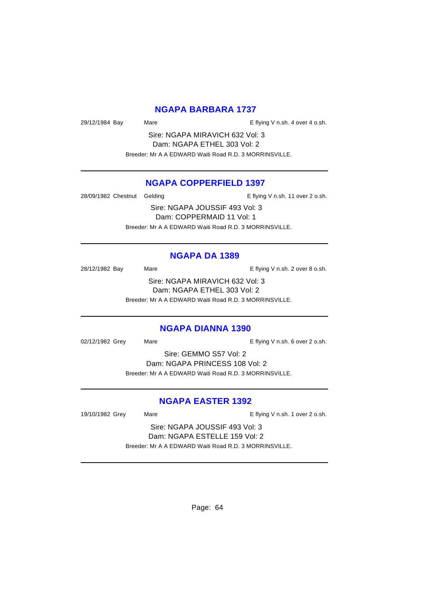### **NGAPA BARBARA 1737**

29/12/1984 Bay Mare Mare E flying V n.sh. 4 over 4 o.sh.

Sire: NGAPA MIRAVICH 632 Vol: 3 Dam: NGAPA ETHEL 303 Vol: 2 Breeder: Mr A A EDWARD Waiti Road R.D. 3 MORRINSVILLE.

## **NGAPA COPPERFIELD 1397**

28/09/1982 Chestnut Gelding The State of E flying V n.sh. 11 over 2 o.sh.

Sire: NGAPA JOUSSIF 493 Vol: 3 Dam: COPPERMAID 11 Vol: 1 Breeder: Mr A A EDWARD Waiti Road R.D. 3 MORRINSVILLE.

## **NGAPA DA 1389**

28/12/1982 Bay Mare Mare E flying V n.sh. 2 over 8 o.sh. Sire: NGAPA MIRAVICH 632 Vol: 3

Dam: NGAPA ETHEL 303 Vol: 2

Breeder: Mr A A EDWARD Waiti Road R.D. 3 MORRINSVILLE.

### **NGAPA DIANNA 1390**

02/12/1982 Grey Mare Mare E flying V n.sh. 6 over 2 o.sh.

Sire: GEMMO S57 Vol: 2 Dam: NGAPA PRINCESS 108 Vol: 2 Breeder: Mr A A EDWARD Waiti Road R.D. 3 MORRINSVILLE.

### **NGAPA EASTER 1392**

19/10/1982 Grey Mare Mare E flying V n.sh. 1 over 2 o.sh.

Sire: NGAPA JOUSSIF 493 Vol: 3 Dam: NGAPA ESTELLE 159 Vol: 2 Breeder: Mr A A EDWARD Waiti Road R.D. 3 MORRINSVILLE.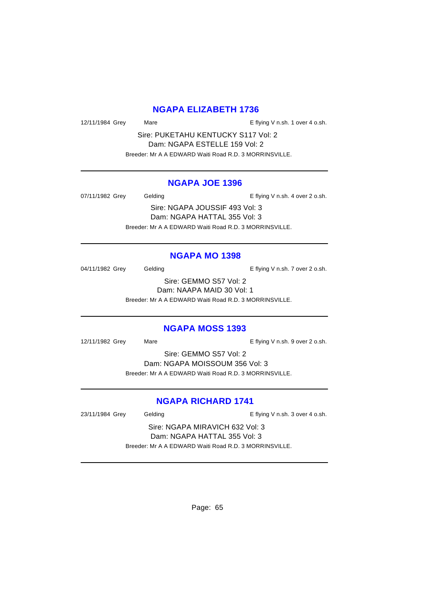## **NGAPA ELIZABETH 1736**

12/11/1984 Grey Mare Mare E flying V n.sh. 1 over 4 o.sh.

Sire: PUKETAHU KENTUCKY S117 Vol: 2 Dam: NGAPA ESTELLE 159 Vol: 2 Breeder: Mr A A EDWARD Waiti Road R.D. 3 MORRINSVILLE.

## **NGAPA JOE 1396**

07/11/1982 Grey Gelding Contact Contact Contact Contact Contact Contact Contact Contact Contact Contact Contact Contact Contact Contact Contact Contact Contact Contact Contact Contact Contact Contact Contact Contact Contac

Sire: NGAPA JOUSSIF 493 Vol: 3 Dam: NGAPA HATTAL 355 Vol: 3 Breeder: Mr A A EDWARD Waiti Road R.D. 3 MORRINSVILLE.

## **NGAPA MO 1398**

04/11/1982 Grey Gelding Casset Controller E flying V n.sh. 7 over 2 o.sh.

Sire: GEMMO S57 Vol: 2 Dam: NAAPA MAID 30 Vol: 1 Breeder: Mr A A EDWARD Waiti Road R.D. 3 MORRINSVILLE.

### **NGAPA MOSS 1393**

12/11/1982 Grey Mare Mare E flying V n.sh. 9 over 2 o.sh.

Sire: GEMMO S57 Vol: 2 Dam: NGAPA MOISSOUM 356 Vol: 3 Breeder: Mr A A EDWARD Waiti Road R.D. 3 MORRINSVILLE.

## **NGAPA RICHARD 1741**

23/11/1984 Grey Gelding Casset Controller E flying V n.sh. 3 over 4 o.sh. Sire: NGAPA MIRAVICH 632 Vol: 3 Dam: NGAPA HATTAL 355 Vol: 3 Breeder: Mr A A EDWARD Waiti Road R.D. 3 MORRINSVILLE.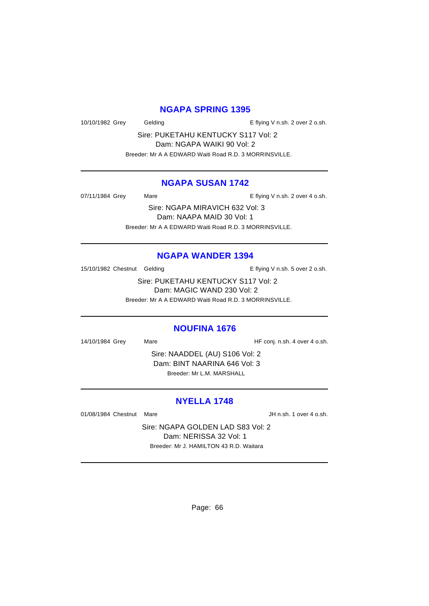## **NGAPA SPRING 1395**

10/10/1982 Grey Gelding Cash. 2 over 2 o.sh.

Sire: PUKETAHU KENTUCKY S117 Vol: 2 Dam: NGAPA WAIKI 90 Vol: 2 Breeder: Mr A A EDWARD Waiti Road R.D. 3 MORRINSVILLE.

### **NGAPA SUSAN 1742**

07/11/1984 Grey Mare Mare E flying V n.sh. 2 over 4 o.sh.

Sire: NGAPA MIRAVICH 632 Vol: 3 Dam: NAAPA MAID 30 Vol: 1 Breeder: Mr A A EDWARD Waiti Road R.D. 3 MORRINSVILLE.

#### **NGAPA WANDER 1394**

15/10/1982 Chestnut Gelding The E flying V n.sh. 5 over 2 o.sh.

Sire: PUKETAHU KENTUCKY S117 Vol: 2 Dam: MAGIC WAND 230 Vol: 2 Breeder: Mr A A EDWARD Waiti Road R.D. 3 MORRINSVILLE.

### **NOUFINA 1676**

14/10/1984 Grey Mare Mare HF conj. n.sh. 4 over 4 o.sh.

Sire: NAADDEL (AU) S106 Vol: 2 Dam: BINT NAARINA 646 Vol: 3 Breeder: Mr L.M. MARSHALL

## **NYELLA 1748**

01/08/1984 Chestnut Mare **JH n.sh. 1 over 4 o.sh.** 

Sire: NGAPA GOLDEN LAD S83 Vol: 2 Dam: NERISSA 32 Vol: 1 Breeder: Mr J. HAMILTON 43 R.D. Waitara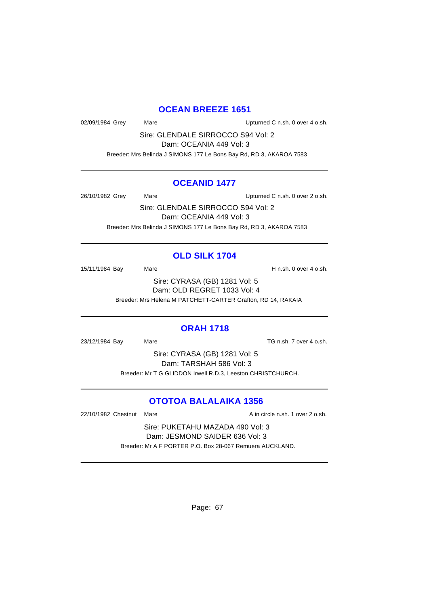# **OCEAN BREEZE 1651**

02/09/1984 Grey Mare Mare Upturned C n.sh. 0 over 4 o.sh.

Sire: GLENDALE SIRROCCO S94 Vol: 2 Dam: OCEANIA 449 Vol: 3

Breeder: Mrs Belinda J SIMONS 177 Le Bons Bay Rd, RD 3, AKAROA 7583

#### **OCEANID 1477**

26/10/1982 Grey Mare Mare Upturned C n.sh. 0 over 2 o.sh.

Sire: GLENDALE SIRROCCO S94 Vol: 2 Dam: OCEANIA 449 Vol: 3 Breeder: Mrs Belinda J SIMONS 177 Le Bons Bay Rd, RD 3, AKAROA 7583

# **OLD SILK 1704**

15/11/1984 Bay Mare Mare H n.sh. 0 over 4 o.sh. Sire: CYRASA (GB) 1281 Vol: 5 Dam: OLD REGRET 1033 Vol: 4

Breeder: Mrs Helena M PATCHETT-CARTER Grafton, RD 14, RAKAIA

### **ORAH 1718**

23/12/1984 Bay Mare Mare TG n.sh. 7 over 4 o.sh.

Sire: CYRASA (GB) 1281 Vol: 5 Dam: TARSHAH 586 Vol: 3 Breeder: Mr T G GLIDDON Irwell R.D.3, Leeston CHRISTCHURCH.

## **OTOTOA BALALAIKA 1356**

22/10/1982 Chestnut Mare **A** in circle n.sh. 1 over 2 o.sh.

Sire: PUKETAHU MAZADA 490 Vol: 3 Dam: JESMOND SAIDER 636 Vol: 3 Breeder: Mr A F PORTER P.O. Box 28-067 Remuera AUCKLAND.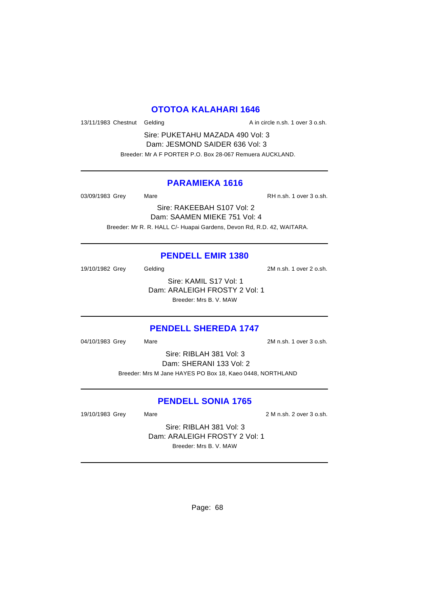### **OTOTOA KALAHARI 1646**

13/11/1983 Chestnut Gelding A in circle n.sh. 1 over 3 o.sh.

Sire: PUKETAHU MAZADA 490 Vol: 3 Dam: JESMOND SAIDER 636 Vol: 3 Breeder: Mr A F PORTER P.O. Box 28-067 Remuera AUCKLAND.

### **PARAMIEKA 1616**

03/09/1983 Grey Mare Mare RH n.sh. 1 over 3 o.sh.

Sire: RAKEEBAH S107 Vol: 2 Dam: SAAMEN MIEKE 751 Vol: 4 Breeder: Mr R. R. HALL C/- Huapai Gardens, Devon Rd, R.D. 42, WAITARA.

### **PENDELL EMIR 1380**

19/10/1982 Grey Gelding 2M n.sh. 1 over 2 o.sh. Sire: KAMIL S17 Vol: 1 Dam: ARALEIGH FROSTY 2 Vol: 1 Breeder: Mrs B. V. MAW

### **PENDELL SHEREDA 1747**

04/10/1983 Grey Mare 2M n.sh. 1 over 3 o.sh.

Sire: RIBLAH 381 Vol: 3 Dam: SHERANI 133 Vol: 2 Breeder: Mrs M Jane HAYES PO Box 18, Kaeo 0448, NORTHLAND

### **PENDELL SONIA 1765**

19/10/1983 Grey Mare Mare 2 M n.sh. 2 over 3 o.sh.

Sire: RIBLAH 381 Vol: 3 Dam: ARALEIGH FROSTY 2 Vol: 1 Breeder: Mrs B. V. MAW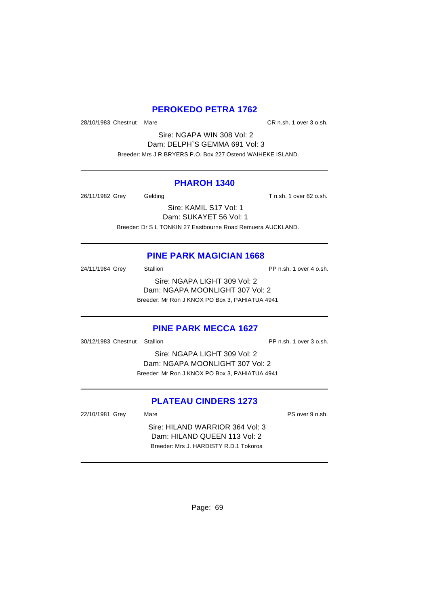# **PEROKEDO PETRA 1762**

28/10/1983 Chestnut Mare CR n.sh. 1 over 3 o.sh.

Sire: NGAPA WIN 308 Vol: 2 Dam: DELPH`S GEMMA 691 Vol: 3 Breeder: Mrs J R BRYERS P.O. Box 227 Ostend WAIHEKE ISLAND.

### **PHAROH 1340**

26/11/1982 Grey Gelding Tn.sh. 1 over 82 o.sh.

Sire: KAMIL S17 Vol: 1 Dam: SUKAYET 56 Vol: 1 Breeder: Dr S L TONKIN 27 Eastbourne Road Remuera AUCKLAND.

# **PINE PARK MAGICIAN 1668**

24/11/1984 Grey Stallion Stallion State PP n.sh. 1 over 4 o.sh. Sire: NGAPA LIGHT 309 Vol: 2 Dam: NGAPA MOONLIGHT 307 Vol: 2 Breeder: Mr Ron J KNOX PO Box 3, PAHIATUA 4941

# **PINE PARK MECCA 1627**

30/12/1983 Chestnut Stallion PP n.sh. 1 over 3 o.sh.

Sire: NGAPA LIGHT 309 Vol: 2 Dam: NGAPA MOONLIGHT 307 Vol: 2 Breeder: Mr Ron J KNOX PO Box 3, PAHIATUA 4941

## **PLATEAU CINDERS 1273**

22/10/1981 Grey Mare Mare PS over 9 n.sh.

Sire: HILAND WARRIOR 364 Vol: 3 Dam: HILAND QUEEN 113 Vol: 2 Breeder: Mrs J. HARDISTY R.D.1 Tokoroa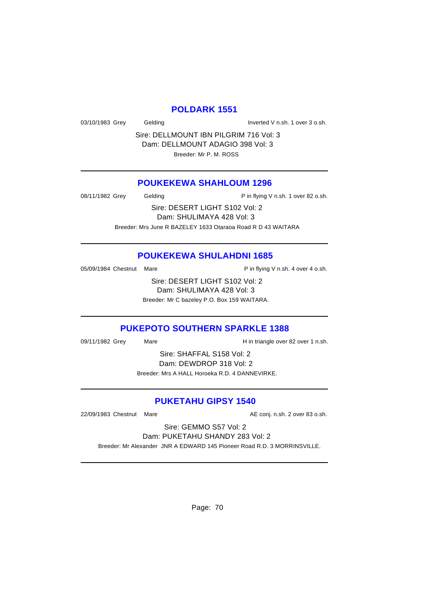### **POLDARK 1551**

03/10/1983 Grey Gelding Gelding Inverted V n.sh. 1 over 3 o.sh.

Sire: DELLMOUNT IBN PILGRIM 716 Vol: 3 Dam: DELLMOUNT ADAGIO 398 Vol: 3 Breeder: Mr P. M. ROSS

### **POUKEKEWA SHAHLOUM 1296**

08/11/1982 Grey Gelding Contact P in flying V n.sh. 1 over 82 o.sh.

Sire: DESERT LIGHT S102 Vol: 2 Dam: SHULIMAYA 428 Vol: 3 Breeder: Mrs June R BAZELEY 1633 Otaraoa Road R D 43 WAITARA

### **POUKEKEWA SHULAHDNI 1685**

 $05/09/1984$  Chestnut Mare  $P$  in flying V n.sh. 4 over 4 o.sh.

Sire: DESERT LIGHT S102 Vol: 2 Dam: SHULIMAYA 428 Vol: 3 Breeder: Mr C bazeley P.O. Box 159 WAITARA.

### **PUKEPOTO SOUTHERN SPARKLE 1388**

09/11/1982 Grey Mare Hin triangle over 82 over 1 n.sh.

Sire: SHAFFAL S158 Vol: 2 Dam: DEWDROP 318 Vol: 2 Breeder: Mrs A HALL Horoeka R.D. 4 DANNEVIRKE.

## **PUKETAHU GIPSY 1540**

22/09/1983 Chestnut Mare **AE conj.** n.sh. 2 over 83 o.sh.

Sire: GEMMO S57 Vol: 2 Dam: PUKETAHU SHANDY 283 Vol: 2

Breeder: Mr Alexander JNR A EDWARD 145 Pioneer Road R.D. 3 MORRINSVILLE.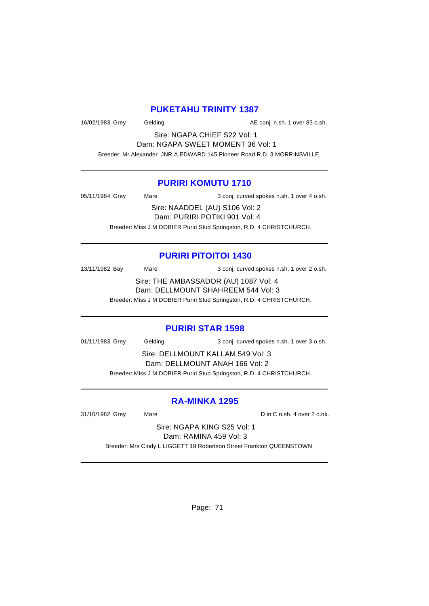## **PUKETAHU TRINITY 1387**

16/02/1983 Grey Gelding Case Conj. n.sh. 1 over 83 o.sh.

Sire: NGAPA CHIEF S22 Vol: 1 Dam: NGAPA SWEET MOMENT 36 Vol: 1

Breeder: Mr Alexander JNR A EDWARD 145 Pioneer Road R.D. 3 MORRINSVILLE.

## **PURIRI KOMUTU 1710**

05/11/1984 Grey Mare Mare 3 conj. curved spokes n.sh. 1 over 4 o.sh.

Sire: NAADDEL (AU) S106 Vol: 2

Dam: PURIRI POTIKI 901 Vol: 4

Breeder: Miss J M DOBIER Puriri Stud Springston, R.D. 4 CHRISTCHURCH.

## **PURIRI PITOITOI 1430**

13/11/1982 Bay Mare 3 conj. curved spokes n.sh. 1 over 2 o.sh.

Sire: THE AMBASSADOR (AU) 1087 Vol: 4 Dam: DELLMOUNT SHAHREEM 544 Vol: 3

Breeder: Miss J M DOBIER Puriri Stud Springston, R.D. 4 CHRISTCHURCH.

### **PURIRI STAR 1598**

01/11/1983 Grey Gelding 3 conj. curved spokes n.sh. 1 over 3 o.sh.

Sire: DELLMOUNT KALLAM 549 Vol: 3 Dam: DELLMOUNT ANAH 166 Vol: 2 Breeder: Miss J M DOBIER Puriri Stud Springston, R.D. 4 CHRISTCHURCH.

# **RA-MINKA 1295**

31/10/1982 Grey Mare Mare Din C n.sh. 4 over 2 o.nk.

Sire: NGAPA KING S25 Vol: 1 Dam: RAMINA 459 Vol: 3

Breeder: Mrs Cindy L LIGGETT 19 Robertson Street Frankton QUEENSTOWN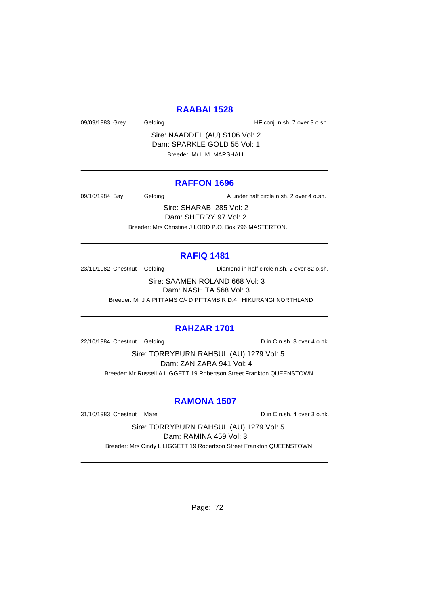### **RAABAI 1528**

09/09/1983 Grey Gelding Gelding HF conj. n.sh. 7 over 3 o.sh.

Sire: NAADDEL (AU) S106 Vol: 2 Dam: SPARKLE GOLD 55 Vol: 1 Breeder: Mr L.M. MARSHALL

### **RAFFON 1696**

09/10/1984 Bay Gelding A under half circle n.sh. 2 over 4 o.sh.

Sire: SHARABI 285 Vol: 2 Dam: SHERRY 97 Vol: 2 Breeder: Mrs Christine J LORD P.O. Box 796 MASTERTON.

## **RAFIQ 1481**

23/11/1982 Chestnut Gelding Diamond in half circle n.sh. 2 over 82 o.sh.

Sire: SAAMEN ROLAND 668 Vol: 3 Dam: NASHITA 568 Vol: 3 Breeder: Mr J A PITTAMS C/- D PITTAMS R.D.4 HIKURANGI NORTHLAND

#### **RAHZAR 1701**

22/10/1984 Chestnut Gelding Din C n.sh. 3 over 4 o.nk.

Sire: TORRYBURN RAHSUL (AU) 1279 Vol: 5 Dam: ZAN ZARA 941 Vol: 4 Breeder: Mr Russell A LIGGETT 19 Robertson Street Frankton QUEENSTOWN

### **RAMONA 1507**

31/10/1983 Chestnut Mare **D** in C n.sh. 4 over 3 o.nk.

Sire: TORRYBURN RAHSUL (AU) 1279 Vol: 5 Dam: RAMINA 459 Vol: 3

Breeder: Mrs Cindy L LIGGETT 19 Robertson Street Frankton QUEENSTOWN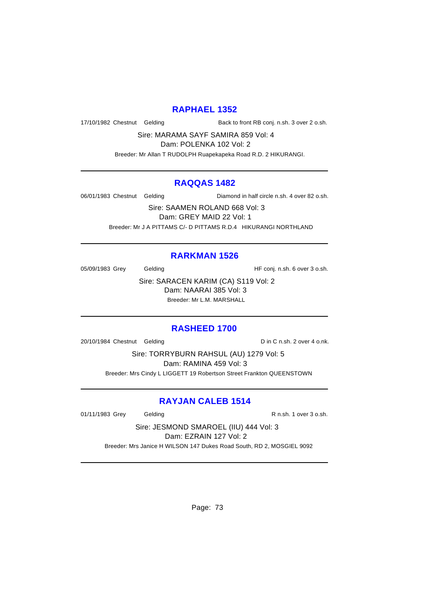### **RAPHAEL 1352**

17/10/1982 Chestnut Gelding Back to front RB conj. n.sh. 3 over 2 o.sh.

Sire: MARAMA SAYF SAMIRA 859 Vol: 4

Dam: POLENKA 102 Vol: 2

Breeder: Mr Allan T RUDOLPH Ruapekapeka Road R.D. 2 HIKURANGI.

## **RAQQAS 1482**

06/01/1983 Chestnut Gelding Diamond in half circle n.sh. 4 over 82 o.sh.

Sire: SAAMEN ROLAND 668 Vol: 3 Dam: GREY MAID 22 Vol: 1 Breeder: Mr J A PITTAMS C/- D PITTAMS R.D.4 HIKURANGI NORTHLAND

## **RARKMAN 1526**

05/09/1983 Grey Gelding Gelding HF conj. n.sh. 6 over 3 o.sh.

Sire: SARACEN KARIM (CA) S119 Vol: 2 Dam: NAARAI 385 Vol: 3 Breeder: Mr L.M. MARSHALL

### **RASHEED 1700**

20/10/1984 Chestnut Gelding Din C n.sh. 2 over 4 o.nk.

Sire: TORRYBURN RAHSUL (AU) 1279 Vol: 5 Dam: RAMINA 459 Vol: 3 Breeder: Mrs Cindy L LIGGETT 19 Robertson Street Frankton QUEENSTOWN

## **RAYJAN CALEB 1514**

01/11/1983 Grey Gelding Contract Contract Contract Contract Contract Contract Contract Contract Contract Contract Contract Contract Contract Contract Contract Contract Contract Contract Contract Contract Contract Contract

Sire: JESMOND SMAROEL (IIU) 444 Vol: 3 Dam: EZRAIN 127 Vol: 2

Breeder: Mrs Janice H WILSON 147 Dukes Road South, RD 2, MOSGIEL 9092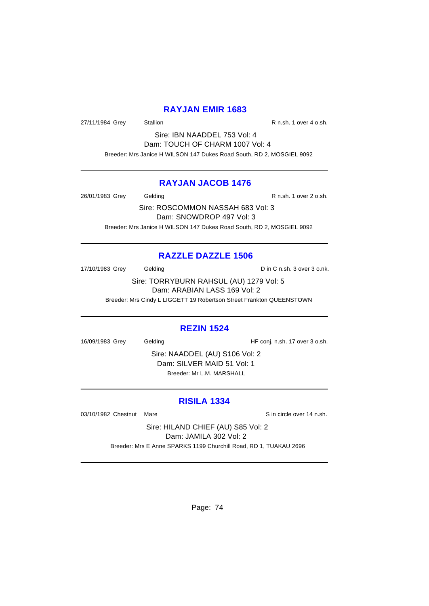## **RAYJAN EMIR 1683**

27/11/1984 Grey Stallion Stallion R n.sh. 1 over 4 o.sh.

Sire: IBN NAADDEL 753 Vol: 4 Dam: TOUCH OF CHARM 1007 Vol: 4 Breeder: Mrs Janice H WILSON 147 Dukes Road South, RD 2, MOSGIEL 9092

## **RAYJAN JACOB 1476**

26/01/1983 Grey Gelding Communication R n.sh. 1 over 2 o.sh.

Sire: ROSCOMMON NASSAH 683 Vol: 3 Dam: SNOWDROP 497 Vol: 3 Breeder: Mrs Janice H WILSON 147 Dukes Road South, RD 2, MOSGIEL 9092

## **RAZZLE DAZZLE 1506**

17/10/1983 Grey Gelding Contact Contact D in C n.sh. 3 over 3 o.nk.

Sire: TORRYBURN RAHSUL (AU) 1279 Vol: 5 Dam: ARABIAN LASS 169 Vol: 2

Breeder: Mrs Cindy L LIGGETT 19 Robertson Street Frankton QUEENSTOWN

## **REZIN 1524**

16/09/1983 Grey Gelding HF conj. n.sh. 17 over 3 o.sh.

Sire: NAADDEL (AU) S106 Vol: 2 Dam: SILVER MAID 51 Vol: 1 Breeder: Mr L.M. MARSHALL

## **RISILA 1334**

03/10/1982 Chestnut Mare Sin circle over 14 n.sh.

Sire: HILAND CHIEF (AU) S85 Vol: 2 Dam: JAMILA 302 Vol: 2 Breeder: Mrs E Anne SPARKS 1199 Churchill Road, RD 1, TUAKAU 2696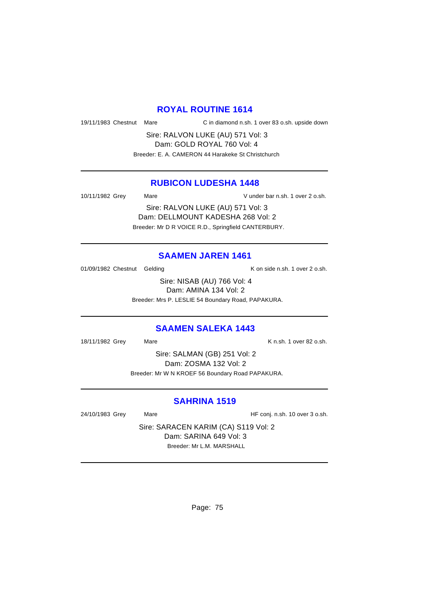#### **ROYAL ROUTINE 1614**

19/11/1983 Chestnut Mare C in diamond n.sh. 1 over 83 o.sh. upside down

Sire: RALVON LUKE (AU) 571 Vol: 3 Dam: GOLD ROYAL 760 Vol: 4 Breeder: E. A. CAMERON 44 Harakeke St Christchurch

# **RUBICON LUDESHA 1448**

10/11/1982 Grey Mare Mare V under bar n.sh. 1 over 2 o.sh.

Sire: RALVON LUKE (AU) 571 Vol: 3 Dam: DELLMOUNT KADESHA 268 Vol: 2 Breeder: Mr D R VOICE R.D., Springfield CANTERBURY.

### **SAAMEN JAREN 1461**

01/09/1982 Chestnut Gelding The Research Consider n.sh. 1 over 2 o.sh.

Sire: NISAB (AU) 766 Vol: 4 Dam: AMINA 134 Vol: 2 Breeder: Mrs P. LESLIE 54 Boundary Road, PAPAKURA.

### **SAAMEN SALEKA 1443**

18/11/1982 Grey Mare Mare K n.sh. 1 over 82 o.sh.

Sire: SALMAN (GB) 251 Vol: 2 Dam: ZOSMA 132 Vol: 2 Breeder: Mr W N KROEF 56 Boundary Road PAPAKURA.

## **SAHRINA 1519**

24/10/1983 Grey Mare Mare HF conj. n.sh. 10 over 3 o.sh.

Sire: SARACEN KARIM (CA) S119 Vol: 2 Dam: SARINA 649 Vol: 3 Breeder: Mr L.M. MARSHALL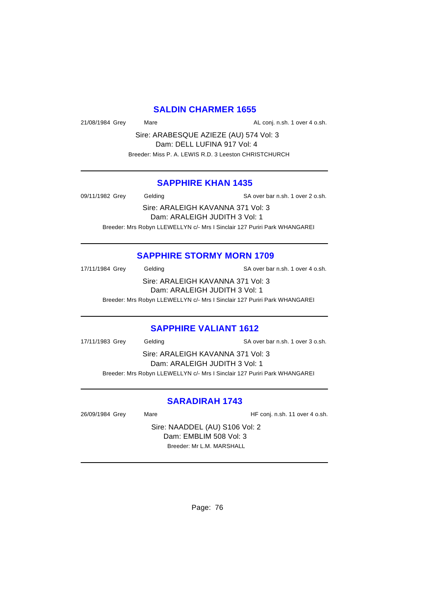### **SALDIN CHARMER 1655**

21/08/1984 Grey Mare Mare AL conj. n.sh. 1 over 4 o.sh.

Sire: ARABESQUE AZIEZE (AU) 574 Vol: 3 Dam: DELL LUFINA 917 Vol: 4 Breeder: Miss P. A. LEWIS R.D. 3 Leeston CHRISTCHURCH

## **SAPPHIRE KHAN 1435**

09/11/1982 Grey Gelding SA over bar n.sh. 1 over 2 o.sh.

Sire: ARALEIGH KAVANNA 371 Vol: 3 Dam: ARALEIGH JUDITH 3 Vol: 1 Breeder: Mrs Robyn LLEWELLYN c/- Mrs I Sinclair 127 Puriri Park WHANGAREI

## **SAPPHIRE STORMY MORN 1709**

17/11/1984 Grey Gelding Gelding SA over bar n.sh. 1 over 4 o.sh. Sire: ARALEIGH KAVANNA 371 Vol: 3 Dam: ARALEIGH JUDITH 3 Vol: 1

Breeder: Mrs Robyn LLEWELLYN c/- Mrs I Sinclair 127 Puriri Park WHANGAREI

#### **SAPPHIRE VALIANT 1612**

17/11/1983 Grey Gelding SA over bar n.sh. 1 over 3 o.sh. Sire: ARALEIGH KAVANNA 371 Vol: 3 Dam: ARALEIGH JUDITH 3 Vol: 1 Breeder: Mrs Robyn LLEWELLYN c/- Mrs I Sinclair 127 Puriri Park WHANGAREI

#### **SARADIRAH 1743**

26/09/1984 Grey Mare Mare HF conj. n.sh. 11 over 4 o.sh.

Sire: NAADDEL (AU) S106 Vol: 2 Dam: EMBLIM 508 Vol: 3 Breeder: Mr L.M. MARSHALL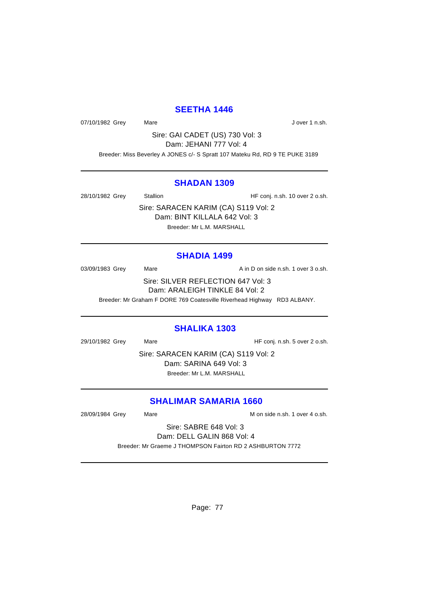## **SEETHA 1446**

07/10/1982 Grey Mare Mare J over 1 n.sh.

Sire: GAI CADET (US) 730 Vol: 3 Dam: JEHANI 777 Vol: 4

Breeder: Miss Beverley A JONES c/- S Spratt 107 Mateku Rd, RD 9 TE PUKE 3189

#### **SHADAN 1309**

28/10/1982 Grey Stallion Stallion HF conj. n.sh. 10 over 2 o.sh.

Sire: SARACEN KARIM (CA) S119 Vol: 2 Dam: BINT KILLALA 642 Vol: 3

Breeder: Mr L.M. MARSHALL

# **SHADIA 1499**

03/09/1983 Grey Mare Mare A in D on side n.sh. 1 over 3 o.sh. Sire: SILVER REFLECTION 647 Vol: 3 Dam: ARALEIGH TINKLE 84 Vol: 2

Breeder: Mr Graham F DORE 769 Coatesville Riverhead Highway RD3 ALBANY.

### **SHALIKA 1303**

29/10/1982 Grey Mare Mare HF conj. n.sh. 5 over 2 o.sh.

Sire: SARACEN KARIM (CA) S119 Vol: 2 Dam: SARINA 649 Vol: 3 Breeder: Mr L.M. MARSHALL

## **SHALIMAR SAMARIA 1660**

28/09/1984 Grey Mare M on side n.sh. 1 over 4 o.sh.

Sire: SABRE 648 Vol: 3 Dam: DELL GALIN 868 Vol: 4 Breeder: Mr Graeme J THOMPSON Fairton RD 2 ASHBURTON 7772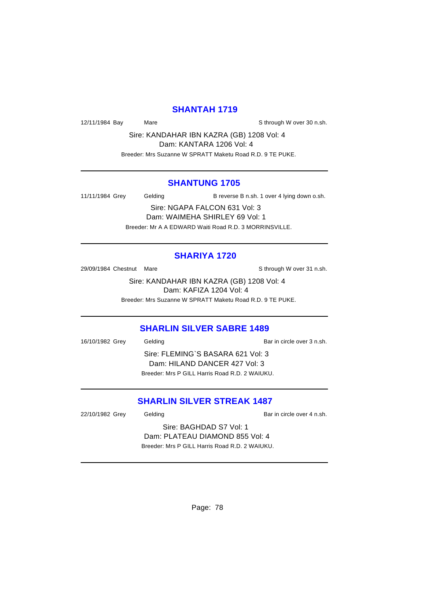## **SHANTAH 1719**

12/11/1984 Bay Mare Mare Sthrough W over 30 n.sh.

Sire: KANDAHAR IBN KAZRA (GB) 1208 Vol: 4 Dam: KANTARA 1206 Vol: 4

Breeder: Mrs Suzanne W SPRATT Maketu Road R.D. 9 TE PUKE.

### **SHANTUNG 1705**

11/11/1984 Grey Gelding B reverse B n.sh. 1 over 4 lying down o.sh.

Sire: NGAPA FALCON 631 Vol: 3 Dam: WAIMEHA SHIRLEY 69 Vol: 1 Breeder: Mr A A EDWARD Waiti Road R.D. 3 MORRINSVILLE.

### **SHARIYA 1720**

29/09/1984 Chestnut Mare State of the Sthrough W over 31 n.sh.

Sire: KANDAHAR IBN KAZRA (GB) 1208 Vol: 4 Dam: KAFIZA 1204 Vol: 4 Breeder: Mrs Suzanne W SPRATT Maketu Road R.D. 9 TE PUKE.

#### **SHARLIN SILVER SABRE 1489**

16/10/1982 Grey Gelding Bar in circle over 3 n.sh. Sire: FLEMING`S BASARA 621 Vol: 3 Dam: HILAND DANCER 427 Vol: 3 Breeder: Mrs P GILL Harris Road R.D. 2 WAIUKU.

## **SHARLIN SILVER STREAK 1487**

22/10/1982 Grey Gelding Bar in circle over 4 n.sh. Sire: BAGHDAD S7 Vol: 1 Dam: PLATEAU DIAMOND 855 Vol: 4 Breeder: Mrs P GILL Harris Road R.D. 2 WAIUKU.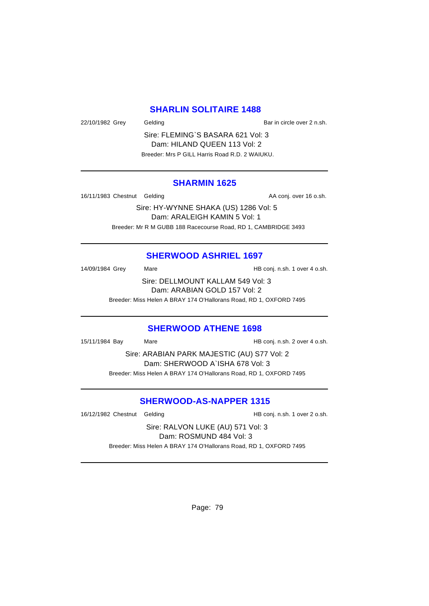## **SHARLIN SOLITAIRE 1488**

22/10/1982 Grey Gelding Bar in circle over 2 n.sh.

Sire: FLEMING`S BASARA 621 Vol: 3 Dam: HILAND QUEEN 113 Vol: 2 Breeder: Mrs P GILL Harris Road R.D. 2 WAIUKU.

### **SHARMIN 1625**

16/11/1983 Chestnut Gelding AA conj. over 16 o.sh.

Sire: HY-WYNNE SHAKA (US) 1286 Vol: 5 Dam: ARALEIGH KAMIN 5 Vol: 1 Breeder: Mr R M GUBB 188 Racecourse Road, RD 1, CAMBRIDGE 3493

## **SHERWOOD ASHRIEL 1697**

14/09/1984 Grey Mare Mare HB conj. n.sh. 1 over 4 o.sh. Sire: DELLMOUNT KALLAM 549 Vol: 3 Dam: ARABIAN GOLD 157 Vol: 2

Breeder: Miss Helen A BRAY 174 O'Hallorans Road, RD 1, OXFORD 7495

### **SHERWOOD ATHENE 1698**

15/11/1984 Bay Mare HB conj. n.sh. 2 over 4 o.sh.

Sire: ARABIAN PARK MAJESTIC (AU) S77 Vol: 2 Dam: SHERWOOD A`ISHA 678 Vol: 3 Breeder: Miss Helen A BRAY 174 O'Hallorans Road, RD 1, OXFORD 7495

## **SHERWOOD-AS-NAPPER 1315**

16/12/1982 Chestnut Gelding The State of HB conj. n.sh. 1 over 2 o.sh.

Sire: RALVON LUKE (AU) 571 Vol: 3 Dam: ROSMUND 484 Vol: 3 Breeder: Miss Helen A BRAY 174 O'Hallorans Road, RD 1, OXFORD 7495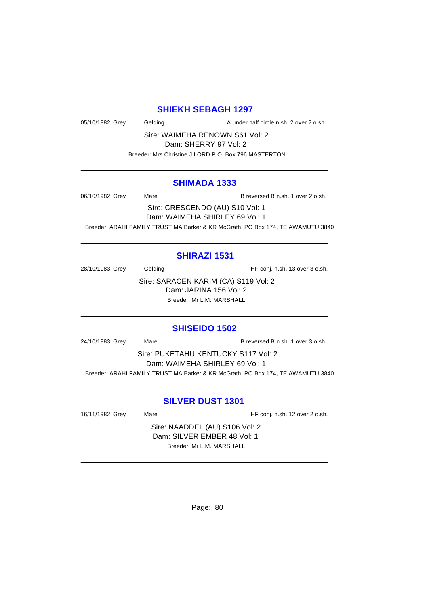#### **SHIEKH SEBAGH 1297**

05/10/1982 Grey Gelding Contact A under half circle n.sh. 2 over 2 o.sh.

Sire: WAIMEHA RENOWN S61 Vol: 2 Dam: SHERRY 97 Vol: 2

Breeder: Mrs Christine J LORD P.O. Box 796 MASTERTON.

#### **SHIMADA 1333**

06/10/1982 Grey Mare Mare B reversed B n.sh. 1 over 2 o.sh.

Sire: CRESCENDO (AU) S10 Vol: 1 Dam: WAIMEHA SHIRLEY 69 Vol: 1 Breeder: ARAHI FAMILY TRUST MA Barker & KR McGrath, PO Box 174, TE AWAMUTU 3840

## **SHIRAZI 1531**

28/10/1983 Grey Gelding Gelding HF conj. n.sh. 13 over 3 o.sh.

Sire: SARACEN KARIM (CA) S119 Vol: 2 Dam: JARINA 156 Vol: 2 Breeder: Mr L.M. MARSHALL

### **SHISEIDO 1502**

24/10/1983 Grey Mare B reversed B n.sh. 1 over 3 o.sh.

Sire: PUKETAHU KENTUCKY S117 Vol: 2 Dam: WAIMEHA SHIRLEY 69 Vol: 1 Breeder: ARAHI FAMILY TRUST MA Barker & KR McGrath, PO Box 174, TE AWAMUTU 3840

## **SILVER DUST 1301**

16/11/1982 Grey Mare Mare HF conj. n.sh. 12 over 2 o.sh.

Sire: NAADDEL (AU) S106 Vol: 2 Dam: SILVER EMBER 48 Vol: 1 Breeder: Mr L.M. MARSHALL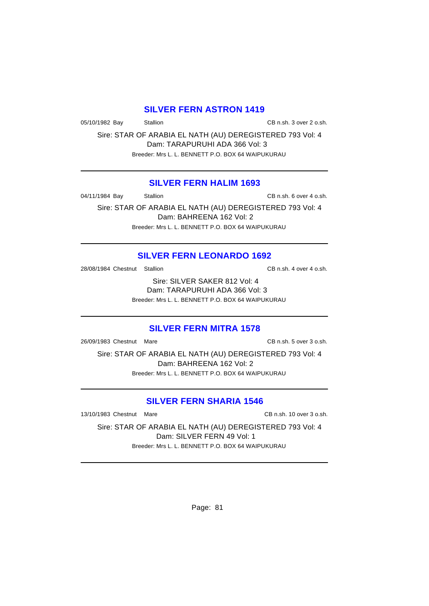## **SILVER FERN ASTRON 1419**

05/10/1982 Bay Stallion Stallion CB n.sh. 3 over 2 o.sh.

Sire: STAR OF ARABIA EL NATH (AU) DEREGISTERED 793 Vol: 4 Dam: TARAPURUHI ADA 366 Vol: 3 Breeder: Mrs L. L. BENNETT P.O. BOX 64 WAIPUKURAU

## **SILVER FERN HALIM 1693**

04/11/1984 Bay Stallion Stallion CB n.sh. 6 over 4 o.sh.

Sire: STAR OF ARABIA EL NATH (AU) DEREGISTERED 793 Vol: 4 Dam: BAHREENA 162 Vol: 2 Breeder: Mrs L. L. BENNETT P.O. BOX 64 WAIPUKURAU

## **SILVER FERN LEONARDO 1692**

28/08/1984 Chestnut Stallion CB n.sh. 4 over 4 o.sh.

Sire: SILVER SAKER 812 Vol: 4 Dam: TARAPURUHI ADA 366 Vol: 3 Breeder: Mrs L. L. BENNETT P.O. BOX 64 WAIPUKURAU

### **SILVER FERN MITRA 1578**

26/09/1983 Chestnut Mare CB n.sh. 5 over 3 o.sh.

Sire: STAR OF ARABIA EL NATH (AU) DEREGISTERED 793 Vol: 4 Dam: BAHREENA 162 Vol: 2 Breeder: Mrs L. L. BENNETT P.O. BOX 64 WAIPUKURAU

## **SILVER FERN SHARIA 1546**

13/10/1983 Chestnut Mare CB n.sh. 10 over 3 o.sh.

Sire: STAR OF ARABIA EL NATH (AU) DEREGISTERED 793 Vol: 4 Dam: SILVER FERN 49 Vol: 1 Breeder: Mrs L. L. BENNETT P.O. BOX 64 WAIPUKURAU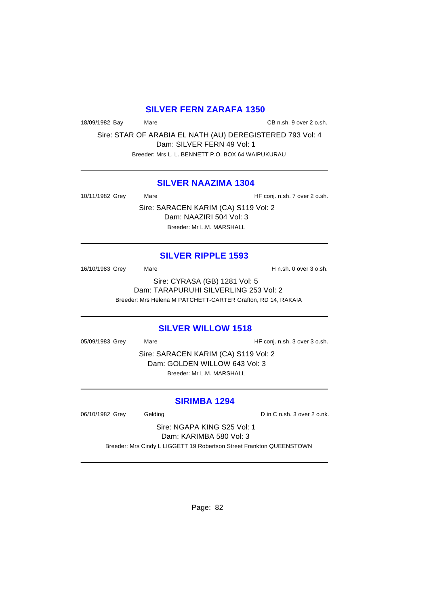## **SILVER FERN ZARAFA 1350**

18/09/1982 Bay Mare Mare CB n.sh. 9 over 2 o.sh.

Sire: STAR OF ARABIA EL NATH (AU) DEREGISTERED 793 Vol: 4 Dam: SILVER FERN 49 Vol: 1 Breeder: Mrs L. L. BENNETT P.O. BOX 64 WAIPUKURAU

## **SILVER NAAZIMA 1304**

10/11/1982 Grey Mare Mare HF conj. n.sh. 7 over 2 o.sh.

Sire: SARACEN KARIM (CA) S119 Vol: 2 Dam: NAAZIRI 504 Vol: 3 Breeder: Mr L.M. MARSHALL

#### **SILVER RIPPLE 1593**

16/10/1983 Grey Mare Mare H n.sh. 0 over 3 o.sh. Sire: CYRASA (GB) 1281 Vol: 5 Dam: TARAPURUHI SILVERLING 253 Vol: 2 Breeder: Mrs Helena M PATCHETT-CARTER Grafton, RD 14, RAKAIA

#### **SILVER WILLOW 1518**

05/09/1983 Grey Mare Mare HF conj. n.sh. 3 over 3 o.sh.

Sire: SARACEN KARIM (CA) S119 Vol: 2 Dam: GOLDEN WILLOW 643 Vol: 3 Breeder: Mr L.M. MARSHALL

### **SIRIMBA 1294**

06/10/1982 Grey Gelding Contact Contact D in C n.sh. 3 over 2 o.nk.

Sire: NGAPA KING S25 Vol: 1 Dam: KARIMBA 580 Vol: 3

Breeder: Mrs Cindy L LIGGETT 19 Robertson Street Frankton QUEENSTOWN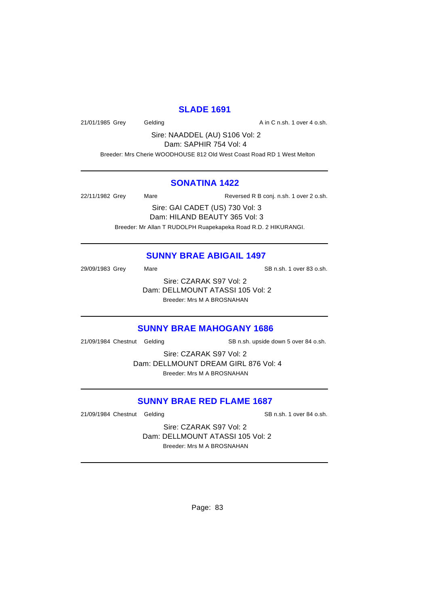## **SLADE 1691**

21/01/1985 Grey Gelding Construction A in C n.sh. 1 over 4 o.sh.

Sire: NAADDEL (AU) S106 Vol: 2 Dam: SAPHIR 754 Vol: 4

Breeder: Mrs Cherie WOODHOUSE 812 Old West Coast Road RD 1 West Melton

#### **SONATINA 1422**

22/11/1982 Grey Mare Mare Reversed R B conj. n.sh. 1 over 2 o.sh.

Sire: GAI CADET (US) 730 Vol: 3 Dam: HILAND BEAUTY 365 Vol: 3 Breeder: Mr Allan T RUDOLPH Ruapekapeka Road R.D. 2 HIKURANGI.

## **SUNNY BRAE ABIGAIL 1497**

29/09/1983 Grey Mare Mare SB n.sh. 1 over 83 o.sh. Sire: CZARAK S97 Vol: 2

Dam: DELLMOUNT ATASSI 105 Vol: 2 Breeder: Mrs M A BROSNAHAN

### **SUNNY BRAE MAHOGANY 1686**

21/09/1984 Chestnut Gelding SB n.sh. upside down 5 over 84 o.sh.

Sire: CZARAK S97 Vol: 2 Dam: DELLMOUNT DREAM GIRL 876 Vol: 4 Breeder: Mrs M A BROSNAHAN

## **SUNNY BRAE RED FLAME 1687**

21/09/1984 Chestnut Gelding SB n.sh. 1 over 84 o.sh.

Sire: CZARAK S97 Vol: 2 Dam: DELLMOUNT ATASSI 105 Vol: 2 Breeder: Mrs M A BROSNAHAN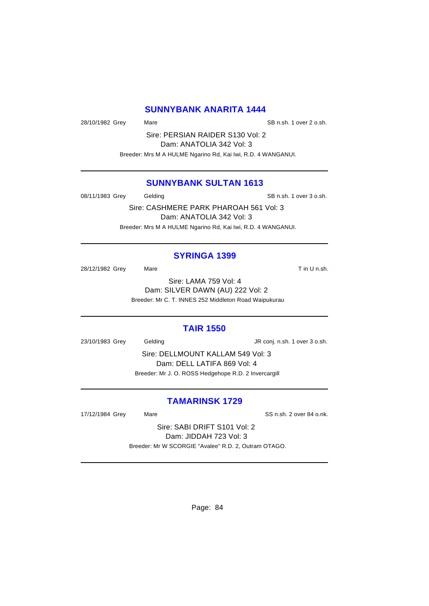### **SUNNYBANK ANARITA 1444**

28/10/1982 Grey Mare Mare SB n.sh. 1 over 2 o.sh.

Sire: PERSIAN RAIDER S130 Vol: 2 Dam: ANATOLIA 342 Vol: 3 Breeder: Mrs M A HULME Ngarino Rd, Kai Iwi, R.D. 4 WANGANUI.

## **SUNNYBANK SULTAN 1613**

08/11/1983 Grey Gelding Gelding SB n.sh. 1 over 3 o.sh.

Sire: CASHMERE PARK PHAROAH 561 Vol: 3 Dam: ANATOLIA 342 Vol: 3 Breeder: Mrs M A HULME Ngarino Rd, Kai Iwi, R.D. 4 WANGANUI.

#### **SYRINGA 1399**

28/12/1982 Grey Mare Mare Tin U n.sh.

Sire: LAMA 759 Vol: 4 Dam: SILVER DAWN (AU) 222 Vol: 2 Breeder: Mr C. T. INNES 252 Middleton Road Waipukurau

### **TAIR 1550**

23/10/1983 Grey Gelding Gelding JR conj. n.sh. 1 over 3 o.sh.

Sire: DELLMOUNT KALLAM 549 Vol: 3 Dam: DELL LATIFA 869 Vol: 4 Breeder: Mr J. O. ROSS Hedgehope R.D. 2 Invercargill

## **TAMARINSK 1729**

17/12/1984 Grey Mare SS n.sh. 2 over 84 o.nk.

Sire: SABI DRIFT S101 Vol: 2 Dam: JIDDAH 723 Vol: 3 Breeder: Mr W SCORGIE "Avalee" R.D. 2, Outram OTAGO.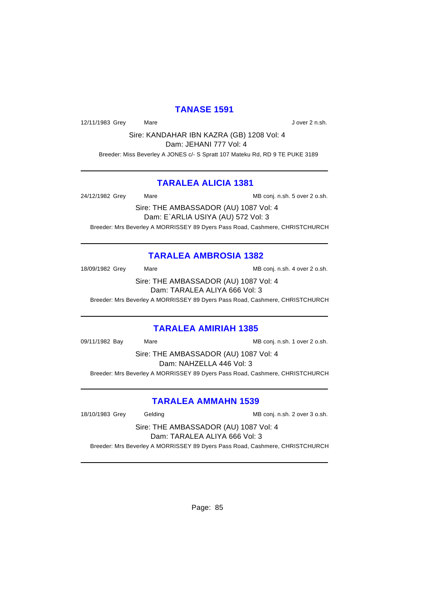## **TANASE 1591**

12/11/1983 Grey Mare J over 2 n.sh.

Sire: KANDAHAR IBN KAZRA (GB) 1208 Vol: 4 Dam: JEHANI 777 Vol: 4

Breeder: Miss Beverley A JONES c/- S Spratt 107 Mateku Rd, RD 9 TE PUKE 3189

## **TARALEA ALICIA 1381**

24/12/1982 Grey Mare Mare MB conj. n.sh. 5 over 2 o.sh.

Sire: THE AMBASSADOR (AU) 1087 Vol: 4 Dam: E`ARLIA USIYA (AU) 572 Vol: 3 Breeder: Mrs Beverley A MORRISSEY 89 Dyers Pass Road, Cashmere, CHRISTCHURCH

# **TARALEA AMBROSIA 1382**

18/09/1982 Grey Mare Mare MB conj. n.sh. 4 over 2 o.sh. Sire: THE AMBASSADOR (AU) 1087 Vol: 4 Dam: TARALEA ALIYA 666 Vol: 3

Breeder: Mrs Beverley A MORRISSEY 89 Dyers Pass Road, Cashmere, CHRISTCHURCH

## **TARALEA AMIRIAH 1385**

09/11/1982 Bay Mare Mare Matter MB conj. n.sh. 1 over 2 o.sh.

Sire: THE AMBASSADOR (AU) 1087 Vol: 4 Dam: NAHZELLA 446 Vol: 3

Breeder: Mrs Beverley A MORRISSEY 89 Dyers Pass Road, Cashmere, CHRISTCHURCH

## **TARALEA AMMAHN 1539**

18/10/1983 Grey Gelding Conj. n.sh. 2 over 3 o.sh.

Sire: THE AMBASSADOR (AU) 1087 Vol: 4 Dam: TARALEA ALIYA 666 Vol: 3

Breeder: Mrs Beverley A MORRISSEY 89 Dyers Pass Road, Cashmere, CHRISTCHURCH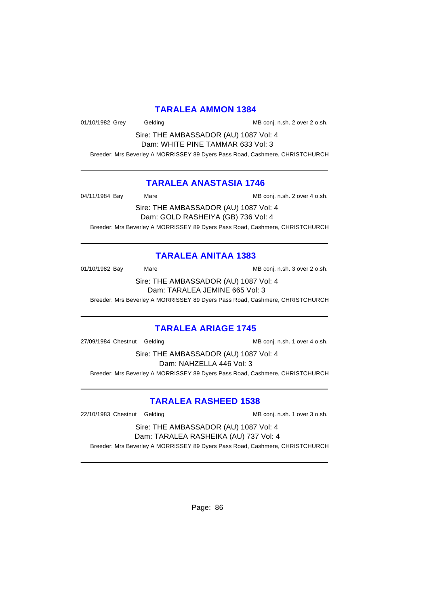#### **TARALEA AMMON 1384**

01/10/1982 Grey Gelding Conj. n.sh. 2 over 2 o.sh.

Sire: THE AMBASSADOR (AU) 1087 Vol: 4 Dam: WHITE PINE TAMMAR 633 Vol: 3

Breeder: Mrs Beverley A MORRISSEY 89 Dyers Pass Road, Cashmere, CHRISTCHURCH

#### **TARALEA ANASTASIA 1746**

04/11/1984 Bay Mare Mare Manuel MB conj. n.sh. 2 over 4 o.sh.

Sire: THE AMBASSADOR (AU) 1087 Vol: 4 Dam: GOLD RASHEIYA (GB) 736 Vol: 4 Breeder: Mrs Beverley A MORRISSEY 89 Dyers Pass Road, Cashmere, CHRISTCHURCH

# **TARALEA ANITAA 1383**

01/10/1982 Bay Mare Mare MB conj. n.sh. 3 over 2 o.sh.

Sire: THE AMBASSADOR (AU) 1087 Vol: 4 Dam: TARALEA JEMINE 665 Vol: 3

Breeder: Mrs Beverley A MORRISSEY 89 Dyers Pass Road, Cashmere, CHRISTCHURCH

## **TARALEA ARIAGE 1745**

27/09/1984 Chestnut Gelding MB conj. n.sh. 1 over 4 o.sh.

Sire: THE AMBASSADOR (AU) 1087 Vol: 4 Dam: NAHZELLA 446 Vol: 3 Breeder: Mrs Beverley A MORRISSEY 89 Dyers Pass Road, Cashmere, CHRISTCHURCH

## **TARALEA RASHEED 1538**

22/10/1983 Chestnut Gelding MB conj. n.sh. 1 over 3 o.sh.

Sire: THE AMBASSADOR (AU) 1087 Vol: 4 Dam: TARALEA RASHEIKA (AU) 737 Vol: 4

Breeder: Mrs Beverley A MORRISSEY 89 Dyers Pass Road, Cashmere, CHRISTCHURCH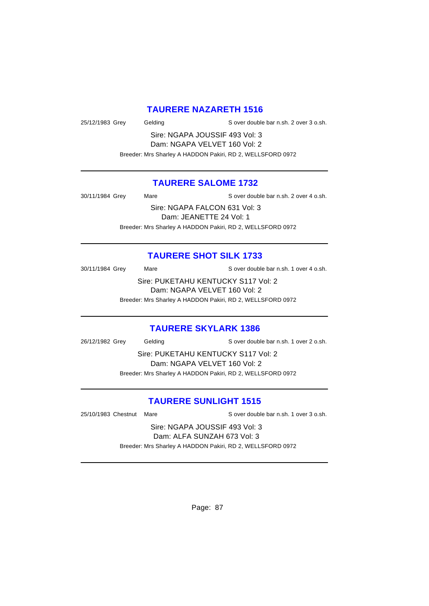### **TAURERE NAZARETH 1516**

25/12/1983 Grey Gelding Sover double bar n.sh. 2 over 3 o.sh.

Sire: NGAPA JOUSSIF 493 Vol: 3 Dam: NGAPA VELVET 160 Vol: 2 Breeder: Mrs Sharley A HADDON Pakiri, RD 2, WELLSFORD 0972

## **TAURERE SALOME 1732**

30/11/1984 Grey Mare Sover double bar n.sh. 2 over 4 o.sh. Sire: NGAPA FALCON 631 Vol: 3 Dam: JEANETTE 24 Vol: 1

Breeder: Mrs Sharley A HADDON Pakiri, RD 2, WELLSFORD 0972

## **TAURERE SHOT SILK 1733**

30/11/1984 Grey Mare Mare S over double bar n.sh. 1 over 4 o.sh. Sire: PUKETAHU KENTUCKY S117 Vol: 2

Dam: NGAPA VELVET 160 Vol: 2

Breeder: Mrs Sharley A HADDON Pakiri, RD 2, WELLSFORD 0972

### **TAURERE SKYLARK 1386**

26/12/1982 Grey Gelding Sover double bar n.sh. 1 over 2 o.sh.

Sire: PUKETAHU KENTUCKY S117 Vol: 2 Dam: NGAPA VELVET 160 Vol: 2 Breeder: Mrs Sharley A HADDON Pakiri, RD 2, WELLSFORD 0972

## **TAURERE SUNLIGHT 1515**

25/10/1983 Chestnut Mare S over double bar n.sh. 1 over 3 o.sh.

Sire: NGAPA JOUSSIF 493 Vol: 3 Dam: ALFA SUNZAH 673 Vol: 3 Breeder: Mrs Sharley A HADDON Pakiri, RD 2, WELLSFORD 0972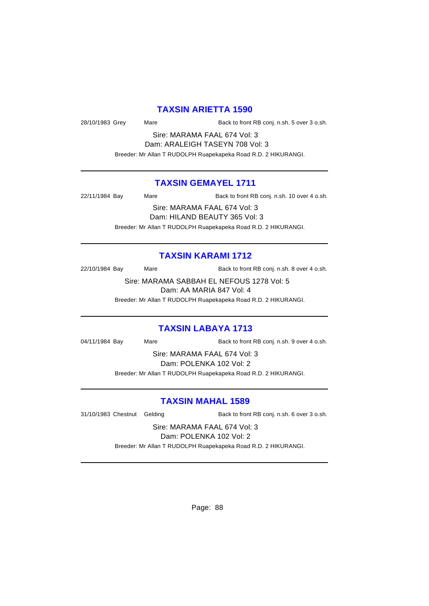## **TAXSIN ARIETTA 1590**

28/10/1983 Grey Mare Back to front RB conj. n.sh. 5 over 3 o.sh.

Sire: MARAMA FAAL 674 Vol: 3 Dam: ARALEIGH TASEYN 708 Vol: 3

Breeder: Mr Allan T RUDOLPH Ruapekapeka Road R.D. 2 HIKURANGI.

## **TAXSIN GEMAYEL 1711**

22/11/1984 Bay Mare Back to front RB conj. n.sh. 10 over 4 o.sh.

Sire: MARAMA FAAL 674 Vol: 3 Dam: HILAND BEAUTY 365 Vol: 3

Breeder: Mr Allan T RUDOLPH Ruapekapeka Road R.D. 2 HIKURANGI.

## **TAXSIN KARAMI 1712**

22/10/1984 Bay Mare Mare Back to front RB conj. n.sh. 8 over 4 o.sh.

Sire: MARAMA SABBAH EL NEFOUS 1278 Vol: 5 Dam: AA MARIA 847 Vol: 4

Breeder: Mr Allan T RUDOLPH Ruapekapeka Road R.D. 2 HIKURANGI.

## **TAXSIN LABAYA 1713**

04/11/1984 Bay Mare Back to front RB conj. n.sh. 9 over 4 o.sh.

Sire: MARAMA FAAL 674 Vol: 3 Dam: POLENKA 102 Vol: 2 Breeder: Mr Allan T RUDOLPH Ruapekapeka Road R.D. 2 HIKURANGI.

## **TAXSIN MAHAL 1589**

31/10/1983 Chestnut Gelding Back to front RB conj. n.sh. 6 over 3 o.sh.

Sire: MARAMA FAAL 674 Vol: 3 Dam: POLENKA 102 Vol: 2

Breeder: Mr Allan T RUDOLPH Ruapekapeka Road R.D. 2 HIKURANGI.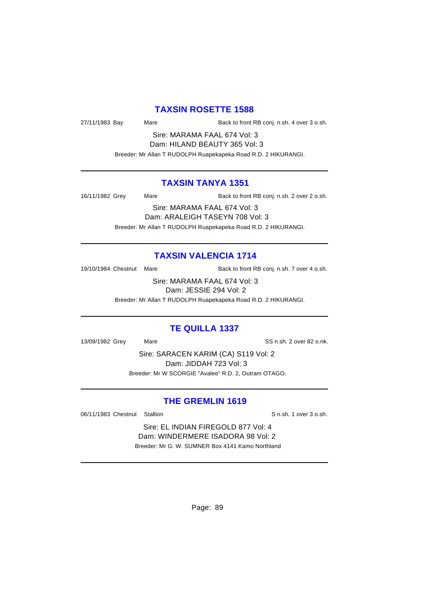#### **TAXSIN ROSETTE 1588**

27/11/1983 Bay Mare Back to front RB conj. n.sh. 4 over 3 o.sh.

Sire: MARAMA FAAL 674 Vol: 3 Dam: HILAND BEAUTY 365 Vol: 3

Breeder: Mr Allan T RUDOLPH Ruapekapeka Road R.D. 2 HIKURANGI.

## **TAXSIN TANYA 1351**

16/11/1982 Grey Mare Back to front RB conj. n.sh. 2 over 2 o.sh.

Sire: MARAMA FAAL 674 Vol: 3 Dam: ARALEIGH TASEYN 708 Vol: 3 Breeder: Mr Allan T RUDOLPH Ruapekapeka Road R.D. 2 HIKURANGI.

## **TAXSIN VALENCIA 1714**

19/10/1984 Chestnut Mare Back to front RB conj. n.sh. 7 over 4 o.sh.

Sire: MARAMA FAAL 674 Vol: 3 Dam: JESSIE 294 Vol: 2

Breeder: Mr Allan T RUDOLPH Ruapekapeka Road R.D. 2 HIKURANGI.

### **TE QUILLA 1337**

13/09/1982 Grey Mare SS n.sh. 2 over 82 o.nk.

Sire: SARACEN KARIM (CA) S119 Vol: 2 Dam: JIDDAH 723 Vol: 3 Breeder: Mr W SCORGIE "Avalee" R.D. 2, Outram OTAGO.

#### **THE GREMLIN 1619**

06/11/1983 Chestnut Stallion States of States States States States States States States States States States States States States States States States States States States States States States States States States States S

Sire: EL INDIAN FIREGOLD 877 Vol: 4 Dam: WINDERMERE ISADORA 98 Vol: 2 Breeder: Mr G. W. SUMNER Box 4141 Kamo Northland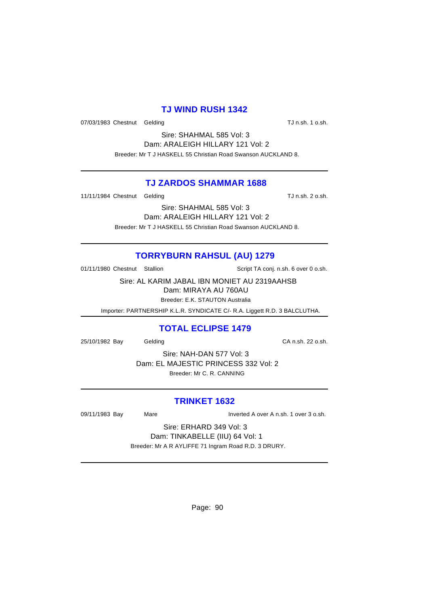## **TJ WIND RUSH 1342**

07/03/1983 Chestnut Gelding TJ n.sh. 1 o.sh.

Sire: SHAHMAL 585 Vol: 3 Dam: ARALEIGH HILLARY 121 Vol: 2 Breeder: Mr T J HASKELL 55 Christian Road Swanson AUCKLAND 8.

## **TJ ZARDOS SHAMMAR 1688**

11/11/1984 Chestnut Gelding TJ n.sh. 2 o.sh.

Sire: SHAHMAL 585 Vol: 3 Dam: ARALEIGH HILLARY 121 Vol: 2 Breeder: Mr T J HASKELL 55 Christian Road Swanson AUCKLAND 8.

# **TORRYBURN RAHSUL (AU) 1279**

01/11/1980 Chestnut Stallion Script TA conj. n.sh. 6 over 0 o.sh.

Sire: AL KARIM JABAL IBN MONIET AU 2319AAHSB Dam: MIRAYA AU 760AU

Breeder: E.K. STAUTON Australia

Importer: PARTNERSHIP K.L.R. SYNDICATE C/- R.A. Liggett R.D. 3 BALCLUTHA.

## **TOTAL ECLIPSE 1479**

25/10/1982 Bay Gelding CA n.sh. 22 o.sh.

Sire: NAH-DAN 577 Vol: 3 Dam: EL MAJESTIC PRINCESS 332 Vol: 2 Breeder: Mr C. R. CANNING

## **TRINKET 1632**

09/11/1983 Bay Mare Inverted A over A n.sh. 1 over 3 o.sh.

Sire: ERHARD 349 Vol: 3 Dam: TINKABELLE (IIU) 64 Vol: 1 Breeder: Mr A R AYLIFFE 71 Ingram Road R.D. 3 DRURY.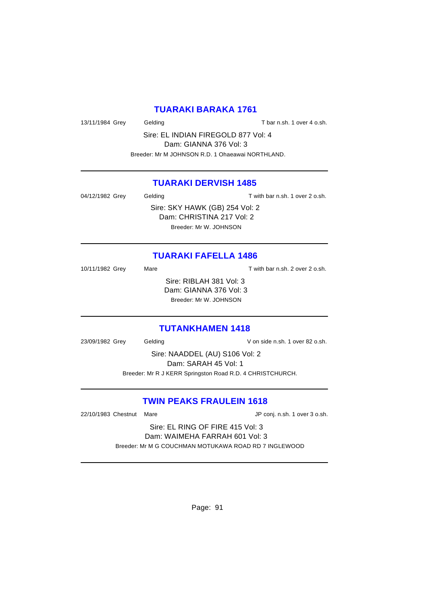## **TUARAKI BARAKA 1761**

13/11/1984 Grey Gelding Gelding Thar n.sh. 1 over 4 o.sh.

Sire: EL INDIAN FIREGOLD 877 Vol: 4 Dam: GIANNA 376 Vol: 3 Breeder: Mr M JOHNSON R.D. 1 Ohaeawai NORTHLAND.

## **TUARAKI DERVISH 1485**

04/12/1982 Grey Gelding Gelding T with bar n.sh. 1 over 2 o.sh. Sire: SKY HAWK (GB) 254 Vol: 2 Dam: CHRISTINA 217 Vol: 2 Breeder: Mr W. JOHNSON

# **TUARAKI FAFELLA 1486**

10/11/1982 Grey Mare Mare T with bar n.sh. 2 over 2 o.sh. Sire: RIBLAH 381 Vol: 3 Dam: GIANNA 376 Vol: 3 Breeder: Mr W. JOHNSON

## **TUTANKHAMEN 1418**

23/09/1982 Grey Gelding V on side n.sh. 1 over 82 o.sh.

Sire: NAADDEL (AU) S106 Vol: 2 Dam: SARAH 45 Vol: 1 Breeder: Mr R J KERR Springston Road R.D. 4 CHRISTCHURCH.

## **TWIN PEAKS FRAULEIN 1618**

22/10/1983 Chestnut Mare **JP** conj. n.sh. 1 over 3 o.sh.

Sire: EL RING OF FIRE 415 Vol: 3 Dam: WAIMEHA FARRAH 601 Vol: 3 Breeder: Mr M G COUCHMAN MOTUKAWA ROAD RD 7 INGLEWOOD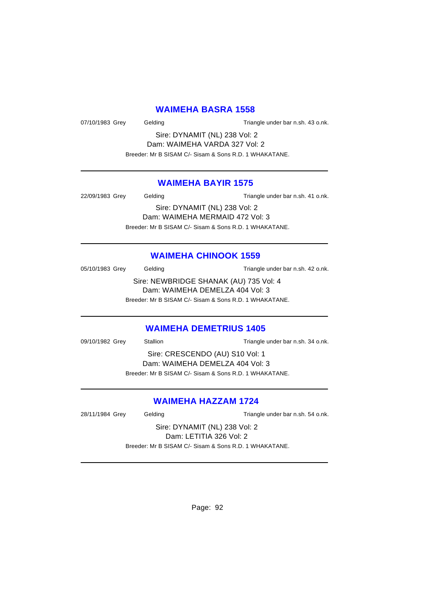#### **WAIMEHA BASRA 1558**

07/10/1983 Grey Gelding Contact Triangle under bar n.sh. 43 o.nk.

Sire: DYNAMIT (NL) 238 Vol: 2 Dam: WAIMEHA VARDA 327 Vol: 2 Breeder: Mr B SISAM C/- Sisam & Sons R.D. 1 WHAKATANE.

## **WAIMEHA BAYIR 1575**

22/09/1983 Grey Gelding Triangle under bar n.sh. 41 o.nk.

Sire: DYNAMIT (NL) 238 Vol: 2 Dam: WAIMEHA MERMAID 472 Vol: 3 Breeder: Mr B SISAM C/- Sisam & Sons R.D. 1 WHAKATANE.

## **WAIMEHA CHINOOK 1559**

05/10/1983 Grey Gelding Gelding Triangle under bar n.sh. 42 o.nk.

Sire: NEWBRIDGE SHANAK (AU) 735 Vol: 4 Dam: WAIMEHA DEMELZA 404 Vol: 3 Breeder: Mr B SISAM C/- Sisam & Sons R.D. 1 WHAKATANE.

### **WAIMEHA DEMETRIUS 1405**

09/10/1982 Grey Stallion Stallion Triangle under bar n.sh. 34 o.nk. Sire: CRESCENDO (AU) S10 Vol: 1 Dam: WAIMEHA DEMELZA 404 Vol: 3 Breeder: Mr B SISAM C/- Sisam & Sons R.D. 1 WHAKATANE.

## **WAIMEHA HAZZAM 1724**

28/11/1984 Grey Gelding Casset Controller and Triangle under bar n.sh. 54 o.nk.

Sire: DYNAMIT (NL) 238 Vol: 2 Dam: LETITIA 326 Vol: 2 Breeder: Mr B SISAM C/- Sisam & Sons R.D. 1 WHAKATANE.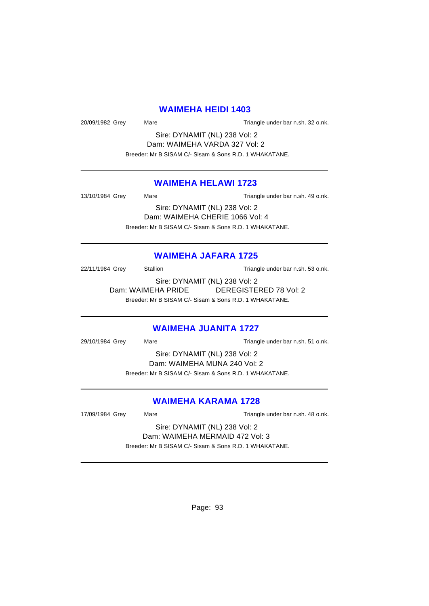#### **WAIMEHA HEIDI 1403**

20/09/1982 Grey Mare Mare Triangle under bar n.sh. 32 o.nk.

Sire: DYNAMIT (NL) 238 Vol: 2 Dam: WAIMEHA VARDA 327 Vol: 2 Breeder: Mr B SISAM C/- Sisam & Sons R.D. 1 WHAKATANE.

### **WAIMEHA HELAWI 1723**

13/10/1984 Grey Mare Mare Triangle under bar n.sh. 49 o.nk.

Sire: DYNAMIT (NL) 238 Vol: 2 Dam: WAIMEHA CHERIE 1066 Vol: 4 Breeder: Mr B SISAM C/- Sisam & Sons R.D. 1 WHAKATANE.

## **WAIMEHA JAFARA 1725**

22/11/1984 Grey Stallion Stallion Triangle under bar n.sh. 53 o.nk.

Sire: DYNAMIT (NL) 238 Vol: 2 Dam: WAIMEHA PRIDE DEREGISTERED 78 Vol: 2 Breeder: Mr B SISAM C/- Sisam & Sons R.D. 1 WHAKATANE.

#### **WAIMEHA JUANITA 1727**

29/10/1984 Grey Mare Mare Triangle under bar n.sh. 51 o.nk.

Sire: DYNAMIT (NL) 238 Vol: 2 Dam: WAIMEHA MUNA 240 Vol: 2 Breeder: Mr B SISAM C/- Sisam & Sons R.D. 1 WHAKATANE.

## **WAIMEHA KARAMA 1728**

17/09/1984 Grey Mare Mare Triangle under bar n.sh. 48 o.nk.

Sire: DYNAMIT (NL) 238 Vol: 2 Dam: WAIMEHA MERMAID 472 Vol: 3

Breeder: Mr B SISAM C/- Sisam & Sons R.D. 1 WHAKATANE.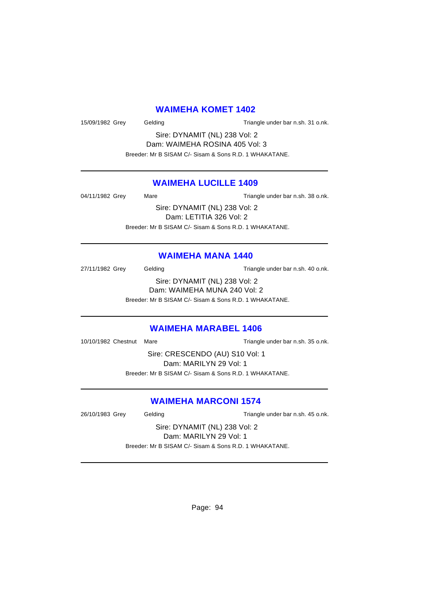### **WAIMEHA KOMET 1402**

15/09/1982 Grey Gelding Triangle under bar n.sh. 31 o.nk.

Sire: DYNAMIT (NL) 238 Vol: 2 Dam: WAIMEHA ROSINA 405 Vol: 3 Breeder: Mr B SISAM C/- Sisam & Sons R.D. 1 WHAKATANE.

## **WAIMEHA LUCILLE 1409**

04/11/1982 Grey Mare Mare Triangle under bar n.sh. 38 o.nk. Sire: DYNAMIT (NL) 238 Vol: 2 Dam: LETITIA 326 Vol: 2

Breeder: Mr B SISAM C/- Sisam & Sons R.D. 1 WHAKATANE.

### **WAIMEHA MANA 1440**

27/11/1982 Grey Gelding Casset Contract Triangle under bar n.sh. 40 o.nk.

Sire: DYNAMIT (NL) 238 Vol: 2 Dam: WAIMEHA MUNA 240 Vol: 2 Breeder: Mr B SISAM C/- Sisam & Sons R.D. 1 WHAKATANE.

### **WAIMEHA MARABEL 1406**

10/10/1982 Chestnut Mare Triangle under bar n.sh. 35 o.nk.

Sire: CRESCENDO (AU) S10 Vol: 1 Dam: MARILYN 29 Vol: 1 Breeder: Mr B SISAM C/- Sisam & Sons R.D. 1 WHAKATANE.

## **WAIMEHA MARCONI 1574**

26/10/1983 Grey Gelding Triangle under bar n.sh. 45 o.nk.

Sire: DYNAMIT (NL) 238 Vol: 2 Dam: MARILYN 29 Vol: 1 Breeder: Mr B SISAM C/- Sisam & Sons R.D. 1 WHAKATANE.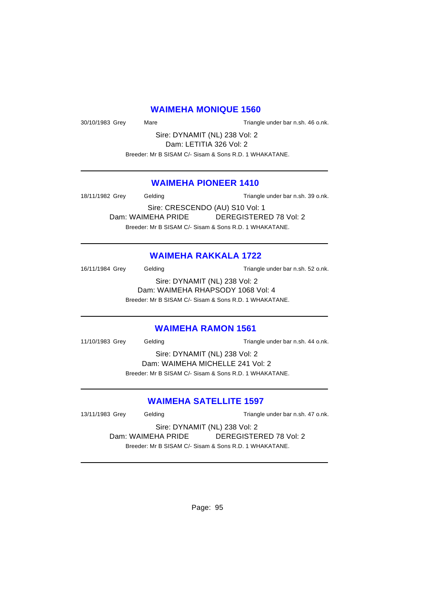### **WAIMEHA MONIQUE 1560**

30/10/1983 Grey Mare Mare Triangle under bar n.sh. 46 o.nk.

Sire: DYNAMIT (NL) 238 Vol: 2 Dam: LETITIA 326 Vol: 2

Breeder: Mr B SISAM C/- Sisam & Sons R.D. 1 WHAKATANE.

## **WAIMEHA PIONEER 1410**

18/11/1982 Grey Gelding Triangle under bar n.sh. 39 o.nk. Sire: CRESCENDO (AU) S10 Vol: 1 Dam: WAIMEHA PRIDE DEREGISTERED 78 Vol: 2 Breeder: Mr B SISAM C/- Sisam & Sons R.D. 1 WHAKATANE.

## **WAIMEHA RAKKALA 1722**

16/11/1984 Grey Gelding Gelding Triangle under bar n.sh. 52 o.nk.

Sire: DYNAMIT (NL) 238 Vol: 2 Dam: WAIMEHA RHAPSODY 1068 Vol: 4 Breeder: Mr B SISAM C/- Sisam & Sons R.D. 1 WHAKATANE.

### **WAIMEHA RAMON 1561**

11/10/1983 Grey Gelding Gelding Triangle under bar n.sh. 44 o.nk.

Sire: DYNAMIT (NL) 238 Vol: 2 Dam: WAIMEHA MICHELLE 241 Vol: 2 Breeder: Mr B SISAM C/- Sisam & Sons R.D. 1 WHAKATANE.

## **WAIMEHA SATELLITE 1597**

13/11/1983 Grey Gelding Triangle under bar n.sh. 47 o.nk. Sire: DYNAMIT (NL) 238 Vol: 2 Dam: WAIMEHA PRIDE DEREGISTERED 78 Vol: 2 Breeder: Mr B SISAM C/- Sisam & Sons R.D. 1 WHAKATANE.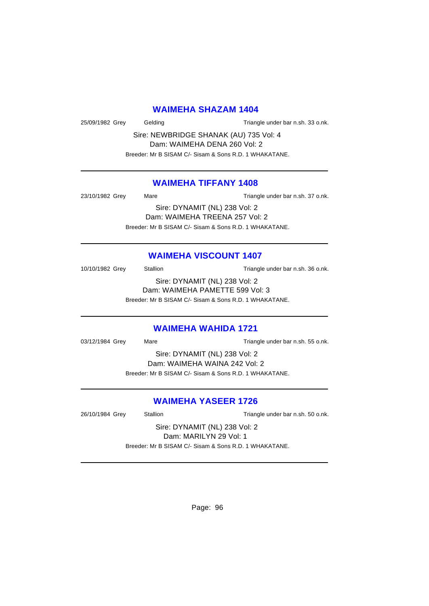### **WAIMEHA SHAZAM 1404**

25/09/1982 Grey Gelding Triangle under bar n.sh. 33 o.nk.

Sire: NEWBRIDGE SHANAK (AU) 735 Vol: 4 Dam: WAIMEHA DENA 260 Vol: 2 Breeder: Mr B SISAM C/- Sisam & Sons R.D. 1 WHAKATANE.

### **WAIMEHA TIFFANY 1408**

| 23/10/1982 Grey                | Mare                                                   | Triangle under bar n.sh. 37 o.nk. |
|--------------------------------|--------------------------------------------------------|-----------------------------------|
| Sire: DYNAMIT (NL) 238 Vol: 2  |                                                        |                                   |
| Dam: WAIMEHA TREENA 257 Vol: 2 |                                                        |                                   |
|                                | Breeder: Mr B SISAM C/- Sisam & Sons R.D. 1 WHAKATANE. |                                   |

### **WAIMEHA VISCOUNT 1407**

10/10/1982 Grey Stallion Stallion Triangle under bar n.sh. 36 o.nk. Sire: DYNAMIT (NL) 238 Vol: 2 Dam: WAIMEHA PAMETTE 599 Vol: 3

Breeder: Mr B SISAM C/- Sisam & Sons R.D. 1 WHAKATANE.

#### **WAIMEHA WAHIDA 1721**

03/12/1984 Grey Mare Mare Triangle under bar n.sh. 55 o.nk.

Sire: DYNAMIT (NL) 238 Vol: 2 Dam: WAIMEHA WAINA 242 Vol: 2 Breeder: Mr B SISAM C/- Sisam & Sons R.D. 1 WHAKATANE.

## **WAIMEHA YASEER 1726**

26/10/1984 Grey Stallion Stallion Triangle under bar n.sh. 50 o.nk.

Sire: DYNAMIT (NL) 238 Vol: 2 Dam: MARILYN 29 Vol: 1 Breeder: Mr B SISAM C/- Sisam & Sons R.D. 1 WHAKATANE.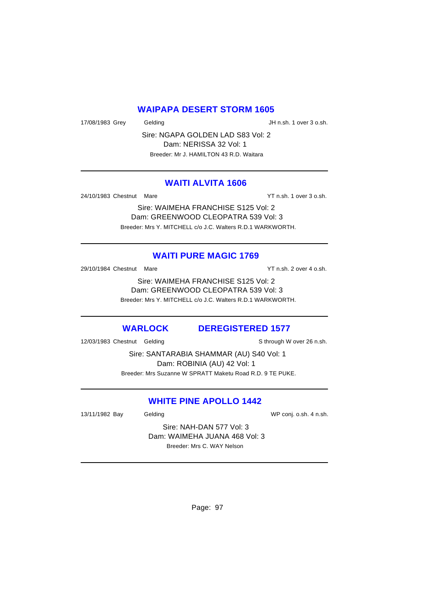## **WAIPAPA DESERT STORM 1605**

17/08/1983 Grey Gelding Gelding JH n.sh. 1 over 3 o.sh.

Sire: NGAPA GOLDEN LAD S83 Vol: 2 Dam: NERISSA 32 Vol: 1 Breeder: Mr J. HAMILTON 43 R.D. Waitara

## **WAITI ALVITA 1606**

24/10/1983 Chestnut Mare **YT** n.sh. 1 over 3 o.sh.

Sire: WAIMEHA FRANCHISE S125 Vol: 2 Dam: GREENWOOD CLEOPATRA 539 Vol: 3 Breeder: Mrs Y. MITCHELL c/o J.C. Walters R.D.1 WARKWORTH.

## **WAITI PURE MAGIC 1769**

29/10/1984 Chestnut Mare **YT** n.sh. 2 over 4 o.sh.

Sire: WAIMEHA FRANCHISE S125 Vol: 2 Dam: GREENWOOD CLEOPATRA 539 Vol: 3 Breeder: Mrs Y. MITCHELL c/o J.C. Walters R.D.1 WARKWORTH.

### **WARLOCK DEREGISTERED 1577**

12/03/1983 Chestnut Gelding Sthrough W over 26 n.sh.

Sire: SANTARABIA SHAMMAR (AU) S40 Vol: 1 Dam: ROBINIA (AU) 42 Vol: 1 Breeder: Mrs Suzanne W SPRATT Maketu Road R.D. 9 TE PUKE.

## **WHITE PINE APOLLO 1442**

13/11/1982 Bay Gelding Gelding WP conj. o.sh. 4 n.sh.

Sire: NAH-DAN 577 Vol: 3 Dam: WAIMEHA JUANA 468 Vol: 3 Breeder: Mrs C. WAY Nelson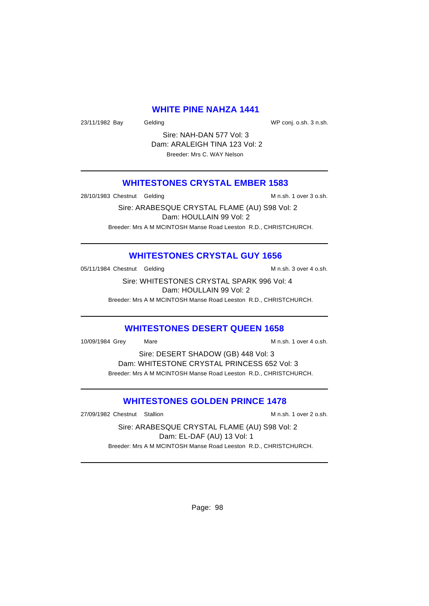### **WHITE PINE NAHZA 1441**

23/11/1982 Bay Gelding Gelding WP conj. o.sh. 3 n.sh.

Sire: NAH-DAN 577 Vol: 3 Dam: ARALEIGH TINA 123 Vol: 2 Breeder: Mrs C. WAY Nelson

## **WHITESTONES CRYSTAL EMBER 1583**

28/10/1983 Chestnut Gelding M n.sh. 1 over 3 o.sh.

Sire: ARABESQUE CRYSTAL FLAME (AU) S98 Vol: 2 Dam: HOULLAIN 99 Vol: 2 Breeder: Mrs A M MCINTOSH Manse Road Leeston R.D., CHRISTCHURCH.

## **WHITESTONES CRYSTAL GUY 1656**

05/11/1984 Chestnut Gelding M n.sh. 3 over 4 o.sh.

Sire: WHITESTONES CRYSTAL SPARK 996 Vol: 4 Dam: HOULLAIN 99 Vol: 2

Breeder: Mrs A M MCINTOSH Manse Road Leeston R.D., CHRISTCHURCH.

#### **WHITESTONES DESERT QUEEN 1658**

10/09/1984 Grey Mare M n.sh. 1 over 4 o.sh.

Sire: DESERT SHADOW (GB) 448 Vol: 3 Dam: WHITESTONE CRYSTAL PRINCESS 652 Vol: 3 Breeder: Mrs A M MCINTOSH Manse Road Leeston R.D., CHRISTCHURCH.

## **WHITESTONES GOLDEN PRINCE 1478**

27/09/1982 Chestnut Stallion M n.sh. 1 over 2 o.sh.

Sire: ARABESQUE CRYSTAL FLAME (AU) S98 Vol: 2 Dam: EL-DAF (AU) 13 Vol: 1 Breeder: Mrs A M MCINTOSH Manse Road Leeston R.D., CHRISTCHURCH.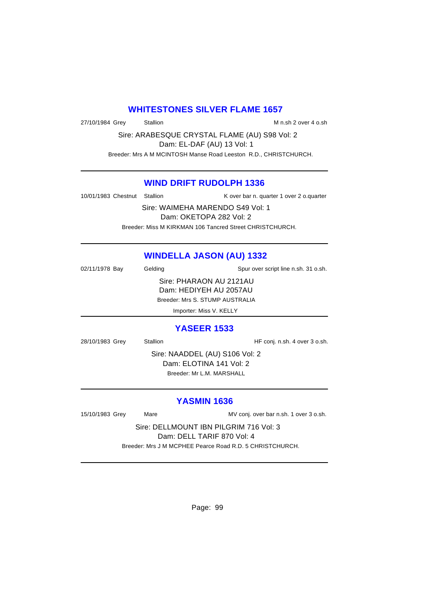#### **WHITESTONES SILVER FLAME 1657**

27/10/1984 Grey Stallion Stallion Stallion M n.sh 2 over 4 o.sh

Sire: ARABESQUE CRYSTAL FLAME (AU) S98 Vol: 2 Dam: EL-DAF (AU) 13 Vol: 1 Breeder: Mrs A M MCINTOSH Manse Road Leeston R.D., CHRISTCHURCH.

## **WIND DRIFT RUDOLPH 1336**

10/01/1983 Chestnut Stallion K over bar n. quarter 1 over 2 o.quarter Sire: WAIMEHA MARENDO S49 Vol: 1 Dam: OKETOPA 282 Vol: 2

Breeder: Miss M KIRKMAN 106 Tancred Street CHRISTCHURCH.

# **WINDELLA JASON (AU) 1332**

02/11/1978 Bay Gelding Spur over script line n.sh. 31 o.sh. Sire: PHARAON AU 2121AU Dam: HEDIYEH AU 2057AU Breeder: Mrs S. STUMP AUSTRALIA

Importer: Miss V. KELLY

### **YASEER 1533**

28/10/1983 Grey Stallion HF conj. n.sh. 4 over 3 o.sh.

Sire: NAADDEL (AU) S106 Vol: 2 Dam: ELOTINA 141 Vol: 2 Breeder: Mr L.M. MARSHALL

### **YASMIN 1636**

15/10/1983 Grey Mare MV conj. over bar n.sh. 1 over 3 o.sh. Sire: DELLMOUNT IBN PILGRIM 716 Vol: 3 Dam: DELL TARIF 870 Vol: 4 Breeder: Mrs J M MCPHEE Pearce Road R.D. 5 CHRISTCHURCH.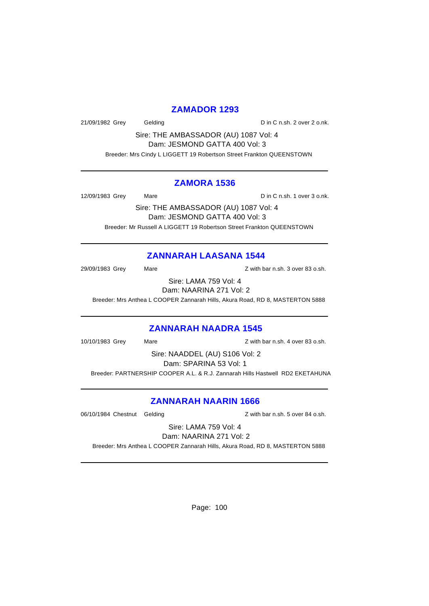## **ZAMADOR 1293**

21/09/1982 Grey Gelding Carrier County D in C n.sh. 2 over 2 o.nk.

Sire: THE AMBASSADOR (AU) 1087 Vol: 4 Dam: JESMOND GATTA 400 Vol: 3

Breeder: Mrs Cindy L LIGGETT 19 Robertson Street Frankton QUEENSTOWN

## **ZAMORA 1536**

12/09/1983 Grey Mare D in C n.sh. 1 over 3 o.nk.

Sire: THE AMBASSADOR (AU) 1087 Vol: 4 Dam: JESMOND GATTA 400 Vol: 3 Breeder: Mr Russell A LIGGETT 19 Robertson Street Frankton QUEENSTOWN

# **ZANNARAH LAASANA 1544**

29/09/1983 Grey Mare Mare Z with bar n.sh. 3 over 83 o.sh.

Sire: LAMA 759 Vol: 4 Dam: NAARINA 271 Vol: 2

Breeder: Mrs Anthea L COOPER Zannarah Hills, Akura Road, RD 8, MASTERTON 5888

### **ZANNARAH NAADRA 1545**

10/10/1983 Grey Mare Mare Z with bar n.sh. 4 over 83 o.sh.

Sire: NAADDEL (AU) S106 Vol: 2 Dam: SPARINA 53 Vol: 1

Breeder: PARTNERSHIP COOPER A.L. & R.J. Zannarah Hills Hastwell RD2 EKETAHUNA

## **ZANNARAH NAARIN 1666**

06/10/1984 Chestnut Gelding and Communication of Z with bar n.sh. 5 over 84 o.sh.

Sire: LAMA 759 Vol: 4 Dam: NAARINA 271 Vol: 2

Breeder: Mrs Anthea L COOPER Zannarah Hills, Akura Road, RD 8, MASTERTON 5888